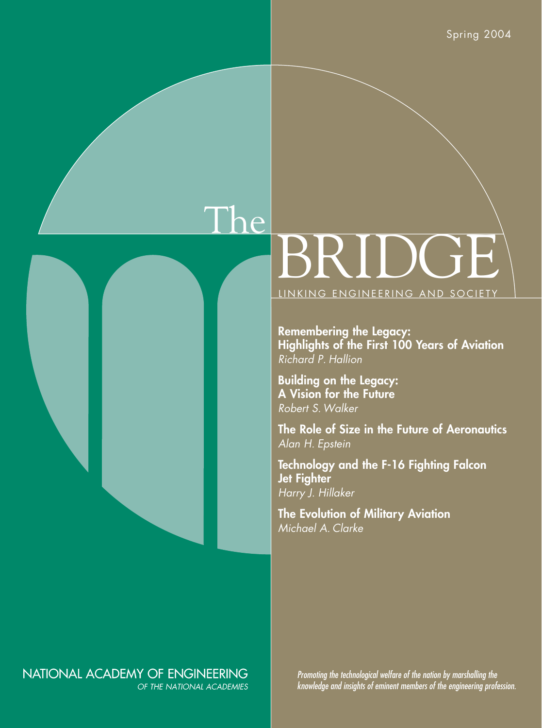# The BRIDGE LINKING ENGINEERING AND SOCIETY

**Remembering the Legacy: Highlights of the First 100 Years of Aviation** *Richard P. Hallion*

**Building on the Legacy: A Vision for the Future** *Robert S. Walker*

**The Role of Size in the Future of Aeronautics** *Alan H. Epstein*

**Technology and the F-16 Fighting Falcon Jet Fighter** *Harry J. Hillaker*

**The Evolution of Military Aviation** *Michael A. Clarke*

### NATIONAL ACADEMY OF ENGINEERING OF THE NATIONAL ACADEMIES

*Promoting the technological welfare of the nation by marshalling the knowledge and insights of eminent members of the engineering profession.*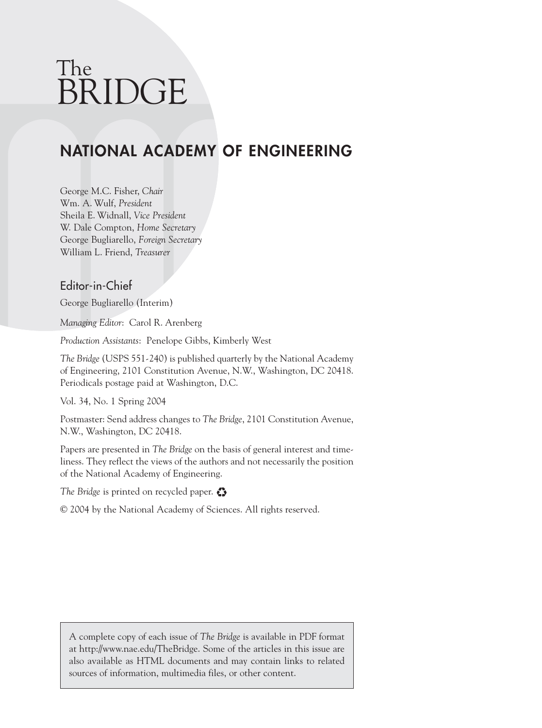## The BRIDGE

## **NATIONAL ACADEMY OF ENGINEERING**

George M.C. Fisher, *Chair* Wm. A. Wulf, *President* Sheila E. Widnall, *Vice President* W. Dale Compton, *Home Secretary* George Bugliarello, *Foreign Secretary* William L. Friend, *Treasurer*

### Editor-in-Chief

George Bugliarello (Interim)

*Managing Editor*: Carol R. Arenberg

*Production Assistants*: Penelope Gibbs, Kimberly West

*The Bridge* (USPS 551-240) is published quarterly by the National Academy of Engineering, 2101 Constitution Avenue, N.W., Washington, DC 20418. Periodicals postage paid at Washington, D.C.

Vol. 34, No. 1 Spring 2004

Postmaster: Send address changes to *The Bridge*, 2101 Constitution Avenue, N.W., Washington, DC 20418.

Papers are presented in *The Bridge* on the basis of general interest and timeliness. They reflect the views of the authors and not necessarily the position of the National Academy of Engineering.

*The Bridge* is printed on recycled paper.

© 2004 by the National Academy of Sciences. All rights reserved.

A complete copy of each issue of *The Bridge* is available in PDF format at http://www.nae.edu/TheBridge. Some of the articles in this issue are also available as HTML documents and may contain links to related sources of information, multimedia files, or other content.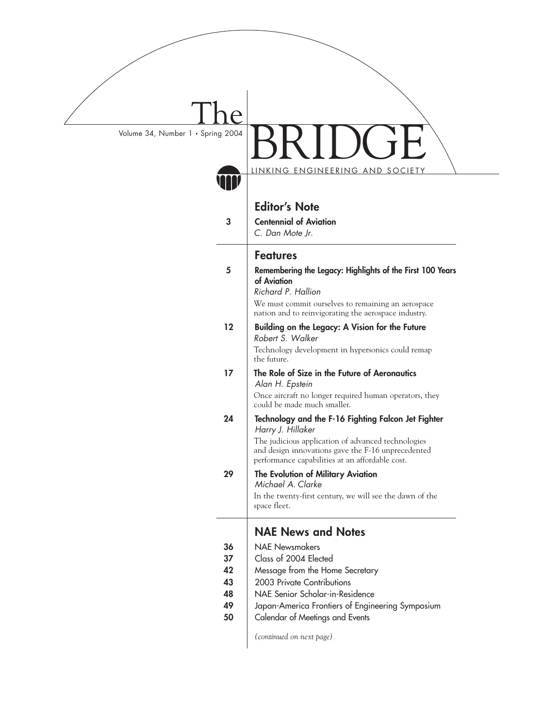| Volume 34, Number 1 . Spring 2004 |                                                                                                                                                             |  |  |  |
|-----------------------------------|-------------------------------------------------------------------------------------------------------------------------------------------------------------|--|--|--|
|                                   | <u>LINKING ENGINEERING AND SOCIETY</u>                                                                                                                      |  |  |  |
|                                   |                                                                                                                                                             |  |  |  |
|                                   | <b>Editor's Note</b>                                                                                                                                        |  |  |  |
| 3                                 | <b>Centennial of Aviation</b><br>C. Dan Mote Jr.                                                                                                            |  |  |  |
|                                   | <b>Features</b>                                                                                                                                             |  |  |  |
| 5                                 | Remembering the Legacy: Highlights of the First 100 Years<br>of Aviation<br>Richard P. Hallion                                                              |  |  |  |
|                                   | We must commit ourselves to remaining an aerospace<br>nation and to reinvigorating the aerospace industry.                                                  |  |  |  |
| 12                                | Building on the Legacy: A Vision for the Future<br>Robert S. Walker                                                                                         |  |  |  |
|                                   | Technology development in hypersonics could remap<br>the future.                                                                                            |  |  |  |
| 17                                | The Role of Size in the Future of Aeronautics<br>Alan H. Epstein                                                                                            |  |  |  |
|                                   | Once aircraft no longer required human operators, they<br>could be made much smaller.                                                                       |  |  |  |
| 24                                | Technology and the F-16 Fighting Falcon Jet Fighter<br>Harry J. Hillaker                                                                                    |  |  |  |
|                                   | The judicious application of advanced technologies<br>and design innovations gave the F-16 unprecedented<br>performance capabilities at an affordable cost. |  |  |  |
| 29                                | The Evolution of Military Aviation<br>Michael A. Clarke                                                                                                     |  |  |  |
|                                   | In the twenty-first century, we will see the dawn of the<br>space fleet.                                                                                    |  |  |  |
|                                   | <b>NAE News and Notes</b>                                                                                                                                   |  |  |  |
| 36                                | <b>NAF Newsmakers</b>                                                                                                                                       |  |  |  |
| 37                                | Class of 2004 Elected                                                                                                                                       |  |  |  |
| 42                                | Message from the Home Secretary                                                                                                                             |  |  |  |
| 43                                | 2003 Private Contributions                                                                                                                                  |  |  |  |
| 48                                | NAE Senior Scholar-in-Residence                                                                                                                             |  |  |  |
| 49                                | Japan-America Frontiers of Engineering Symposium                                                                                                            |  |  |  |
| 50                                | Calendar of Meetings and Events                                                                                                                             |  |  |  |
|                                   | (continued on next page)                                                                                                                                    |  |  |  |
|                                   |                                                                                                                                                             |  |  |  |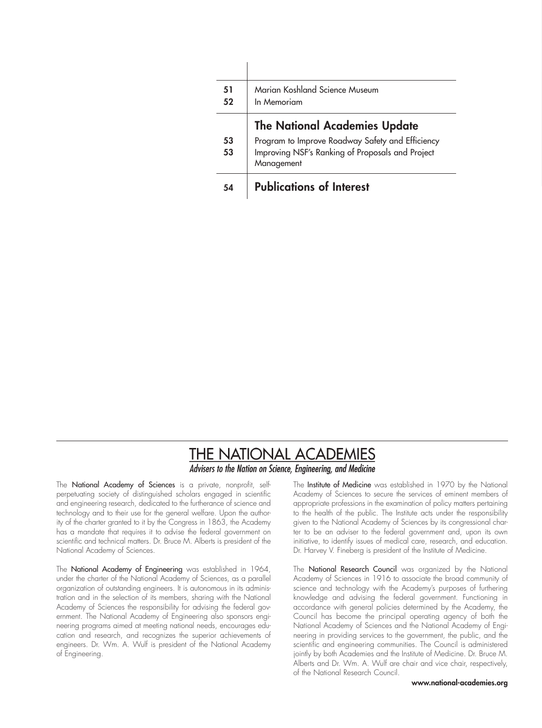| 51<br>52 | Marian Koshland Science Museum<br>In Memoriam                  |  |  |  |  |  |
|----------|----------------------------------------------------------------|--|--|--|--|--|
|          | <b>The National Academies Update</b>                           |  |  |  |  |  |
| 53       | Program to Improve Roadway Safety and Efficiency               |  |  |  |  |  |
| 53       | Improving NSF's Ranking of Proposals and Project<br>Management |  |  |  |  |  |
| 54       | <b>Publications of Interest</b>                                |  |  |  |  |  |

### **THE NATIONAL ACADEMIES** Advisers to the Nation on Science, Engineering, and Medicine

The National Academy of Sciences is a private, nonprofit, selfperpetuating society of distinguished scholars engaged in scientific and engineering research, dedicated to the furtherance of science and technology and to their use for the general welfare. Upon the authority of the charter granted to it by the Congress in 1863, the Academy has a mandate that requires it to advise the federal government on scientific and technical matters. Dr. Bruce M. Alberts is president of the National Academy of Sciences.

The National Academy of Engineering was established in 1964, under the charter of the National Academy of Sciences, as a parallel organization of outstanding engineers. It is autonomous in its administration and in the selection of its members, sharing with the National Academy of Sciences the responsibility for advising the federal government. The National Academy of Engineering also sponsors engineering programs aimed at meeting national needs, encourages education and research, and recognizes the superior achievements of engineers. Dr. Wm. A. Wulf is president of the National Academy of Engineering.

The Institute of Medicine was established in 1970 by the National Academy of Sciences to secure the services of eminent members of appropriate professions in the examination of policy matters pertaining to the health of the public. The Institute acts under the responsibility given to the National Academy of Sciences by its congressional charter to be an adviser to the federal government and, upon its own initiative, to identify issues of medical care, research, and education. Dr. Harvey V. Fineberg is president of the Institute of Medicine.

The National Research Council was organized by the National Academy of Sciences in 1916 to associate the broad community of science and technology with the Academy's purposes of furthering knowledge and advising the federal government. Functioning in accordance with general policies determined by the Academy, the Council has become the principal operating agency of both the National Academy of Sciences and the National Academy of Engineering in providing services to the government, the public, and the scientific and engineering communities. The Council is administered jointly by both Academies and the Institute of Medicine. Dr. Bruce M. Alberts and Dr. Wm. A. Wulf are chair and vice chair, respectively, of the National Research Council.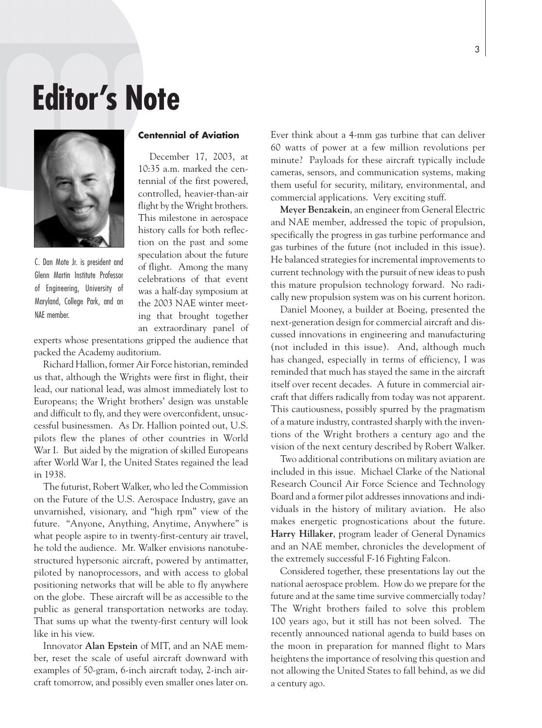## **Editor's Note**



C. Dan Mote Jr. is president and Glenn Martin Institute Professor of Engineering, University of Maryland, College Park, and an NAE member.

### **Centennial of Aviation**

December 17, 2003, at 10:35 a.m. marked the centennial of the first powered, controlled, heavier-than-air flight by the Wright brothers. This milestone in aerospace history calls for both reflection on the past and some speculation about the future of flight. Among the many celebrations of that event was a half-day symposium at the 2003 NAE winter meeting that brought together an extraordinary panel of

experts whose presentations gripped the audience that packed the Academy auditorium.

Richard Hallion, former Air Force historian, reminded us that, although the Wrights were first in flight, their lead, our national lead, was almost immediately lost to Europeans; the Wright brothers' design was unstable and difficult to fly, and they were overconfident, unsuccessful businessmen. As Dr. Hallion pointed out, U.S. pilots flew the planes of other countries in World War I. But aided by the migration of skilled Europeans after World War I, the United States regained the lead in 1938.

The futurist, Robert Walker, who led the Commission on the Future of the U.S. Aerospace Industry, gave an unvarnished, visionary, and "high rpm" view of the future. "Anyone, Anything, Anytime, Anywhere" is what people aspire to in twenty-first-century air travel, he told the audience. Mr. Walker envisions nanotubestructured hypersonic aircraft, powered by antimatter, piloted by nanoprocessors, and with access to global positioning networks that will be able to fly anywhere on the globe. These aircraft will be as accessible to the public as general transportation networks are today. That sums up what the twenty-first century will look like in his view.

Innovator **Alan Epstein** of MIT, and an NAE member, reset the scale of useful aircraft downward with examples of 50-gram, 6-inch aircraft today, 2-inch aircraft tomorrow, and possibly even smaller ones later on.

Ever think about a 4-mm gas turbine that can deliver 60 watts of power at a few million revolutions per minute? Payloads for these aircraft typically include cameras, sensors, and communication systems, making them useful for security, military, environmental, and commercial applications. Very exciting stuff.

**Meyer Benzakein**, an engineer from General Electric and NAE member, addressed the topic of propulsion, specifically the progress in gas turbine performance and gas turbines of the future (not included in this issue). He balanced strategies for incremental improvements to current technology with the pursuit of new ideas to push this mature propulsion technology forward. No radically new propulsion system was on his current horizon.

Daniel Mooney, a builder at Boeing, presented the next-generation design for commercial aircraft and discussed innovations in engineering and manufacturing (not included in this issue). And, although much has changed, especially in terms of efficiency, I was reminded that much has stayed the same in the aircraft itself over recent decades. A future in commercial aircraft that differs radically from today was not apparent. This cautiousness, possibly spurred by the pragmatism of a mature industry, contrasted sharply with the inventions of the Wright brothers a century ago and the vision of the next century described by Robert Walker.

Two additional contributions on military aviation are included in this issue. Michael Clarke of the National Research Council Air Force Science and Technology Board and a former pilot addresses innovations and individuals in the history of military aviation. He also makes energetic prognostications about the future. **Harry Hillaker**, program leader of General Dynamics and an NAE member, chronicles the development of the extremely successful F-16 Fighting Falcon.

Considered together, these presentations lay out the national aerospace problem. How do we prepare for the future and at the same time survive commercially today? The Wright brothers failed to solve this problem 100 years ago, but it still has not been solved. The recently announced national agenda to build bases on the moon in preparation for manned flight to Mars heightens the importance of resolving this question and not allowing the United States to fall behind, as we did a century ago.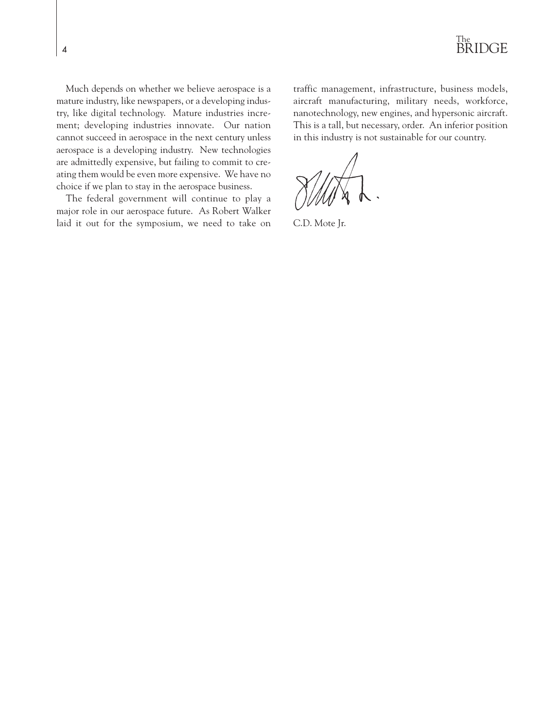

Much depends on whether we believe aerospace is a mature industry, like newspapers, or a developing industry, like digital technology. Mature industries increment; developing industries innovate. Our nation cannot succeed in aerospace in the next century unless aerospace is a developing industry. New technologies are admittedly expensive, but failing to commit to creating them would be even more expensive. We have no choice if we plan to stay in the aerospace business.

The federal government will continue to play a major role in our aerospace future. As Robert Walker laid it out for the symposium, we need to take on traffic management, infrastructure, business models, aircraft manufacturing, military needs, workforce, nanotechnology, new engines, and hypersonic aircraft. This is a tall, but necessary, order. An inferior position in this industry is not sustainable for our country.

C.D. Mote Jr.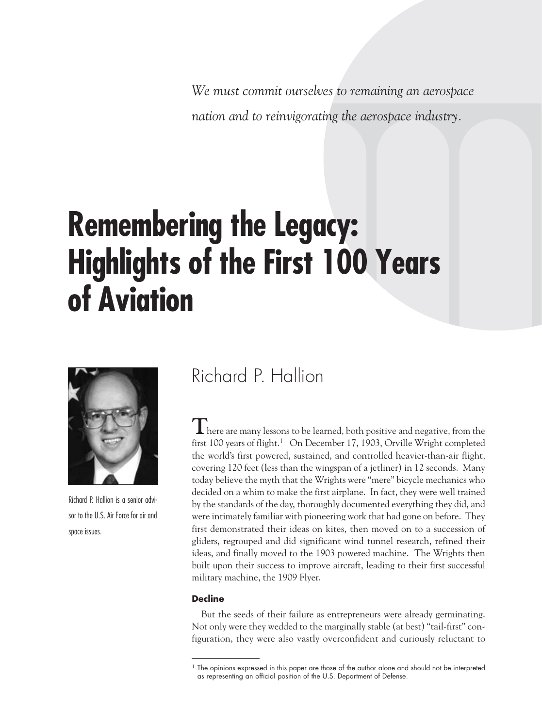*We must commit ourselves to remaining an aerospace nation and to reinvigorating the aerospace industry.*

## **Remembering the Legacy: Highlights of the First 100 Years of Aviation**



Richard P. Hallion is a senior advisor to the U.S. Air Force for air and space issues.

## Richard P. Hallion

**T**here are many lessons to be learned, both positive and negative, from the first 100 years of flight.<sup>1</sup> On December 17, 1903, Orville Wright completed the world's first powered, sustained, and controlled heavier-than-air flight, covering 120 feet (less than the wingspan of a jetliner) in 12 seconds. Many today believe the myth that the Wrights were "mere" bicycle mechanics who decided on a whim to make the first airplane. In fact, they were well trained by the standards of the day, thoroughly documented everything they did, and were intimately familiar with pioneering work that had gone on before. They first demonstrated their ideas on kites, then moved on to a succession of gliders, regrouped and did significant wind tunnel research, refined their ideas, and finally moved to the 1903 powered machine. The Wrights then built upon their success to improve aircraft, leading to their first successful military machine, the 1909 Flyer.

### **Decline**

But the seeds of their failure as entrepreneurs were already germinating. Not only were they wedded to the marginally stable (at best) "tail-first" configuration, they were also vastly overconfident and curiously reluctant to

<sup>&</sup>lt;sup>1</sup> The opinions expressed in this paper are those of the author alone and should not be interpreted as representing an official position of the U.S. Department of Defense.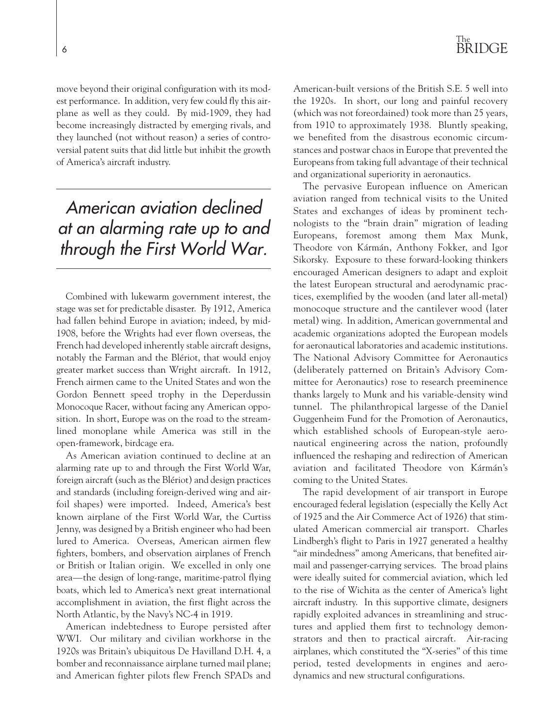move beyond their original configuration with its modest performance. In addition, very few could fly this airplane as well as they could. By mid-1909, they had become increasingly distracted by emerging rivals, and they launched (not without reason) a series of controversial patent suits that did little but inhibit the growth of America's aircraft industry.

*American aviation declined at an alarming rate up to and through the First World War.*

Combined with lukewarm government interest, the stage was set for predictable disaster. By 1912, America had fallen behind Europe in aviation; indeed, by mid-1908, before the Wrights had ever flown overseas, the French had developed inherently stable aircraft designs, notably the Farman and the Blériot, that would enjoy greater market success than Wright aircraft. In 1912, French airmen came to the United States and won the Gordon Bennett speed trophy in the Deperdussin Monocoque Racer, without facing any American opposition. In short, Europe was on the road to the streamlined monoplane while America was still in the open-framework, birdcage era.

As American aviation continued to decline at an alarming rate up to and through the First World War, foreign aircraft (such as the Blériot) and design practices and standards (including foreign-derived wing and airfoil shapes) were imported. Indeed, America's best known airplane of the First World War, the Curtiss Jenny, was designed by a British engineer who had been lured to America. Overseas, American airmen flew fighters, bombers, and observation airplanes of French or British or Italian origin. We excelled in only one area—the design of long-range, maritime-patrol flying boats, which led to America's next great international accomplishment in aviation, the first flight across the North Atlantic, by the Navy's NC-4 in 1919.

American indebtedness to Europe persisted after WWI. Our military and civilian workhorse in the 1920s was Britain's ubiquitous De Havilland D.H. 4, a bomber and reconnaissance airplane turned mail plane; and American fighter pilots flew French SPADs and

### The<br>BRIDGE <sup>6</sup> BRIDGE

American-built versions of the British S.E. 5 well into the 1920s. In short, our long and painful recovery (which was not foreordained) took more than 25 years, from 1910 to approximately 1938. Bluntly speaking, we benefited from the disastrous economic circumstances and postwar chaos in Europe that prevented the Europeans from taking full advantage of their technical and organizational superiority in aeronautics.

The pervasive European influence on American aviation ranged from technical visits to the United States and exchanges of ideas by prominent technologists to the "brain drain" migration of leading Europeans, foremost among them Max Munk, Theodore von Kármán, Anthony Fokker, and Igor Sikorsky. Exposure to these forward-looking thinkers encouraged American designers to adapt and exploit the latest European structural and aerodynamic practices, exemplified by the wooden (and later all-metal) monocoque structure and the cantilever wood (later metal) wing. In addition, American governmental and academic organizations adopted the European models for aeronautical laboratories and academic institutions. The National Advisory Committee for Aeronautics (deliberately patterned on Britain's Advisory Committee for Aeronautics) rose to research preeminence thanks largely to Munk and his variable-density wind tunnel. The philanthropical largesse of the Daniel Guggenheim Fund for the Promotion of Aeronautics, which established schools of European-style aeronautical engineering across the nation, profoundly influenced the reshaping and redirection of American aviation and facilitated Theodore von Kármán's coming to the United States.

The rapid development of air transport in Europe encouraged federal legislation (especially the Kelly Act of 1925 and the Air Commerce Act of 1926) that stimulated American commercial air transport. Charles Lindbergh's flight to Paris in 1927 generated a healthy "air mindedness" among Americans, that benefited airmail and passenger-carrying services. The broad plains were ideally suited for commercial aviation, which led to the rise of Wichita as the center of America's light aircraft industry. In this supportive climate, designers rapidly exploited advances in streamlining and structures and applied them first to technology demonstrators and then to practical aircraft. Air-racing airplanes, which constituted the "X-series" of this time period, tested developments in engines and aerodynamics and new structural configurations.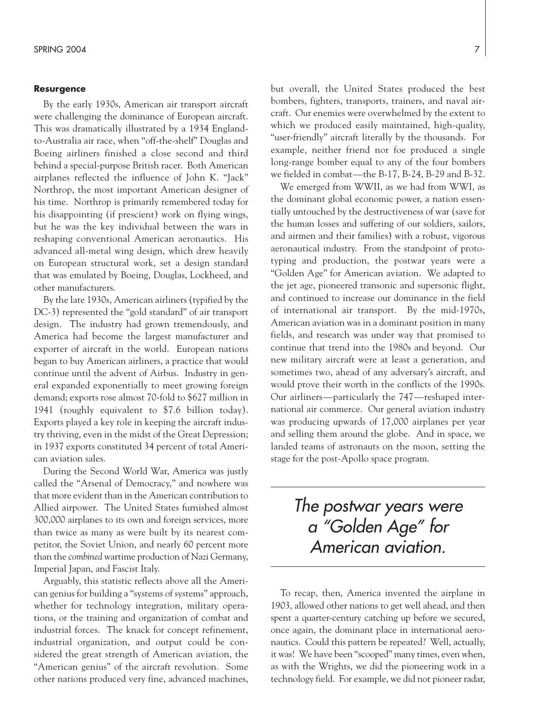#### **Resurgence**

By the early 1930s, American air transport aircraft were challenging the dominance of European aircraft. This was dramatically illustrated by a 1934 Englandto-Australia air race, when "off-the-shelf" Douglas and Boeing airliners finished a close second and third behind a special-purpose British racer. Both American airplanes reflected the influence of John K. "Jack" Northrop, the most important American designer of his time. Northrop is primarily remembered today for his disappointing (if prescient) work on flying wings, but he was the key individual between the wars in reshaping conventional American aeronautics. His advanced all-metal wing design, which drew heavily on European structural work, set a design standard that was emulated by Boeing, Douglas, Lockheed, and other manufacturers.

By the late 1930s, American airliners (typified by the DC-3) represented the "gold standard" of air transport design. The industry had grown tremendously, and America had become the largest manufacturer and exporter of aircraft in the world. European nations began to buy American airliners, a practice that would continue until the advent of Airbus. Industry in general expanded exponentially to meet growing foreign demand; exports rose almost 70-fold to \$627 million in 1941 (roughly equivalent to \$7.6 billion today). Exports played a key role in keeping the aircraft industry thriving, even in the midst of the Great Depression; in 1937 exports constituted 34 percent of total American aviation sales.

During the Second World War, America was justly called the "Arsenal of Democracy," and nowhere was that more evident than in the American contribution to Allied airpower. The United States furnished almost 300,000 airplanes to its own and foreign services, more than twice as many as were built by its nearest competitor, the Soviet Union, and nearly 60 percent more than the *combined* wartime production of Nazi Germany, Imperial Japan, and Fascist Italy.

Arguably, this statistic reflects above all the American genius for building a "systems of systems" approach, whether for technology integration, military operations, or the training and organization of combat and industrial forces. The knack for concept refinement, industrial organization, and output could be considered the great strength of American aviation, the "American genius" of the aircraft revolution. Some other nations produced very fine, advanced machines, but overall, the United States produced the best bombers, fighters, transports, trainers, and naval aircraft. Our enemies were overwhelmed by the extent to which we produced easily maintained, high-quality, "user-friendly" aircraft literally by the thousands. For example, neither friend nor foe produced a single long-range bomber equal to any of the four bombers we fielded in combat—the B-17, B-24, B-29 and B-32.

We emerged from WWII, as we had from WWI, as the dominant global economic power, a nation essentially untouched by the destructiveness of war (save for the human losses and suffering of our soldiers, sailors, and airmen and their families) with a robust, vigorous aeronautical industry. From the standpoint of prototyping and production, the postwar years were a "Golden Age" for American aviation. We adapted to the jet age, pioneered transonic and supersonic flight, and continued to increase our dominance in the field of international air transport. By the mid-1970s, American aviation was in a dominant position in many fields, and research was under way that promised to continue that trend into the 1980s and beyond. Our new military aircraft were at least a generation, and sometimes two, ahead of any adversary's aircraft, and would prove their worth in the conflicts of the 1990s. Our airliners—particularly the 747—reshaped international air commerce. Our general aviation industry was producing upwards of 17,000 airplanes per year and selling them around the globe. And in space, we landed teams of astronauts on the moon, setting the stage for the post-Apollo space program.

## *The postwar years were a "Golden Age" for American aviation.*

To recap, then, America invented the airplane in 1903, allowed other nations to get well ahead, and then spent a quarter-century catching up before we secured, once again, the dominant place in international aeronautics. Could this pattern be repeated? Well, actually, it was! We have been "scooped" many times, even when, as with the Wrights, we did the pioneering work in a technology field. For example, we did not pioneer radar,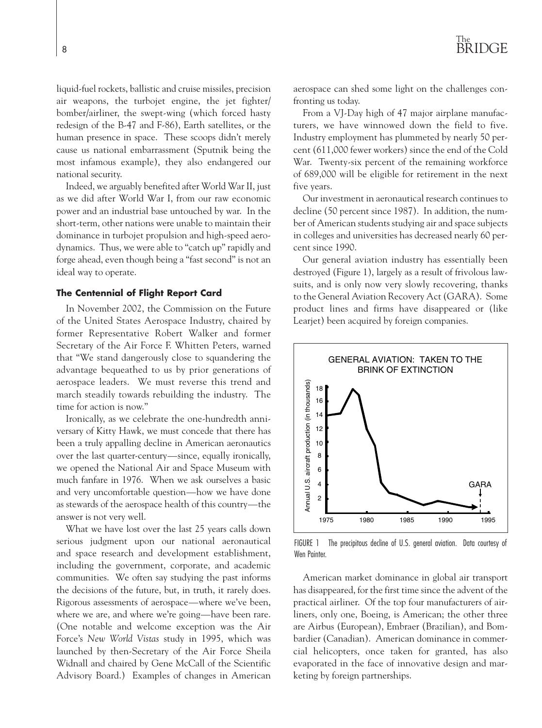liquid-fuel rockets, ballistic and cruise missiles, precision air weapons, the turbojet engine, the jet fighter/ bomber/airliner, the swept-wing (which forced hasty redesign of the B-47 and F-86), Earth satellites, or the human presence in space. These scoops didn't merely cause us national embarrassment (Sputnik being the most infamous example), they also endangered our national security.

Indeed, we arguably benefited after World War II, just as we did after World War I, from our raw economic power and an industrial base untouched by war. In the short-term, other nations were unable to maintain their dominance in turbojet propulsion and high-speed aerodynamics. Thus, we were able to "catch up" rapidly and forge ahead, even though being a "fast second" is not an ideal way to operate.

#### **The Centennial of Flight Report Card**

In November 2002, the Commission on the Future of the United States Aerospace Industry, chaired by former Representative Robert Walker and former Secretary of the Air Force F. Whitten Peters, warned that "We stand dangerously close to squandering the advantage bequeathed to us by prior generations of aerospace leaders. We must reverse this trend and march steadily towards rebuilding the industry. The time for action is now."

Ironically, as we celebrate the one-hundredth anniversary of Kitty Hawk, we must concede that there has been a truly appalling decline in American aeronautics over the last quarter-century—since, equally ironically, we opened the National Air and Space Museum with much fanfare in 1976. When we ask ourselves a basic and very uncomfortable question—how we have done as stewards of the aerospace health of this country—the answer is not very well.

What we have lost over the last 25 years calls down serious judgment upon our national aeronautical and space research and development establishment, including the government, corporate, and academic communities. We often say studying the past informs the decisions of the future, but, in truth, it rarely does. Rigorous assessments of aerospace—where we've been, where we are, and where we're going—have been rare. (One notable and welcome exception was the Air Force's *New World Vistas* study in 1995, which was launched by then-Secretary of the Air Force Sheila Widnall and chaired by Gene McCall of the Scientific Advisory Board.) Examples of changes in American aerospace can shed some light on the challenges confronting us today.

From a VJ-Day high of 47 major airplane manufacturers, we have winnowed down the field to five. Industry employment has plummeted by nearly 50 percent (611,000 fewer workers) since the end of the Cold War. Twenty-six percent of the remaining workforce of 689,000 will be eligible for retirement in the next five years.

Our investment in aeronautical research continues to decline (50 percent since 1987). In addition, the number of American students studying air and space subjects in colleges and universities has decreased nearly 60 percent since 1990.

Our general aviation industry has essentially been destroyed (Figure 1), largely as a result of frivolous lawsuits, and is only now very slowly recovering, thanks to the General Aviation Recovery Act (GARA). Some product lines and firms have disappeared or (like Learjet) been acquired by foreign companies.



FIGURE 1 The precipitous decline of U.S. general aviation. Data courtesy of Wen Printer

American market dominance in global air transport has disappeared, for the first time since the advent of the practical airliner. Of the top four manufacturers of airliners, only one, Boeing, is American; the other three are Airbus (European), Embraer (Brazilian), and Bombardier (Canadian). American dominance in commercial helicopters, once taken for granted, has also evaporated in the face of innovative design and marketing by foreign partnerships.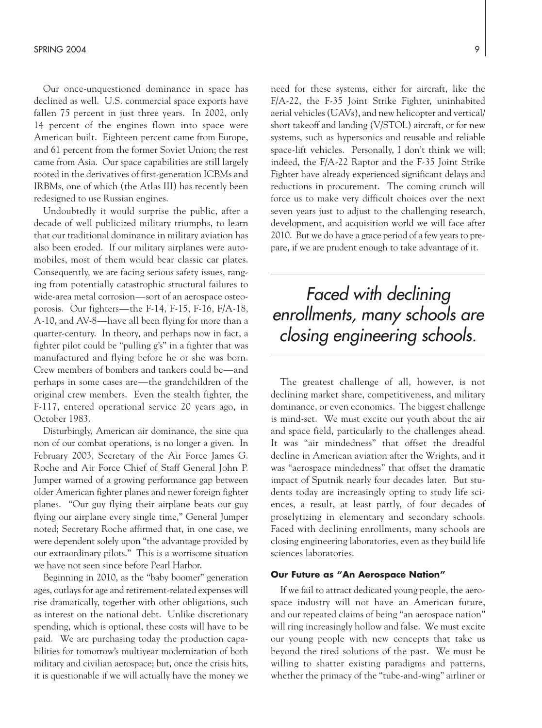Our once-unquestioned dominance in space has declined as well. U.S. commercial space exports have fallen 75 percent in just three years. In 2002, only 14 percent of the engines flown into space were American built. Eighteen percent came from Europe, and 61 percent from the former Soviet Union; the rest came from Asia. Our space capabilities are still largely rooted in the derivatives of first-generation ICBMs and IRBMs, one of which (the Atlas III) has recently been redesigned to use Russian engines.

Undoubtedly it would surprise the public, after a decade of well publicized military triumphs, to learn that our traditional dominance in military aviation has also been eroded. If our military airplanes were automobiles, most of them would bear classic car plates. Consequently, we are facing serious safety issues, ranging from potentially catastrophic structural failures to wide-area metal corrosion—sort of an aerospace osteoporosis. Our fighters—the F-14, F-15, F-16, F/A-18, A-10, and AV-8—have all been flying for more than a quarter-century. In theory, and perhaps now in fact, a fighter pilot could be "pulling g's" in a fighter that was manufactured and flying before he or she was born. Crew members of bombers and tankers could be—and perhaps in some cases are—the grandchildren of the original crew members. Even the stealth fighter, the F-117, entered operational service 20 years ago, in October 1983.

Disturbingly, American air dominance, the sine qua non of our combat operations, is no longer a given. In February 2003, Secretary of the Air Force James G. Roche and Air Force Chief of Staff General John P. Jumper warned of a growing performance gap between older American fighter planes and newer foreign fighter planes. "Our guy flying their airplane beats our guy flying our airplane every single time," General Jumper noted; Secretary Roche affirmed that, in one case, we were dependent solely upon "the advantage provided by our extraordinary pilots." This is a worrisome situation we have not seen since before Pearl Harbor.

Beginning in 2010, as the "baby boomer" generation ages, outlays for age and retirement-related expenses will rise dramatically, together with other obligations, such as interest on the national debt. Unlike discretionary spending, which is optional, these costs will have to be paid. We are purchasing today the production capabilities for tomorrow's multiyear modernization of both military and civilian aerospace; but, once the crisis hits, it is questionable if we will actually have the money we need for these systems, either for aircraft, like the F/A-22, the F-35 Joint Strike Fighter, uninhabited aerial vehicles (UAVs), and new helicopter and vertical/ short takeoff and landing (V/STOL) aircraft, or for new systems, such as hypersonics and reusable and reliable space-lift vehicles. Personally, I don't think we will; indeed, the F/A-22 Raptor and the F-35 Joint Strike Fighter have already experienced significant delays and reductions in procurement. The coming crunch will force us to make very difficult choices over the next seven years just to adjust to the challenging research, development, and acquisition world we will face after 2010. But we do have a grace period of a few years to prepare, if we are prudent enough to take advantage of it.

## *Faced with declining enrollments, many schools are closing engineering schools.*

The greatest challenge of all, however, is not declining market share, competitiveness, and military dominance, or even economics. The biggest challenge is mind-set. We must excite our youth about the air and space field, particularly to the challenges ahead. It was "air mindedness" that offset the dreadful decline in American aviation after the Wrights, and it was "aerospace mindedness" that offset the dramatic impact of Sputnik nearly four decades later. But students today are increasingly opting to study life sciences, a result, at least partly, of four decades of proselytizing in elementary and secondary schools. Faced with declining enrollments, many schools are closing engineering laboratories, even as they build life sciences laboratories.

#### **Our Future as "An Aerospace Nation"**

If we fail to attract dedicated young people, the aerospace industry will not have an American future, and our repeated claims of being "an aerospace nation" will ring increasingly hollow and false. We must excite our young people with new concepts that take us beyond the tired solutions of the past. We must be willing to shatter existing paradigms and patterns, whether the primacy of the "tube-and-wing" airliner or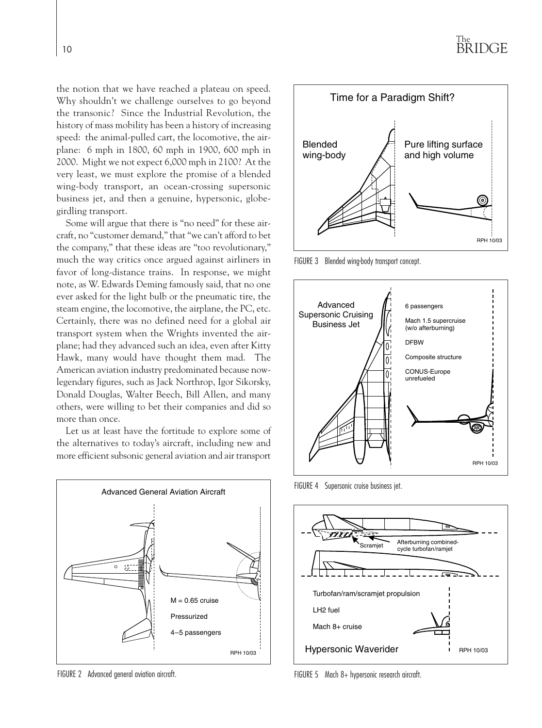the notion that we have reached a plateau on speed. Why shouldn't we challenge ourselves to go beyond the transonic? Since the Industrial Revolution, the history of mass mobility has been a history of increasing speed: the animal-pulled cart, the locomotive, the airplane: 6 mph in 1800, 60 mph in 1900, 600 mph in 2000. Might we not expect 6,000 mph in 2100? At the very least, we must explore the promise of a blended wing-body transport, an ocean-crossing supersonic business jet, and then a genuine, hypersonic, globegirdling transport.

Some will argue that there is "no need" for these aircraft, no "customer demand," that "we can't afford to bet the company," that these ideas are "too revolutionary," much the way critics once argued against airliners in favor of long-distance trains. In response, we might note, as W. Edwards Deming famously said, that no one ever asked for the light bulb or the pneumatic tire, the steam engine, the locomotive, the airplane, the PC, etc. Certainly, there was no defined need for a global air transport system when the Wrights invented the airplane; had they advanced such an idea, even after Kitty Hawk, many would have thought them mad. The American aviation industry predominated because nowlegendary figures, such as Jack Northrop, Igor Sikorsky, Donald Douglas, Walter Beech, Bill Allen, and many others, were willing to bet their companies and did so more than once.

Let us at least have the fortitude to explore some of the alternatives to today's aircraft, including new and more efficient subsonic general aviation and air transport



FIGURE 2 Advanced general aviation aircraft.



FIGURE 3 Blended wing-body transport concept.



FIGURE 4 Supersonic cruise business jet.



FIGURE 5 Mach 8+ hypersonic research aircraft.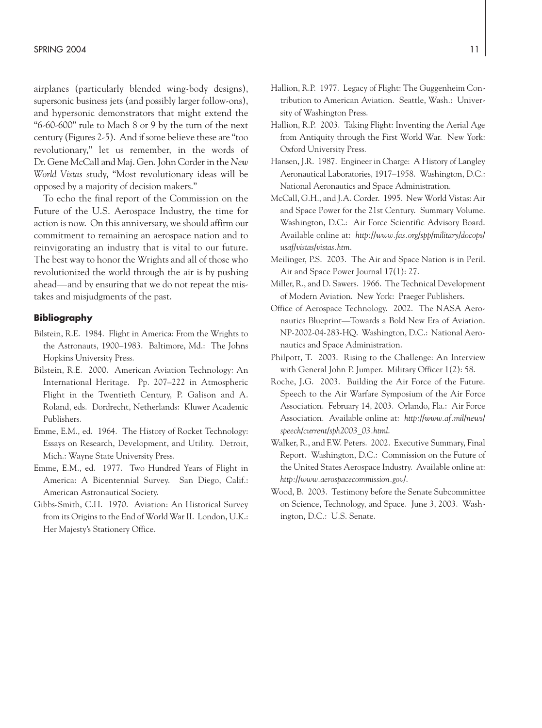airplanes (particularly blended wing-body designs), supersonic business jets (and possibly larger follow-ons), and hypersonic demonstrators that might extend the "6-60-600" rule to Mach 8 or 9 by the turn of the next century (Figures 2-5). And if some believe these are "too revolutionary," let us remember, in the words of Dr. Gene McCall and Maj. Gen. John Corder in the *New World Vistas* study, "Most revolutionary ideas will be opposed by a majority of decision makers."

To echo the final report of the Commission on the Future of the U.S. Aerospace Industry, the time for action is now. On this anniversary, we should affirm our commitment to remaining an aerospace nation and to reinvigorating an industry that is vital to our future. The best way to honor the Wrights and all of those who revolutionized the world through the air is by pushing ahead—and by ensuring that we do not repeat the mistakes and misjudgments of the past.

#### **Bibliography**

- Bilstein, R.E. 1984. Flight in America: From the Wrights to the Astronauts, 1900–1983. Baltimore, Md.: The Johns Hopkins University Press.
- Bilstein, R.E. 2000. American Aviation Technology: An International Heritage. Pp. 207–222 in Atmospheric Flight in the Twentieth Century, P. Galison and A. Roland, eds. Dordrecht, Netherlands: Kluwer Academic Publishers.
- Emme, E.M., ed. 1964. The History of Rocket Technology: Essays on Research, Development, and Utility. Detroit, Mich.: Wayne State University Press.
- Emme, E.M., ed. 1977. Two Hundred Years of Flight in America: A Bicentennial Survey. San Diego, Calif.: American Astronautical Society.
- Gibbs-Smith, C.H. 1970. Aviation: An Historical Survey from its Origins to the End of World War II. London, U.K.: Her Majesty's Stationery Office.
- Hallion, R.P. 1977. Legacy of Flight: The Guggenheim Contribution to American Aviation. Seattle, Wash.: University of Washington Press.
- Hallion, R.P. 2003. Taking Flight: Inventing the Aerial Age from Antiquity through the First World War. New York: Oxford University Press.
- Hansen, J.R. 1987. Engineer in Charge: A History of Langley Aeronautical Laboratories, 1917–1958. Washington, D.C.: National Aeronautics and Space Administration.
- McCall, G.H., and J.A. Corder. 1995. New World Vistas: Air and Space Power for the 21st Century. Summary Volume. Washington, D.C.: Air Force Scientific Advisory Board. Available online at: *http://www.fas.org/spp/military/docops/ usaf/vistas/vistas.htm*.
- Meilinger, P.S. 2003. The Air and Space Nation is in Peril. Air and Space Power Journal 17(1): 27.
- Miller, R., and D. Sawers. 1966. The Technical Development of Modern Aviation. New York: Praeger Publishers.
- Office of Aerospace Technology. 2002. The NASA Aeronautics Blueprint—Towards a Bold New Era of Aviation. NP-2002-04-283-HQ. Washington, D.C.: National Aeronautics and Space Administration.
- Philpott, T. 2003. Rising to the Challenge: An Interview with General John P. Jumper. Military Officer 1(2): 58.
- Roche, J.G. 2003. Building the Air Force of the Future. Speech to the Air Warfare Symposium of the Air Force Association. February 14, 2003. Orlando, Fla.: Air Force Association. Available online at: *http://www.af.mil/news/ speech/current/sph2003\_03.html*.
- Walker, R., and F.W. Peters. 2002. Executive Summary, Final Report. Washington, D.C.: Commission on the Future of the United States Aerospace Industry. Available online at: *http://www.aerospacecommission.gov/*.
- Wood, B. 2003. Testimony before the Senate Subcommittee on Science, Technology, and Space. June 3, 2003. Washington, D.C.: U.S. Senate.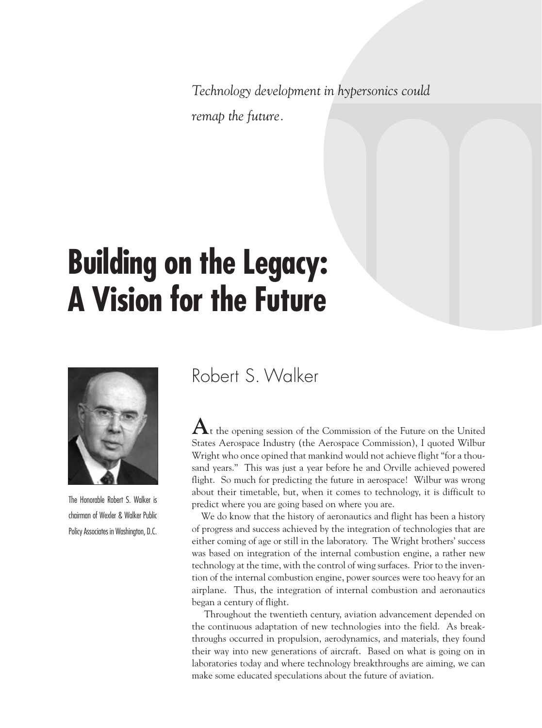*Technology development in hypersonics could remap the future.*

## **Building on the Legacy: A Vision for the Future**



The Honorable Robert S. Walker is chairman of Wexler & Walker Public Policy Associates in Washington, D.C.

## Robert S. Walker

 ${\bf A}$ t the opening session of the Commission of the Future on the United States Aerospace Industry (the Aerospace Commission), I quoted Wilbur Wright who once opined that mankind would not achieve flight "for a thousand years." This was just a year before he and Orville achieved powered flight. So much for predicting the future in aerospace! Wilbur was wrong about their timetable, but, when it comes to technology, it is difficult to predict where you are going based on where you are.

We do know that the history of aeronautics and flight has been a history of progress and success achieved by the integration of technologies that are either coming of age or still in the laboratory. The Wright brothers' success was based on integration of the internal combustion engine, a rather new technology at the time, with the control of wing surfaces. Prior to the invention of the internal combustion engine, power sources were too heavy for an airplane. Thus, the integration of internal combustion and aeronautics began a century of flight.

Throughout the twentieth century, aviation advancement depended on the continuous adaptation of new technologies into the field. As breakthroughs occurred in propulsion, aerodynamics, and materials, they found their way into new generations of aircraft. Based on what is going on in laboratories today and where technology breakthroughs are aiming, we can make some educated speculations about the future of aviation.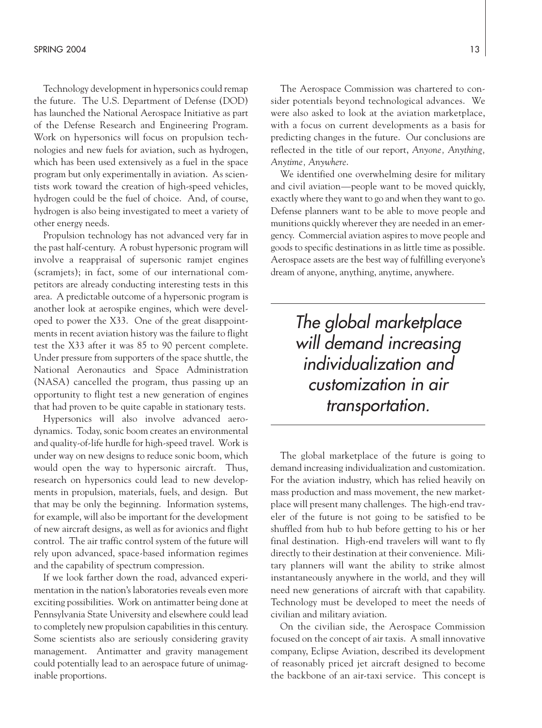Technology development in hypersonics could remap the future. The U.S. Department of Defense (DOD) has launched the National Aerospace Initiative as part of the Defense Research and Engineering Program. Work on hypersonics will focus on propulsion technologies and new fuels for aviation, such as hydrogen, which has been used extensively as a fuel in the space program but only experimentally in aviation. As scientists work toward the creation of high-speed vehicles, hydrogen could be the fuel of choice. And, of course, hydrogen is also being investigated to meet a variety of other energy needs.

Propulsion technology has not advanced very far in the past half-century. A robust hypersonic program will involve a reappraisal of supersonic ramjet engines (scramjets); in fact, some of our international competitors are already conducting interesting tests in this area. A predictable outcome of a hypersonic program is another look at aerospike engines, which were developed to power the X33. One of the great disappointments in recent aviation history was the failure to flight test the X33 after it was 85 to 90 percent complete. Under pressure from supporters of the space shuttle, the National Aeronautics and Space Administration (NASA) cancelled the program, thus passing up an opportunity to flight test a new generation of engines that had proven to be quite capable in stationary tests.

Hypersonics will also involve advanced aerodynamics. Today, sonic boom creates an environmental and quality-of-life hurdle for high-speed travel. Work is under way on new designs to reduce sonic boom, which would open the way to hypersonic aircraft. Thus, research on hypersonics could lead to new developments in propulsion, materials, fuels, and design. But that may be only the beginning. Information systems, for example, will also be important for the development of new aircraft designs, as well as for avionics and flight control. The air traffic control system of the future will rely upon advanced, space-based information regimes and the capability of spectrum compression.

If we look farther down the road, advanced experimentation in the nation's laboratories reveals even more exciting possibilities. Work on antimatter being done at Pennsylvania State University and elsewhere could lead to completely new propulsion capabilities in this century. Some scientists also are seriously considering gravity management. Antimatter and gravity management could potentially lead to an aerospace future of unimaginable proportions.

The Aerospace Commission was chartered to consider potentials beyond technological advances. We were also asked to look at the aviation marketplace, with a focus on current developments as a basis for predicting changes in the future. Our conclusions are reflected in the title of our report, *Anyone, Anything, Anytime, Anywhere*.

We identified one overwhelming desire for military and civil aviation—people want to be moved quickly, exactly where they want to go and when they want to go. Defense planners want to be able to move people and munitions quickly wherever they are needed in an emergency. Commercial aviation aspires to move people and goods to specific destinations in as little time as possible. Aerospace assets are the best way of fulfilling everyone's dream of anyone, anything, anytime, anywhere.

> *The global marketplace will demand increasing individualization and customization in air transportation.*

The global marketplace of the future is going to demand increasing individualization and customization. For the aviation industry, which has relied heavily on mass production and mass movement, the new marketplace will present many challenges. The high-end traveler of the future is not going to be satisfied to be shuffled from hub to hub before getting to his or her final destination. High-end travelers will want to fly directly to their destination at their convenience. Military planners will want the ability to strike almost instantaneously anywhere in the world, and they will need new generations of aircraft with that capability. Technology must be developed to meet the needs of civilian and military aviation.

On the civilian side, the Aerospace Commission focused on the concept of air taxis. A small innovative company, Eclipse Aviation, described its development of reasonably priced jet aircraft designed to become the backbone of an air-taxi service. This concept is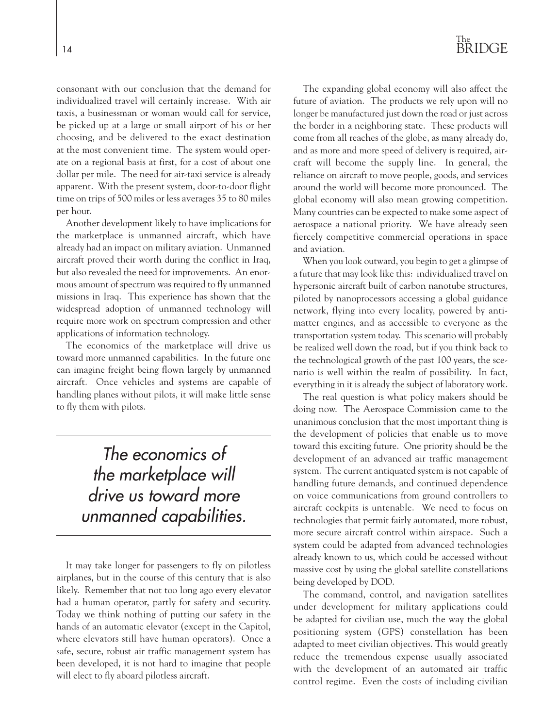consonant with our conclusion that the demand for individualized travel will certainly increase. With air taxis, a businessman or woman would call for service, be picked up at a large or small airport of his or her choosing, and be delivered to the exact destination at the most convenient time. The system would operate on a regional basis at first, for a cost of about one dollar per mile. The need for air-taxi service is already apparent. With the present system, door-to-door flight time on trips of 500 miles or less averages 35 to 80 miles per hour.

Another development likely to have implications for the marketplace is unmanned aircraft, which have already had an impact on military aviation. Unmanned aircraft proved their worth during the conflict in Iraq, but also revealed the need for improvements. An enormous amount of spectrum was required to fly unmanned missions in Iraq. This experience has shown that the widespread adoption of unmanned technology will require more work on spectrum compression and other applications of information technology.

The economics of the marketplace will drive us toward more unmanned capabilities. In the future one can imagine freight being flown largely by unmanned aircraft. Once vehicles and systems are capable of handling planes without pilots, it will make little sense to fly them with pilots.

> *The economics of the marketplace will drive us toward more unmanned capabilities.*

It may take longer for passengers to fly on pilotless airplanes, but in the course of this century that is also likely. Remember that not too long ago every elevator had a human operator, partly for safety and security. Today we think nothing of putting our safety in the hands of an automatic elevator (except in the Capitol, where elevators still have human operators). Once a safe, secure, robust air traffic management system has been developed, it is not hard to imagine that people will elect to fly aboard pilotless aircraft.

## The BRIDGE

The expanding global economy will also affect the future of aviation. The products we rely upon will no longer be manufactured just down the road or just across the border in a neighboring state. These products will come from all reaches of the globe, as many already do, and as more and more speed of delivery is required, aircraft will become the supply line. In general, the reliance on aircraft to move people, goods, and services around the world will become more pronounced. The global economy will also mean growing competition. Many countries can be expected to make some aspect of aerospace a national priority. We have already seen fiercely competitive commercial operations in space and aviation.

When you look outward, you begin to get a glimpse of a future that may look like this: individualized travel on hypersonic aircraft built of carbon nanotube structures, piloted by nanoprocessors accessing a global guidance network, flying into every locality, powered by antimatter engines, and as accessible to everyone as the transportation system today. This scenario will probably be realized well down the road, but if you think back to the technological growth of the past 100 years, the scenario is well within the realm of possibility. In fact, everything in it is already the subject of laboratory work.

The real question is what policy makers should be doing now. The Aerospace Commission came to the unanimous conclusion that the most important thing is the development of policies that enable us to move toward this exciting future. One priority should be the development of an advanced air traffic management system. The current antiquated system is not capable of handling future demands, and continued dependence on voice communications from ground controllers to aircraft cockpits is untenable. We need to focus on technologies that permit fairly automated, more robust, more secure aircraft control within airspace. Such a system could be adapted from advanced technologies already known to us, which could be accessed without massive cost by using the global satellite constellations being developed by DOD.

The command, control, and navigation satellites under development for military applications could be adapted for civilian use, much the way the global positioning system (GPS) constellation has been adapted to meet civilian objectives. This would greatly reduce the tremendous expense usually associated with the development of an automated air traffic control regime. Even the costs of including civilian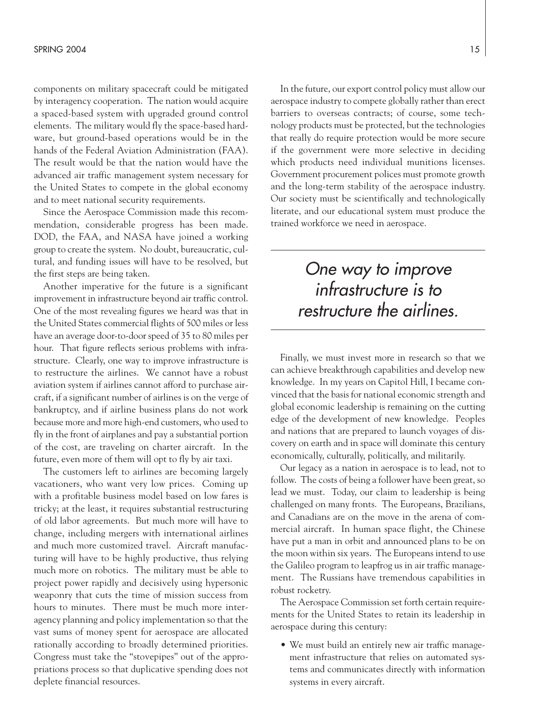components on military spacecraft could be mitigated by interagency cooperation. The nation would acquire a spaced-based system with upgraded ground control elements. The military would fly the space-based hardware, but ground-based operations would be in the hands of the Federal Aviation Administration (FAA). The result would be that the nation would have the advanced air traffic management system necessary for the United States to compete in the global economy and to meet national security requirements.

Since the Aerospace Commission made this recommendation, considerable progress has been made. DOD, the FAA, and NASA have joined a working group to create the system. No doubt, bureaucratic, cultural, and funding issues will have to be resolved, but the first steps are being taken.

Another imperative for the future is a significant improvement in infrastructure beyond air traffic control. One of the most revealing figures we heard was that in the United States commercial flights of 500 miles or less have an average door-to-door speed of 35 to 80 miles per hour. That figure reflects serious problems with infrastructure. Clearly, one way to improve infrastructure is to restructure the airlines. We cannot have a robust aviation system if airlines cannot afford to purchase aircraft, if a significant number of airlines is on the verge of bankruptcy, and if airline business plans do not work because more and more high-end customers, who used to fly in the front of airplanes and pay a substantial portion of the cost, are traveling on charter aircraft. In the future, even more of them will opt to fly by air taxi.

The customers left to airlines are becoming largely vacationers, who want very low prices. Coming up with a profitable business model based on low fares is tricky; at the least, it requires substantial restructuring of old labor agreements. But much more will have to change, including mergers with international airlines and much more customized travel. Aircraft manufacturing will have to be highly productive, thus relying much more on robotics. The military must be able to project power rapidly and decisively using hypersonic weaponry that cuts the time of mission success from hours to minutes. There must be much more interagency planning and policy implementation so that the vast sums of money spent for aerospace are allocated rationally according to broadly determined priorities. Congress must take the "stovepipes" out of the appropriations process so that duplicative spending does not deplete financial resources.

In the future, our export control policy must allow our aerospace industry to compete globally rather than erect barriers to overseas contracts; of course, some technology products must be protected, but the technologies that really do require protection would be more secure if the government were more selective in deciding which products need individual munitions licenses. Government procurement polices must promote growth and the long-term stability of the aerospace industry. Our society must be scientifically and technologically literate, and our educational system must produce the trained workforce we need in aerospace.

## *One way to improve infrastructure is to restructure the airlines.*

Finally, we must invest more in research so that we can achieve breakthrough capabilities and develop new knowledge. In my years on Capitol Hill, I became convinced that the basis for national economic strength and global economic leadership is remaining on the cutting edge of the development of new knowledge. Peoples and nations that are prepared to launch voyages of discovery on earth and in space will dominate this century economically, culturally, politically, and militarily.

Our legacy as a nation in aerospace is to lead, not to follow. The costs of being a follower have been great, so lead we must. Today, our claim to leadership is being challenged on many fronts. The Europeans, Brazilians, and Canadians are on the move in the arena of commercial aircraft. In human space flight, the Chinese have put a man in orbit and announced plans to be on the moon within six years. The Europeans intend to use the Galileo program to leapfrog us in air traffic management. The Russians have tremendous capabilities in robust rocketry.

The Aerospace Commission set forth certain requirements for the United States to retain its leadership in aerospace during this century:

• We must build an entirely new air traffic management infrastructure that relies on automated systems and communicates directly with information systems in every aircraft.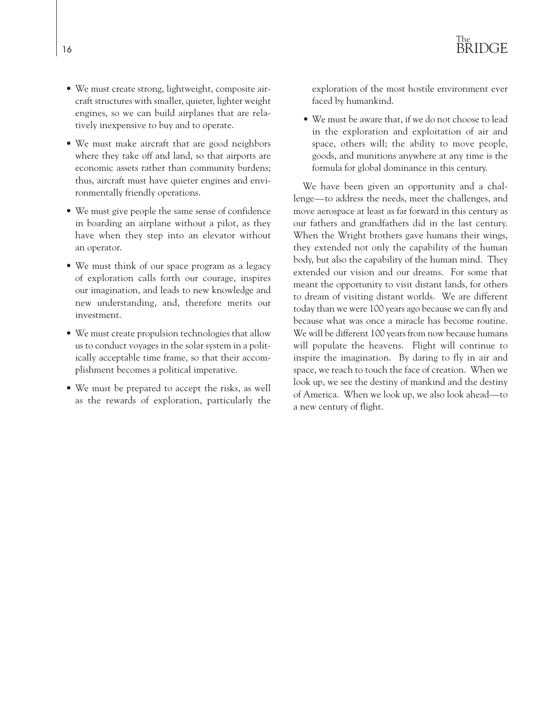- We must create strong, lightweight, composite aircraft structures with smaller, quieter, lighter weight engines, so we can build airplanes that are relatively inexpensive to buy and to operate.
- We must make aircraft that are good neighbors where they take off and land, so that airports are economic assets rather than community burdens; thus, aircraft must have quieter engines and environmentally friendly operations.
- We must give people the same sense of confidence in boarding an airplane without a pilot, as they have when they step into an elevator without an operator.
- We must think of our space program as a legacy of exploration calls forth our courage, inspires our imagination, and leads to new knowledge and new understanding, and, therefore merits our investment.
- We must create propulsion technologies that allow us to conduct voyages in the solar system in a politically acceptable time frame, so that their accomplishment becomes a political imperative.
- We must be prepared to accept the risks, as well as the rewards of exploration, particularly the

exploration of the most hostile environment ever faced by humankind.

• We must be aware that, if we do not choose to lead in the exploration and exploitation of air and space, others will; the ability to move people, goods, and munitions anywhere at any time is the formula for global dominance in this century.

We have been given an opportunity and a challenge—to address the needs, meet the challenges, and move aerospace at least as far forward in this century as our fathers and grandfathers did in the last century. When the Wright brothers gave humans their wings, they extended not only the capability of the human body, but also the capability of the human mind. They extended our vision and our dreams. For some that meant the opportunity to visit distant lands, for others to dream of visiting distant worlds. We are different today than we were 100 years ago because we can fly and because what was once a miracle has become routine. We will be different 100 years from now because humans will populate the heavens. Flight will continue to inspire the imagination. By daring to fly in air and space, we reach to touch the face of creation. When we look up, we see the destiny of mankind and the destiny of America. When we look up, we also look ahead—to a new century of flight.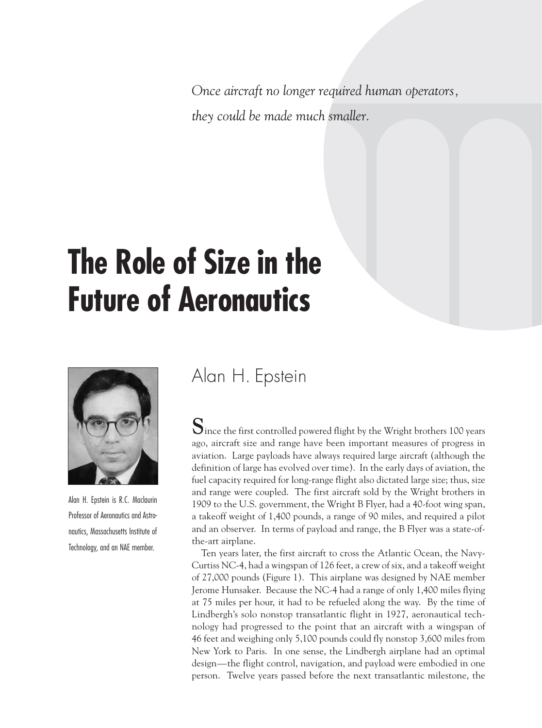*Once aircraft no longer required human operators, they could be made much smaller.*

## **The Role of Size in the Future of Aeronautics**



Alan H. Epstein is R.C. Maclaurin Professor of Aeronautics and Astronautics, Massachusetts Institute of Technology, and an NAE member.

## Alan H. Epstein

**S**ince the first controlled powered flight by the Wright brothers 100 years ago, aircraft size and range have been important measures of progress in aviation. Large payloads have always required large aircraft (although the definition of large has evolved over time). In the early days of aviation, the fuel capacity required for long-range flight also dictated large size; thus, size and range were coupled. The first aircraft sold by the Wright brothers in 1909 to the U.S. government, the Wright B Flyer, had a 40-foot wing span, a takeoff weight of 1,400 pounds, a range of 90 miles, and required a pilot and an observer. In terms of payload and range, the B Flyer was a state-ofthe-art airplane.

Ten years later, the first aircraft to cross the Atlantic Ocean, the Navy-Curtiss NC-4, had a wingspan of 126 feet, a crew of six, and a takeoff weight of 27,000 pounds (Figure 1). This airplane was designed by NAE member Jerome Hunsaker. Because the NC-4 had a range of only 1,400 miles flying at 75 miles per hour, it had to be refueled along the way. By the time of Lindbergh's solo nonstop transatlantic flight in 1927, aeronautical technology had progressed to the point that an aircraft with a wingspan of 46 feet and weighing only 5,100 pounds could fly nonstop 3,600 miles from New York to Paris. In one sense, the Lindbergh airplane had an optimal design—the flight control, navigation, and payload were embodied in one person. Twelve years passed before the next transatlantic milestone, the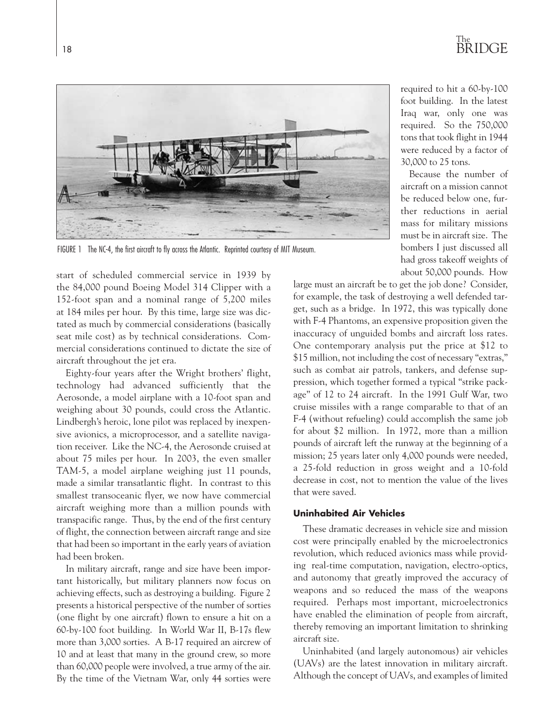

FIGURE 1 The NC-4, the first aircraft to fly across the Atlantic. Reprinted courtesy of MIT Museum.

start of scheduled commercial service in 1939 by the 84,000 pound Boeing Model 314 Clipper with a 152-foot span and a nominal range of 5,200 miles at 184 miles per hour. By this time, large size was dictated as much by commercial considerations (basically seat mile cost) as by technical considerations. Commercial considerations continued to dictate the size of aircraft throughout the jet era.

Eighty-four years after the Wright brothers' flight, technology had advanced sufficiently that the Aerosonde, a model airplane with a 10-foot span and weighing about 30 pounds, could cross the Atlantic. Lindbergh's heroic, lone pilot was replaced by inexpensive avionics, a microprocessor, and a satellite navigation receiver. Like the NC-4, the Aerosonde cruised at about 75 miles per hour. In 2003, the even smaller TAM-5, a model airplane weighing just 11 pounds, made a similar transatlantic flight. In contrast to this smallest transoceanic flyer, we now have commercial aircraft weighing more than a million pounds with transpacific range. Thus, by the end of the first century of flight, the connection between aircraft range and size that had been so important in the early years of aviation had been broken.

In military aircraft, range and size have been important historically, but military planners now focus on achieving effects, such as destroying a building. Figure 2 presents a historical perspective of the number of sorties (one flight by one aircraft) flown to ensure a hit on a 60-by-100 foot building. In World War II, B-17s flew more than 3,000 sorties. A B-17 required an aircrew of 10 and at least that many in the ground crew, so more than 60,000 people were involved, a true army of the air. By the time of the Vietnam War, only 44 sorties were required to hit a 60-by-100 foot building. In the latest Iraq war, only one was required. So the 750,000 tons that took flight in 1944 were reduced by a factor of 30,000 to 25 tons.

Because the number of aircraft on a mission cannot be reduced below one, further reductions in aerial mass for military missions must be in aircraft size. The bombers I just discussed all had gross takeoff weights of about 50,000 pounds. How

large must an aircraft be to get the job done? Consider, for example, the task of destroying a well defended target, such as a bridge. In 1972, this was typically done with F-4 Phantoms, an expensive proposition given the inaccuracy of unguided bombs and aircraft loss rates. One contemporary analysis put the price at \$12 to \$15 million, not including the cost of necessary "extras," such as combat air patrols, tankers, and defense suppression, which together formed a typical "strike package" of 12 to 24 aircraft. In the 1991 Gulf War, two cruise missiles with a range comparable to that of an F-4 (without refueling) could accomplish the same job for about \$2 million. In 1972, more than a million pounds of aircraft left the runway at the beginning of a mission; 25 years later only 4,000 pounds were needed, a 25-fold reduction in gross weight and a 10-fold decrease in cost, not to mention the value of the lives that were saved.

### **Uninhabited Air Vehicles**

These dramatic decreases in vehicle size and mission cost were principally enabled by the microelectronics revolution, which reduced avionics mass while providing real-time computation, navigation, electro-optics, and autonomy that greatly improved the accuracy of weapons and so reduced the mass of the weapons required. Perhaps most important, microelectronics have enabled the elimination of people from aircraft, thereby removing an important limitation to shrinking aircraft size.

Uninhabited (and largely autonomous) air vehicles (UAVs) are the latest innovation in military aircraft. Although the concept of UAVs, and examples of limited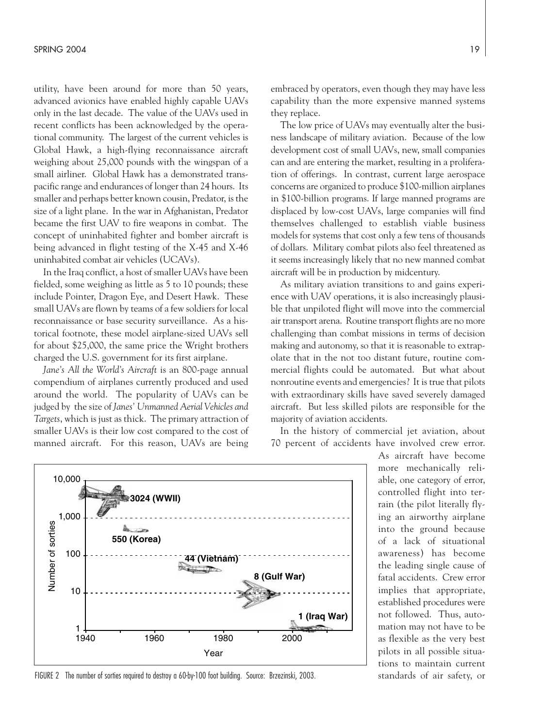utility, have been around for more than 50 years, advanced avionics have enabled highly capable UAVs only in the last decade. The value of the UAVs used in recent conflicts has been acknowledged by the operational community. The largest of the current vehicles is Global Hawk, a high-flying reconnaissance aircraft weighing about 25,000 pounds with the wingspan of a small airliner. Global Hawk has a demonstrated transpacific range and endurances of longer than 24 hours. Its smaller and perhaps better known cousin, Predator, is the size of a light plane. In the war in Afghanistan, Predator became the first UAV to fire weapons in combat. The concept of uninhabited fighter and bomber aircraft is being advanced in flight testing of the X-45 and X-46 uninhabited combat air vehicles (UCAVs).

In the Iraq conflict, a host of smaller UAVs have been fielded, some weighing as little as 5 to 10 pounds; these include Pointer, Dragon Eye, and Desert Hawk. These small UAVs are flown by teams of a few soldiers for local reconnaissance or base security surveillance. As a historical footnote, these model airplane-sized UAVs sell for about \$25,000, the same price the Wright brothers charged the U.S. government for its first airplane.

*Jane's All the World's Aircraft* is an 800-page annual compendium of airplanes currently produced and used around the world. The popularity of UAVs can be judged by the size of *Janes' Unmanned Aerial Vehicles and Targets*, which is just as thick. The primary attraction of smaller UAVs is their low cost compared to the cost of manned aircraft. For this reason, UAVs are being embraced by operators, even though they may have less capability than the more expensive manned systems they replace.

The low price of UAVs may eventually alter the business landscape of military aviation. Because of the low development cost of small UAVs, new, small companies can and are entering the market, resulting in a proliferation of offerings. In contrast, current large aerospace concerns are organized to produce \$100-million airplanes in \$100-billion programs. If large manned programs are displaced by low-cost UAVs, large companies will find themselves challenged to establish viable business models for systems that cost only a few tens of thousands of dollars. Military combat pilots also feel threatened as it seems increasingly likely that no new manned combat aircraft will be in production by midcentury.

As military aviation transitions to and gains experience with UAV operations, it is also increasingly plausible that unpiloted flight will move into the commercial air transport arena. Routine transport flights are no more challenging than combat missions in terms of decision making and autonomy, so that it is reasonable to extrapolate that in the not too distant future, routine commercial flights could be automated. But what about nonroutine events and emergencies? It is true that pilots with extraordinary skills have saved severely damaged aircraft. But less skilled pilots are responsible for the majority of aviation accidents.

In the history of commercial jet aviation, about 70 percent of accidents have involved crew error.

> As aircraft have become more mechanically reliable, one category of error, controlled flight into terrain (the pilot literally flying an airworthy airplane into the ground because of a lack of situational awareness) has become the leading single cause of fatal accidents. Crew error implies that appropriate, established procedures were not followed. Thus, automation may not have to be as flexible as the very best pilots in all possible situations to maintain current standards of air safety, or



FIGURE 2 The number of sorties required to destroy a 60-by-100 foot building. Source: Brzezinski, 2003.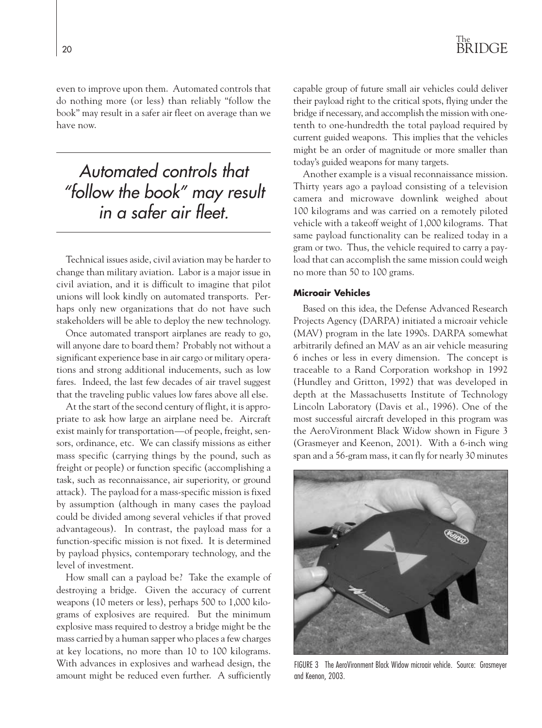even to improve upon them. Automated controls that do nothing more (or less) than reliably "follow the book" may result in a safer air fleet on average than we have now.

## *Automated controls that "follow the book" may result in a safer air fleet.*

Technical issues aside, civil aviation may be harder to change than military aviation. Labor is a major issue in civil aviation, and it is difficult to imagine that pilot unions will look kindly on automated transports. Perhaps only new organizations that do not have such stakeholders will be able to deploy the new technology.

Once automated transport airplanes are ready to go, will anyone dare to board them? Probably not without a significant experience base in air cargo or military operations and strong additional inducements, such as low fares. Indeed, the last few decades of air travel suggest that the traveling public values low fares above all else.

At the start of the second century of flight, it is appropriate to ask how large an airplane need be. Aircraft exist mainly for transportation—of people, freight, sensors, ordinance, etc. We can classify missions as either mass specific (carrying things by the pound, such as freight or people) or function specific (accomplishing a task, such as reconnaissance, air superiority, or ground attack). The payload for a mass-specific mission is fixed by assumption (although in many cases the payload could be divided among several vehicles if that proved advantageous). In contrast, the payload mass for a function-specific mission is not fixed. It is determined by payload physics, contemporary technology, and the level of investment.

How small can a payload be? Take the example of destroying a bridge. Given the accuracy of current weapons (10 meters or less), perhaps 500 to 1,000 kilograms of explosives are required. But the minimum explosive mass required to destroy a bridge might be the mass carried by a human sapper who places a few charges at key locations, no more than 10 to 100 kilograms. With advances in explosives and warhead design, the amount might be reduced even further. A sufficiently

capable group of future small air vehicles could deliver their payload right to the critical spots, flying under the bridge if necessary, and accomplish the mission with onetenth to one-hundredth the total payload required by current guided weapons. This implies that the vehicles might be an order of magnitude or more smaller than today's guided weapons for many targets.

Another example is a visual reconnaissance mission. Thirty years ago a payload consisting of a television camera and microwave downlink weighed about 100 kilograms and was carried on a remotely piloted vehicle with a takeoff weight of 1,000 kilograms. That same payload functionality can be realized today in a gram or two. Thus, the vehicle required to carry a payload that can accomplish the same mission could weigh no more than 50 to 100 grams.

### **Microair Vehicles**

Based on this idea, the Defense Advanced Research Projects Agency (DARPA) initiated a microair vehicle (MAV) program in the late 1990s. DARPA somewhat arbitrarily defined an MAV as an air vehicle measuring 6 inches or less in every dimension. The concept is traceable to a Rand Corporation workshop in 1992 (Hundley and Gritton, 1992) that was developed in depth at the Massachusetts Institute of Technology Lincoln Laboratory (Davis et al., 1996). One of the most successful aircraft developed in this program was the AeroVironment Black Widow shown in Figure 3 (Grasmeyer and Keenon, 2001). With a 6-inch wing span and a 56-gram mass, it can fly for nearly 30 minutes



FIGURE 3 The AeroVironment Black Widow microair vehicle. Source: Grasmeyer and Keenon, 2003.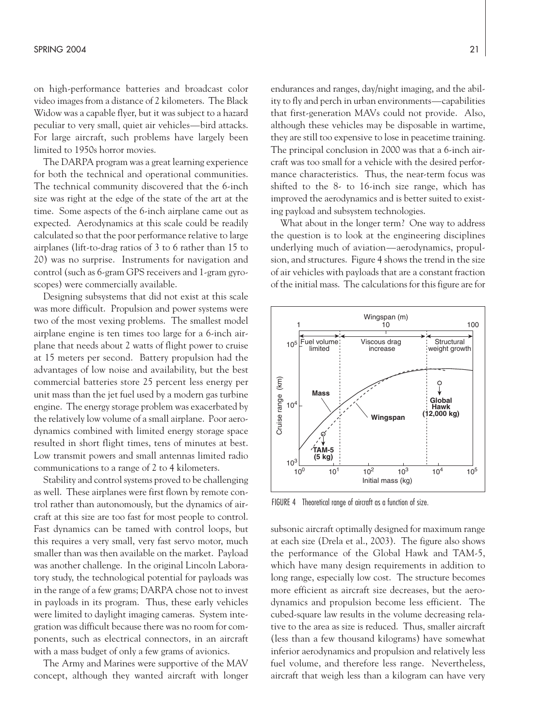on high-performance batteries and broadcast color video images from a distance of 2 kilometers. The Black Widow was a capable flyer, but it was subject to a hazard peculiar to very small, quiet air vehicles—bird attacks. For large aircraft, such problems have largely been limited to 1950s horror movies.

The DARPA program was a great learning experience for both the technical and operational communities. The technical community discovered that the 6-inch size was right at the edge of the state of the art at the time. Some aspects of the 6-inch airplane came out as expected. Aerodynamics at this scale could be readily calculated so that the poor performance relative to large airplanes (lift-to-drag ratios of 3 to 6 rather than 15 to 20) was no surprise. Instruments for navigation and control (such as 6-gram GPS receivers and 1-gram gyroscopes) were commercially available.

Designing subsystems that did not exist at this scale was more difficult. Propulsion and power systems were two of the most vexing problems. The smallest model airplane engine is ten times too large for a 6-inch airplane that needs about 2 watts of flight power to cruise at 15 meters per second. Battery propulsion had the advantages of low noise and availability, but the best commercial batteries store 25 percent less energy per unit mass than the jet fuel used by a modern gas turbine engine. The energy storage problem was exacerbated by the relatively low volume of a small airplane. Poor aerodynamics combined with limited energy storage space resulted in short flight times, tens of minutes at best. Low transmit powers and small antennas limited radio communications to a range of 2 to 4 kilometers.

Stability and control systems proved to be challenging as well. These airplanes were first flown by remote control rather than autonomously, but the dynamics of aircraft at this size are too fast for most people to control. Fast dynamics can be tamed with control loops, but this requires a very small, very fast servo motor, much smaller than was then available on the market. Payload was another challenge. In the original Lincoln Laboratory study, the technological potential for payloads was in the range of a few grams; DARPA chose not to invest in payloads in its program. Thus, these early vehicles were limited to daylight imaging cameras. System integration was difficult because there was no room for components, such as electrical connectors, in an aircraft with a mass budget of only a few grams of avionics.

The Army and Marines were supportive of the MAV concept, although they wanted aircraft with longer endurances and ranges, day/night imaging, and the ability to fly and perch in urban environments—capabilities that first-generation MAVs could not provide. Also, although these vehicles may be disposable in wartime, they are still too expensive to lose in peacetime training. The principal conclusion in 2000 was that a 6-inch aircraft was too small for a vehicle with the desired performance characteristics. Thus, the near-term focus was shifted to the 8- to 16-inch size range, which has improved the aerodynamics and is better suited to existing payload and subsystem technologies.

What about in the longer term? One way to address the question is to look at the engineering disciplines underlying much of aviation—aerodynamics, propulsion, and structures. Figure 4 shows the trend in the size of air vehicles with payloads that are a constant fraction of the initial mass. The calculations for this figure are for



FIGURE 4 Theoretical range of aircraft as a function of size.

subsonic aircraft optimally designed for maximum range at each size (Drela et al., 2003). The figure also shows the performance of the Global Hawk and TAM-5, which have many design requirements in addition to long range, especially low cost. The structure becomes more efficient as aircraft size decreases, but the aerodynamics and propulsion become less efficient. The cubed-square law results in the volume decreasing relative to the area as size is reduced. Thus, smaller aircraft (less than a few thousand kilograms) have somewhat inferior aerodynamics and propulsion and relatively less fuel volume, and therefore less range. Nevertheless, aircraft that weigh less than a kilogram can have very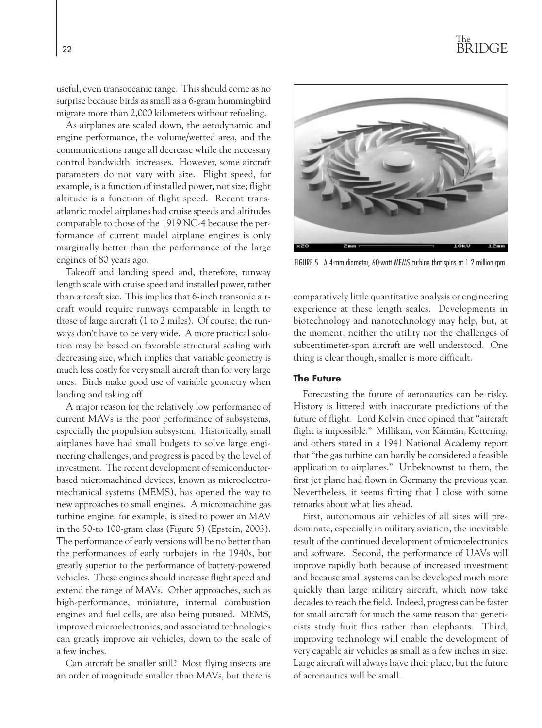useful, even transoceanic range. This should come as no surprise because birds as small as a 6-gram hummingbird migrate more than 2,000 kilometers without refueling.

As airplanes are scaled down, the aerodynamic and engine performance, the volume/wetted area, and the communications range all decrease while the necessary control bandwidth increases. However, some aircraft parameters do not vary with size. Flight speed, for example, is a function of installed power, not size; flight altitude is a function of flight speed. Recent transatlantic model airplanes had cruise speeds and altitudes comparable to those of the 1919 NC-4 because the performance of current model airplane engines is only marginally better than the performance of the large engines of 80 years ago.

Takeoff and landing speed and, therefore, runway length scale with cruise speed and installed power, rather than aircraft size. This implies that 6-inch transonic aircraft would require runways comparable in length to those of large aircraft (1 to 2 miles). Of course, the runways don't have to be very wide. A more practical solution may be based on favorable structural scaling with decreasing size, which implies that variable geometry is much less costly for very small aircraft than for very large ones. Birds make good use of variable geometry when landing and taking off.

A major reason for the relatively low performance of current MAVs is the poor performance of subsystems, especially the propulsion subsystem. Historically, small airplanes have had small budgets to solve large engineering challenges, and progress is paced by the level of investment. The recent development of semiconductorbased micromachined devices, known as microelectromechanical systems (MEMS), has opened the way to new approaches to small engines. A micromachine gas turbine engine, for example, is sized to power an MAV in the 50-to 100-gram class (Figure 5) (Epstein, 2003). The performance of early versions will be no better than the performances of early turbojets in the 1940s, but greatly superior to the performance of battery-powered vehicles. These engines should increase flight speed and extend the range of MAVs. Other approaches, such as high-performance, miniature, internal combustion engines and fuel cells, are also being pursued. MEMS, improved microelectronics, and associated technologies can greatly improve air vehicles, down to the scale of a few inches.

Can aircraft be smaller still? Most flying insects are an order of magnitude smaller than MAVs, but there is



FIGURE 5 A 4-mm diameter, 60-watt MEMS turbine that spins at 1.2 million rpm.

comparatively little quantitative analysis or engineering experience at these length scales. Developments in biotechnology and nanotechnology may help, but, at the moment, neither the utility nor the challenges of subcentimeter-span aircraft are well understood. One thing is clear though, smaller is more difficult.

#### **The Future**

Forecasting the future of aeronautics can be risky. History is littered with inaccurate predictions of the future of flight. Lord Kelvin once opined that "aircraft flight is impossible." Millikan, von Kármán, Kettering, and others stated in a 1941 National Academy report that "the gas turbine can hardly be considered a feasible application to airplanes." Unbeknownst to them, the first jet plane had flown in Germany the previous year. Nevertheless, it seems fitting that I close with some remarks about what lies ahead.

First, autonomous air vehicles of all sizes will predominate, especially in military aviation, the inevitable result of the continued development of microelectronics and software. Second, the performance of UAVs will improve rapidly both because of increased investment and because small systems can be developed much more quickly than large military aircraft, which now take decades to reach the field. Indeed, progress can be faster for small aircraft for much the same reason that geneticists study fruit flies rather than elephants. Third, improving technology will enable the development of very capable air vehicles as small as a few inches in size. Large aircraft will always have their place, but the future of aeronautics will be small.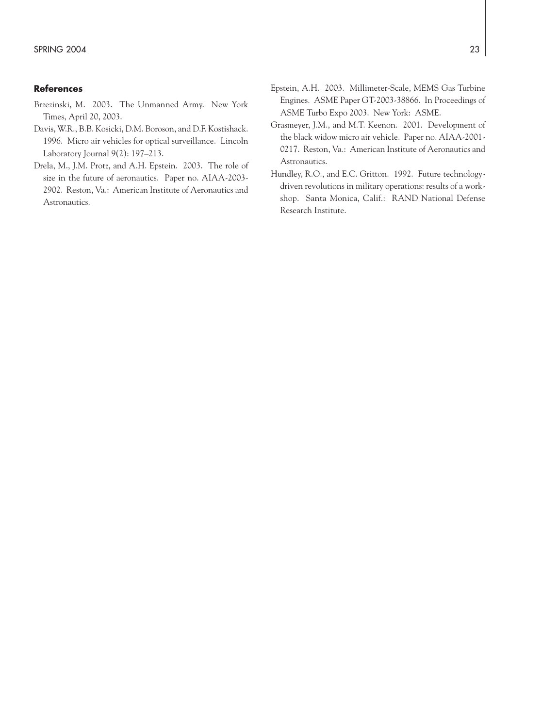### **References**

- Brzezinski, M. 2003. The Unmanned Army. New York Times, April 20, 2003.
- Davis, W.R., B.B. Kosicki, D.M. Boroson, and D.F. Kostishack. 1996. Micro air vehicles for optical surveillance. Lincoln Laboratory Journal 9(2): 197–213.
- Drela, M., J.M. Protz, and A.H. Epstein. 2003. The role of size in the future of aeronautics. Paper no. AIAA-2003- 2902. Reston, Va.: American Institute of Aeronautics and Astronautics.
- Epstein, A.H. 2003. Millimeter-Scale, MEMS Gas Turbine Engines. ASME Paper GT-2003-38866. In Proceedings of ASME Turbo Expo 2003. New York: ASME.
- Grasmeyer, J.M., and M.T. Keenon. 2001. Development of the black widow micro air vehicle. Paper no. AIAA-2001- 0217. Reston, Va.: American Institute of Aeronautics and Astronautics.
- Hundley, R.O., and E.C. Gritton. 1992. Future technologydriven revolutions in military operations: results of a workshop. Santa Monica, Calif.: RAND National Defense Research Institute.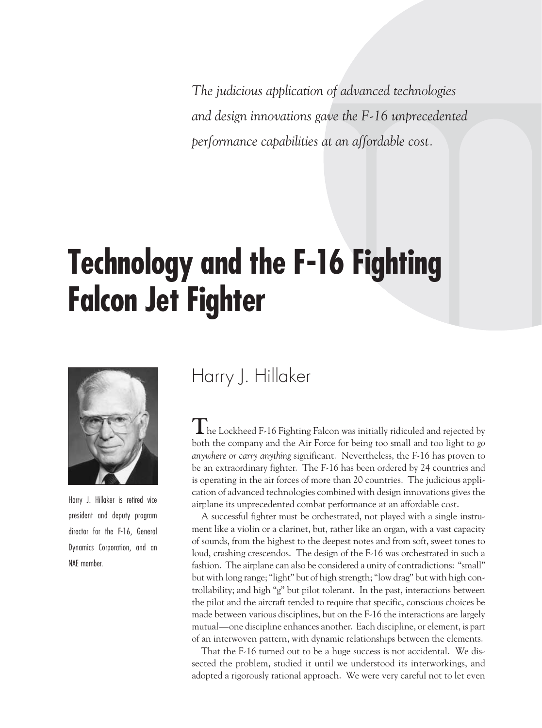*The judicious application of advanced technologies and design innovations gave the F-16 unprecedented performance capabilities at an affordable cost.*

## **Technology and the F-16 Fighting Falcon Jet Fighter**



Harry J. Hillaker is retired vice president and deputy program director for the F-16, General Dynamics Corporation, and an NAE member.

## Harry J. Hillaker

**T**he Lockheed F-16 Fighting Falcon was initially ridiculed and rejected by both the company and the Air Force for being too small and too light to *go anywhere or carry anything* significant. Nevertheless, the F-16 has proven to be an extraordinary fighter. The F-16 has been ordered by 24 countries and is operating in the air forces of more than 20 countries. The judicious application of advanced technologies combined with design innovations gives the airplane its unprecedented combat performance at an affordable cost.

A successful fighter must be orchestrated, not played with a single instrument like a violin or a clarinet, but, rather like an organ, with a vast capacity of sounds, from the highest to the deepest notes and from soft, sweet tones to loud, crashing crescendos. The design of the F-16 was orchestrated in such a fashion. The airplane can also be considered a unity of contradictions: "small" but with long range; "light" but of high strength; "low drag" but with high controllability; and high "g" but pilot tolerant. In the past, interactions between the pilot and the aircraft tended to require that specific, conscious choices be made between various disciplines, but on the F-16 the interactions are largely mutual—one discipline enhances another. Each discipline, or element, is part of an interwoven pattern, with dynamic relationships between the elements.

That the F-16 turned out to be a huge success is not accidental. We dissected the problem, studied it until we understood its interworkings, and adopted a rigorously rational approach. We were very careful not to let even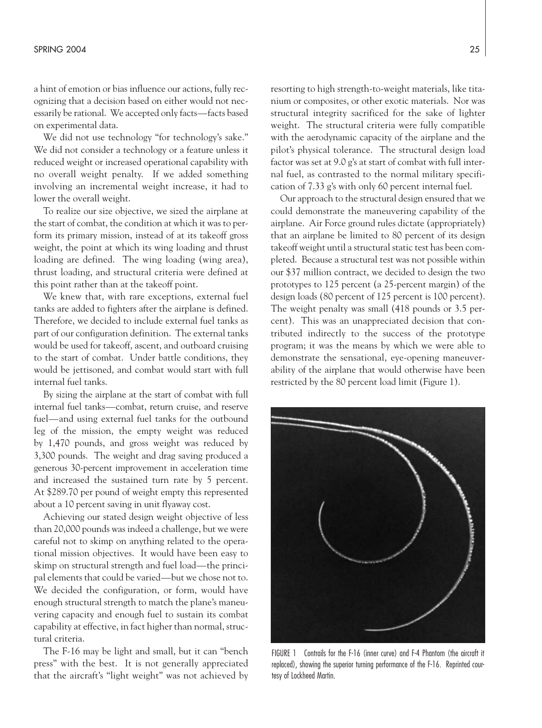a hint of emotion or bias influence our actions, fully recognizing that a decision based on either would not necessarily be rational. We accepted only facts—facts based on experimental data.

We did not use technology "for technology's sake." We did not consider a technology or a feature unless it reduced weight or increased operational capability with no overall weight penalty. If we added something involving an incremental weight increase, it had to lower the overall weight.

To realize our size objective, we sized the airplane at the start of combat, the condition at which it was to perform its primary mission, instead of at its takeoff gross weight, the point at which its wing loading and thrust loading are defined. The wing loading (wing area), thrust loading, and structural criteria were defined at this point rather than at the takeoff point.

We knew that, with rare exceptions, external fuel tanks are added to fighters after the airplane is defined. Therefore, we decided to include external fuel tanks as part of our configuration definition. The external tanks would be used for takeoff, ascent, and outboard cruising to the start of combat. Under battle conditions, they would be jettisoned, and combat would start with full internal fuel tanks.

By sizing the airplane at the start of combat with full internal fuel tanks—combat, return cruise, and reserve fuel—and using external fuel tanks for the outbound leg of the mission, the empty weight was reduced by 1,470 pounds, and gross weight was reduced by 3,300 pounds. The weight and drag saving produced a generous 30-percent improvement in acceleration time and increased the sustained turn rate by 5 percent. At \$289.70 per pound of weight empty this represented about a 10 percent saving in unit flyaway cost.

Achieving our stated design weight objective of less than 20,000 pounds was indeed a challenge, but we were careful not to skimp on anything related to the operational mission objectives. It would have been easy to skimp on structural strength and fuel load—the principal elements that could be varied—but we chose not to. We decided the configuration, or form, would have enough structural strength to match the plane's maneuvering capacity and enough fuel to sustain its combat capability at effective, in fact higher than normal, structural criteria.

The F-16 may be light and small, but it can "bench press" with the best. It is not generally appreciated that the aircraft's "light weight" was not achieved by resorting to high strength-to-weight materials, like titanium or composites, or other exotic materials. Nor was structural integrity sacrificed for the sake of lighter weight. The structural criteria were fully compatible with the aerodynamic capacity of the airplane and the pilot's physical tolerance. The structural design load factor was set at 9.0 g's at start of combat with full internal fuel, as contrasted to the normal military specification of 7.33 g's with only 60 percent internal fuel.

Our approach to the structural design ensured that we could demonstrate the maneuvering capability of the airplane. Air Force ground rules dictate (appropriately) that an airplane be limited to 80 percent of its design takeoff weight until a structural static test has been completed. Because a structural test was not possible within our \$37 million contract, we decided to design the two prototypes to 125 percent (a 25-percent margin) of the design loads (80 percent of 125 percent is 100 percent). The weight penalty was small (418 pounds or 3.5 percent). This was an unappreciated decision that contributed indirectly to the success of the prototype program; it was the means by which we were able to demonstrate the sensational, eye-opening maneuverability of the airplane that would otherwise have been restricted by the 80 percent load limit (Figure 1).

FIGURE 1 Contrails for the F-16 (inner curve) and F-4 Phantom (the aircraft it replaced), showing the superior turning performance of the F-16. Reprinted courtesy of Lockheed Martin.

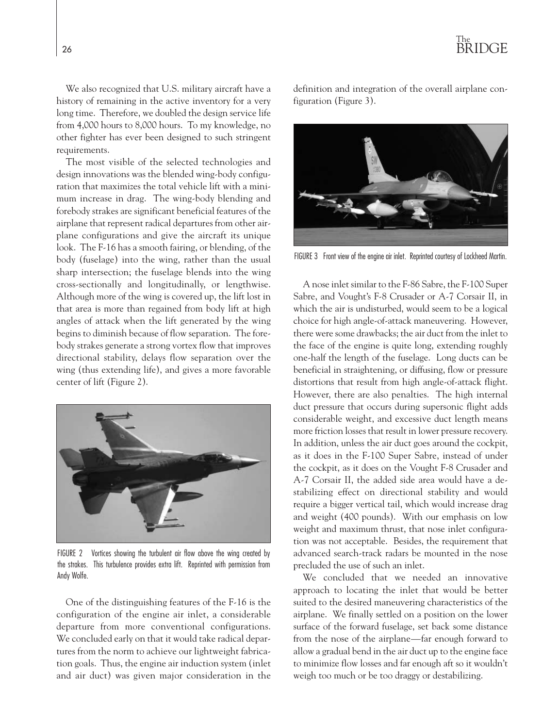We also recognized that U.S. military aircraft have a history of remaining in the active inventory for a very long time. Therefore, we doubled the design service life from 4,000 hours to 8,000 hours. To my knowledge, no other fighter has ever been designed to such stringent requirements.

The most visible of the selected technologies and design innovations was the blended wing-body configuration that maximizes the total vehicle lift with a minimum increase in drag. The wing-body blending and forebody strakes are significant beneficial features of the airplane that represent radical departures from other airplane configurations and give the aircraft its unique look. The F-16 has a smooth fairing, or blending, of the body (fuselage) into the wing, rather than the usual sharp intersection; the fuselage blends into the wing cross-sectionally and longitudinally, or lengthwise. Although more of the wing is covered up, the lift lost in that area is more than regained from body lift at high angles of attack when the lift generated by the wing begins to diminish because of flow separation. The forebody strakes generate a strong vortex flow that improves directional stability, delays flow separation over the wing (thus extending life), and gives a more favorable center of lift (Figure 2).



FIGURE 2 Vortices showing the turbulent air flow above the wing created by the strakes. This turbulence provides extra lift. Reprinted with permission from Andy Wolfe.

One of the distinguishing features of the F-16 is the configuration of the engine air inlet, a considerable departure from more conventional configurations. We concluded early on that it would take radical departures from the norm to achieve our lightweight fabrication goals. Thus, the engine air induction system (inlet and air duct) was given major consideration in the definition and integration of the overall airplane configuration (Figure 3).



FIGURE 3 Front view of the engine air inlet. Reprinted courtesy of Lockheed Martin.

A nose inlet similar to the F-86 Sabre, the F-100 Super Sabre, and Vought's F-8 Crusader or A-7 Corsair II, in which the air is undisturbed, would seem to be a logical choice for high angle-of-attack maneuvering. However, there were some drawbacks; the air duct from the inlet to the face of the engine is quite long, extending roughly one-half the length of the fuselage. Long ducts can be beneficial in straightening, or diffusing, flow or pressure distortions that result from high angle-of-attack flight. However, there are also penalties. The high internal duct pressure that occurs during supersonic flight adds considerable weight, and excessive duct length means more friction losses that result in lower pressure recovery. In addition, unless the air duct goes around the cockpit, as it does in the F-100 Super Sabre, instead of under the cockpit, as it does on the Vought F-8 Crusader and A-7 Corsair II, the added side area would have a destabilizing effect on directional stability and would require a bigger vertical tail, which would increase drag and weight (400 pounds). With our emphasis on low weight and maximum thrust, that nose inlet configuration was not acceptable. Besides, the requirement that advanced search-track radars be mounted in the nose precluded the use of such an inlet.

We concluded that we needed an innovative approach to locating the inlet that would be better suited to the desired maneuvering characteristics of the airplane. We finally settled on a position on the lower surface of the forward fuselage, set back some distance from the nose of the airplane—far enough forward to allow a gradual bend in the air duct up to the engine face to minimize flow losses and far enough aft so it wouldn't weigh too much or be too draggy or destabilizing.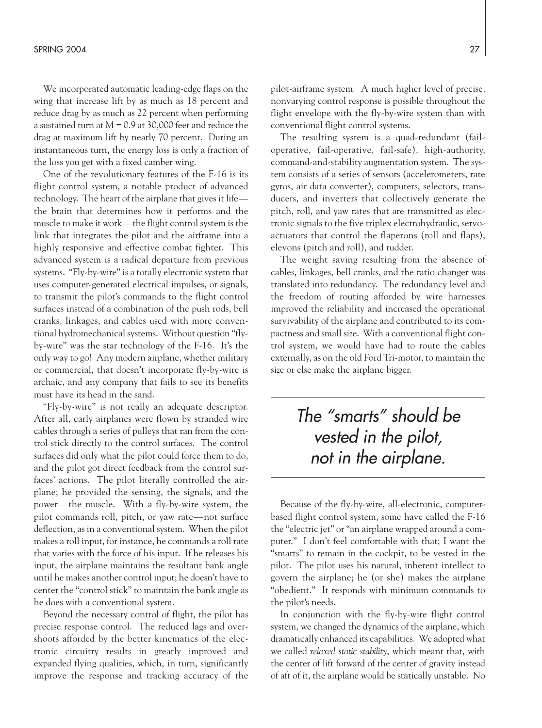We incorporated automatic leading-edge flaps on the wing that increase lift by as much as 18 percent and reduce drag by as much as 22 percent when performing a sustained turn at M = 0.9 at 30,000 feet and reduce the drag at maximum lift by nearly 70 percent. During an instantaneous turn, the energy loss is only a fraction of the loss you get with a fixed camber wing.

One of the revolutionary features of the F-16 is its flight control system, a notable product of advanced technology. The heart of the airplane that gives it life the brain that determines how it performs and the muscle to make it work—the flight control system is the link that integrates the pilot and the airframe into a highly responsive and effective combat fighter. This advanced system is a radical departure from previous systems. "Fly-by-wire" is a totally electronic system that uses computer-generated electrical impulses, or signals, to transmit the pilot's commands to the flight control surfaces instead of a combination of the push rods, bell cranks, linkages, and cables used with more conventional hydromechanical systems. Without question "flyby-wire" was the star technology of the F-16. It's the only way to go! Any modern airplane, whether military or commercial, that doesn't incorporate fly-by-wire is archaic, and any company that fails to see its benefits must have its head in the sand.

"Fly-by-wire" is not really an adequate descriptor. After all, early airplanes were flown by stranded wire cables through a series of pulleys that ran from the control stick directly to the control surfaces. The control surfaces did only what the pilot could force them to do, and the pilot got direct feedback from the control surfaces' actions. The pilot literally controlled the airplane; he provided the sensing, the signals, and the power—the muscle. With a fly-by-wire system, the pilot commands roll, pitch, or yaw rate—not surface deflection, as in a conventional system. When the pilot makes a roll input, for instance, he commands a roll rate that varies with the force of his input. If he releases his input, the airplane maintains the resultant bank angle until he makes another control input; he doesn't have to center the "control stick" to maintain the bank angle as he does with a conventional system.

Beyond the necessary control of flight, the pilot has precise response control. The reduced lags and overshoots afforded by the better kinematics of the electronic circuitry results in greatly improved and expanded flying qualities, which, in turn, significantly improve the response and tracking accuracy of the pilot-airframe system. A much higher level of precise, nonvarying control response is possible throughout the flight envelope with the fly-by-wire system than with conventional flight control systems.

The resulting system is a quad-redundant (failoperative, fail-operative, fail-safe), high-authority, command-and-stability augmentation system. The system consists of a series of sensors (accelerometers, rate gyros, air data converter), computers, selectors, transducers, and inverters that collectively generate the pitch, roll, and yaw rates that are transmitted as electronic signals to the five triplex electrohydraulic, servoactuators that control the flaperons (roll and flaps), elevons (pitch and roll), and rudder.

The weight saving resulting from the absence of cables, linkages, bell cranks, and the ratio changer was translated into redundancy. The redundancy level and the freedom of routing afforded by wire harnesses improved the reliability and increased the operational survivability of the airplane and contributed to its compactness and small size. With a conventional flight control system, we would have had to route the cables externally, as on the old Ford Tri-motor, to maintain the size or else make the airplane bigger.

## *The "smarts" should be vested in the pilot, not in the airplane.*

Because of the fly-by-wire, all-electronic, computerbased flight control system, some have called the F-16 the "electric jet" or "an airplane wrapped around a computer." I don't feel comfortable with that; I want the "smarts" to remain in the cockpit, to be vested in the pilot. The pilot uses his natural, inherent intellect to govern the airplane; he (or she) makes the airplane "obedient." It responds with minimum commands to the pilot's needs.

In conjunction with the fly-by-wire flight control system, we changed the dynamics of the airplane, which dramatically enhanced its capabilities. We adopted what we called *relaxed static stability*, which meant that, with the center of lift forward of the center of gravity instead of aft of it, the airplane would be statically unstable. No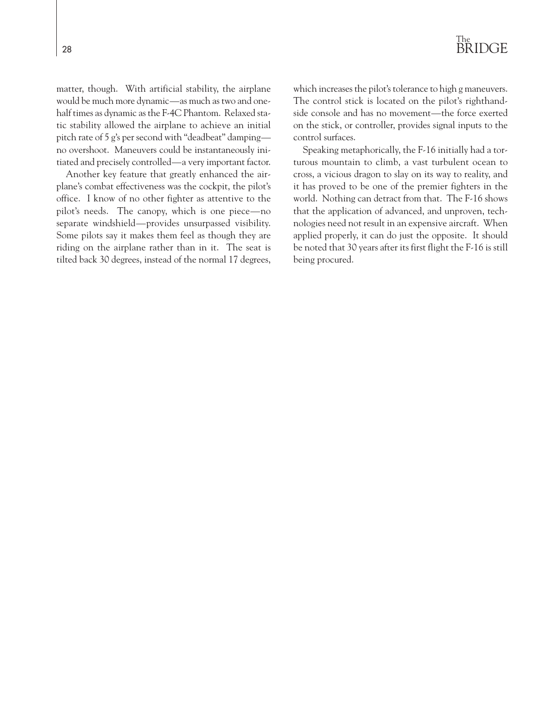matter, though. With artificial stability, the airplane would be much more dynamic—as much as two and onehalf times as dynamic as the F-4C Phantom. Relaxed static stability allowed the airplane to achieve an initial pitch rate of 5 g's per second with "deadbeat" damping no overshoot. Maneuvers could be instantaneously initiated and precisely controlled—a very important factor.

Another key feature that greatly enhanced the airplane's combat effectiveness was the cockpit, the pilot's office. I know of no other fighter as attentive to the pilot's needs. The canopy, which is one piece—no separate windshield—provides unsurpassed visibility. Some pilots say it makes them feel as though they are riding on the airplane rather than in it. The seat is tilted back 30 degrees, instead of the normal 17 degrees, which increases the pilot's tolerance to high g maneuvers. The control stick is located on the pilot's righthandside console and has no movement—the force exerted on the stick, or controller, provides signal inputs to the control surfaces.

Speaking metaphorically, the F-16 initially had a torturous mountain to climb, a vast turbulent ocean to cross, a vicious dragon to slay on its way to reality, and it has proved to be one of the premier fighters in the world. Nothing can detract from that. The F-16 shows that the application of advanced, and unproven, technologies need not result in an expensive aircraft. When applied properly, it can do just the opposite. It should be noted that 30 years after its first flight the F-16 is still being procured.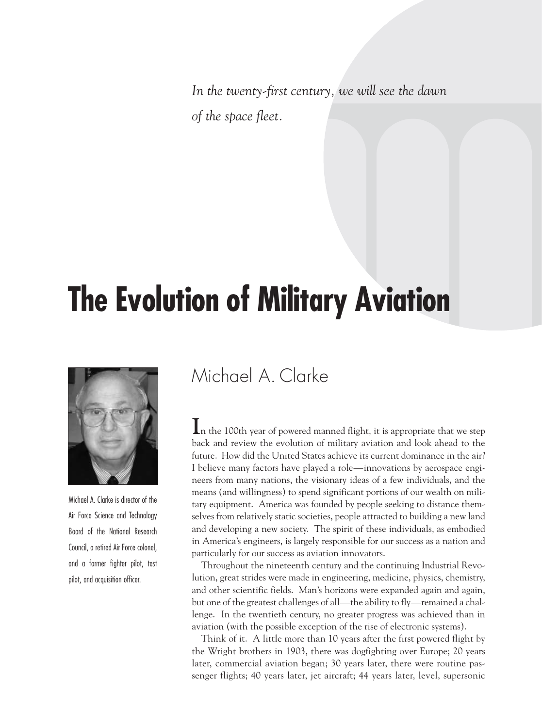*In the twenty-first century, we will see the dawn of the space fleet.*

## **The Evolution of Military Aviation**



Michael A. Clarke is director of the Air Force Science and Technology Board of the National Research Council, a retired Air Force colonel, and a former fighter pilot, test pilot, and acquisition officer.

## Michael A. Clarke

**I**n the 100th year of powered manned flight, it is appropriate that we step back and review the evolution of military aviation and look ahead to the future. How did the United States achieve its current dominance in the air? I believe many factors have played a role—innovations by aerospace engineers from many nations, the visionary ideas of a few individuals, and the means (and willingness) to spend significant portions of our wealth on military equipment. America was founded by people seeking to distance themselves from relatively static societies, people attracted to building a new land and developing a new society. The spirit of these individuals, as embodied in America's engineers, is largely responsible for our success as a nation and particularly for our success as aviation innovators.

Throughout the nineteenth century and the continuing Industrial Revolution, great strides were made in engineering, medicine, physics, chemistry, and other scientific fields. Man's horizons were expanded again and again, but one of the greatest challenges of all—the ability to fly—remained a challenge. In the twentieth century, no greater progress was achieved than in aviation (with the possible exception of the rise of electronic systems).

Think of it. A little more than 10 years after the first powered flight by the Wright brothers in 1903, there was dogfighting over Europe; 20 years later, commercial aviation began; 30 years later, there were routine passenger flights; 40 years later, jet aircraft; 44 years later, level, supersonic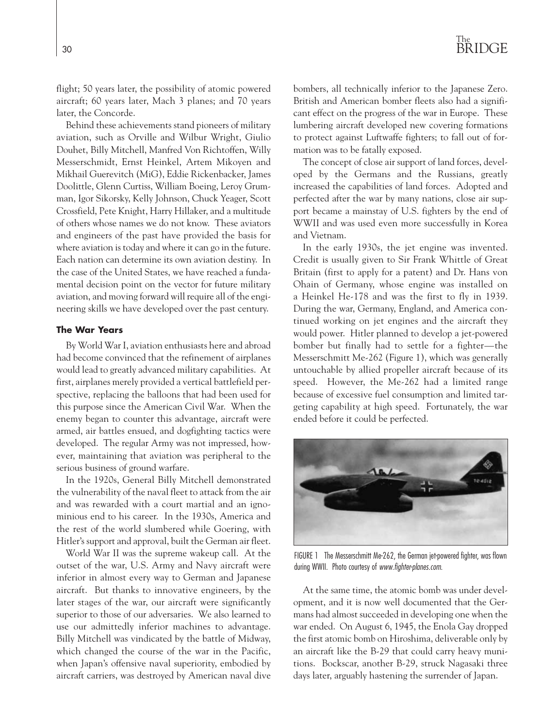flight; 50 years later, the possibility of atomic powered aircraft; 60 years later, Mach 3 planes; and 70 years later, the Concorde.

Behind these achievements stand pioneers of military aviation, such as Orville and Wilbur Wright, Giulio Douhet, Billy Mitchell, Manfred Von Richtoffen, Willy Messerschmidt, Ernst Heinkel, Artem Mikoyen and Mikhail Guerevitch (MiG), Eddie Rickenbacker, James Doolittle, Glenn Curtiss, William Boeing, Leroy Grumman, Igor Sikorsky, Kelly Johnson, Chuck Yeager, Scott Crossfield, Pete Knight, Harry Hillaker, and a multitude of others whose names we do not know. These aviators and engineers of the past have provided the basis for where aviation is today and where it can go in the future. Each nation can determine its own aviation destiny. In the case of the United States, we have reached a fundamental decision point on the vector for future military aviation, and moving forward will require all of the engineering skills we have developed over the past century.

### **The War Years**

By World War I, aviation enthusiasts here and abroad had become convinced that the refinement of airplanes would lead to greatly advanced military capabilities. At first, airplanes merely provided a vertical battlefield perspective, replacing the balloons that had been used for this purpose since the American Civil War. When the enemy began to counter this advantage, aircraft were armed, air battles ensued, and dogfighting tactics were developed. The regular Army was not impressed, however, maintaining that aviation was peripheral to the serious business of ground warfare.

In the 1920s, General Billy Mitchell demonstrated the vulnerability of the naval fleet to attack from the air and was rewarded with a court martial and an ignominious end to his career. In the 1930s, America and the rest of the world slumbered while Goering, with Hitler's support and approval, built the German air fleet.

World War II was the supreme wakeup call. At the outset of the war, U.S. Army and Navy aircraft were inferior in almost every way to German and Japanese aircraft. But thanks to innovative engineers, by the later stages of the war, our aircraft were significantly superior to those of our adversaries. We also learned to use our admittedly inferior machines to advantage. Billy Mitchell was vindicated by the battle of Midway, which changed the course of the war in the Pacific, when Japan's offensive naval superiority, embodied by aircraft carriers, was destroyed by American naval dive bombers, all technically inferior to the Japanese Zero. British and American bomber fleets also had a significant effect on the progress of the war in Europe. These lumbering aircraft developed new covering formations to protect against Luftwaffe fighters; to fall out of formation was to be fatally exposed.

The concept of close air support of land forces, developed by the Germans and the Russians, greatly increased the capabilities of land forces. Adopted and perfected after the war by many nations, close air support became a mainstay of U.S. fighters by the end of WWII and was used even more successfully in Korea and Vietnam.

In the early 1930s, the jet engine was invented. Credit is usually given to Sir Frank Whittle of Great Britain (first to apply for a patent) and Dr. Hans von Ohain of Germany, whose engine was installed on a Heinkel He-178 and was the first to fly in 1939. During the war, Germany, England, and America continued working on jet engines and the aircraft they would power. Hitler planned to develop a jet-powered bomber but finally had to settle for a fighter—the Messerschmitt Me-262 (Figure 1), which was generally untouchable by allied propeller aircraft because of its speed. However, the Me-262 had a limited range because of excessive fuel consumption and limited targeting capability at high speed. Fortunately, the war ended before it could be perfected.



FIGURE 1 The Messerschmitt Me-262, the German jet-powered fighter, was flown during WWII. Photo courtesy of *www.fighter-planes.com*.

At the same time, the atomic bomb was under development, and it is now well documented that the Germans had almost succeeded in developing one when the war ended. On August 6, 1945, the Enola Gay dropped the first atomic bomb on Hiroshima, deliverable only by an aircraft like the B-29 that could carry heavy munitions. Bockscar, another B-29, struck Nagasaki three days later, arguably hastening the surrender of Japan.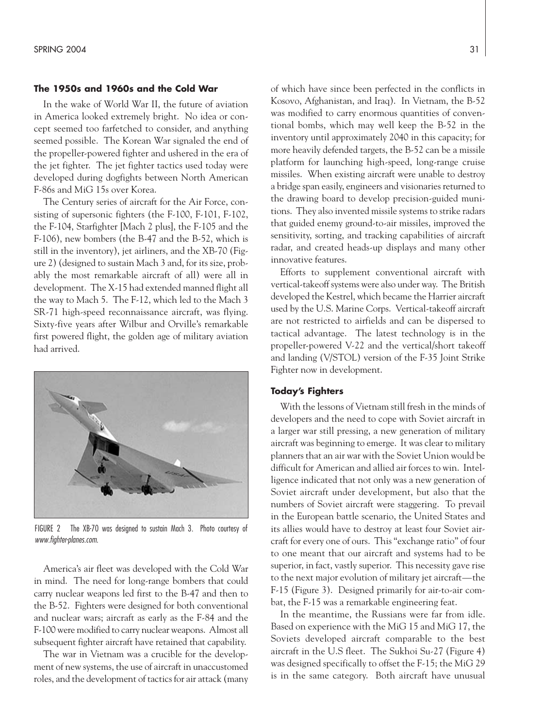### **The 1950s and 1960s and the Cold War**

In the wake of World War II, the future of aviation in America looked extremely bright. No idea or concept seemed too farfetched to consider, and anything seemed possible. The Korean War signaled the end of the propeller-powered fighter and ushered in the era of the jet fighter. The jet fighter tactics used today were developed during dogfights between North American F-86s and MiG 15s over Korea.

The Century series of aircraft for the Air Force, consisting of supersonic fighters (the F-100, F-101, F-102, the F-104, Starfighter [Mach 2 plus], the F-105 and the F-106), new bombers (the B-47 and the B-52, which is still in the inventory), jet airliners, and the XB-70 (Figure 2) (designed to sustain Mach 3 and, for its size, probably the most remarkable aircraft of all) were all in development. The X-15 had extended manned flight all the way to Mach 5. The F-12, which led to the Mach 3 SR-71 high-speed reconnaissance aircraft, was flying. Sixty-five years after Wilbur and Orville's remarkable first powered flight, the golden age of military aviation had arrived.



FIGURE 2 The XB-70 was designed to sustain Mach 3. Photo courtesy of *www.fighter-planes.com*.

America's air fleet was developed with the Cold War in mind. The need for long-range bombers that could carry nuclear weapons led first to the B-47 and then to the B-52. Fighters were designed for both conventional and nuclear wars; aircraft as early as the F-84 and the F-100 were modified to carry nuclear weapons. Almost all subsequent fighter aircraft have retained that capability.

The war in Vietnam was a crucible for the development of new systems, the use of aircraft in unaccustomed roles, and the development of tactics for air attack (many of which have since been perfected in the conflicts in Kosovo, Afghanistan, and Iraq). In Vietnam, the B-52 was modified to carry enormous quantities of conventional bombs, which may well keep the B-52 in the inventory until approximately 2040 in this capacity; for more heavily defended targets, the B-52 can be a missile platform for launching high-speed, long-range cruise missiles. When existing aircraft were unable to destroy a bridge span easily, engineers and visionaries returned to the drawing board to develop precision-guided munitions. They also invented missile systems to strike radars that guided enemy ground-to-air missiles, improved the sensitivity, sorting, and tracking capabilities of aircraft radar, and created heads-up displays and many other innovative features.

Efforts to supplement conventional aircraft with vertical-takeoff systems were also under way. The British developed the Kestrel, which became the Harrier aircraft used by the U.S. Marine Corps. Vertical-takeoff aircraft are not restricted to airfields and can be dispersed to tactical advantage. The latest technology is in the propeller-powered V-22 and the vertical/short takeoff and landing (V/STOL) version of the F-35 Joint Strike Fighter now in development.

### **Today's Fighters**

With the lessons of Vietnam still fresh in the minds of developers and the need to cope with Soviet aircraft in a larger war still pressing, a new generation of military aircraft was beginning to emerge. It was clear to military planners that an air war with the Soviet Union would be difficult for American and allied air forces to win. Intelligence indicated that not only was a new generation of Soviet aircraft under development, but also that the numbers of Soviet aircraft were staggering. To prevail in the European battle scenario, the United States and its allies would have to destroy at least four Soviet aircraft for every one of ours. This "exchange ratio" of four to one meant that our aircraft and systems had to be superior, in fact, vastly superior. This necessity gave rise to the next major evolution of military jet aircraft—the F-15 (Figure 3). Designed primarily for air-to-air combat, the F-15 was a remarkable engineering feat.

In the meantime, the Russians were far from idle. Based on experience with the MiG 15 and MiG 17, the Soviets developed aircraft comparable to the best aircraft in the U.S fleet. The Sukhoi Su-27 (Figure 4) was designed specifically to offset the F-15; the MiG 29 is in the same category. Both aircraft have unusual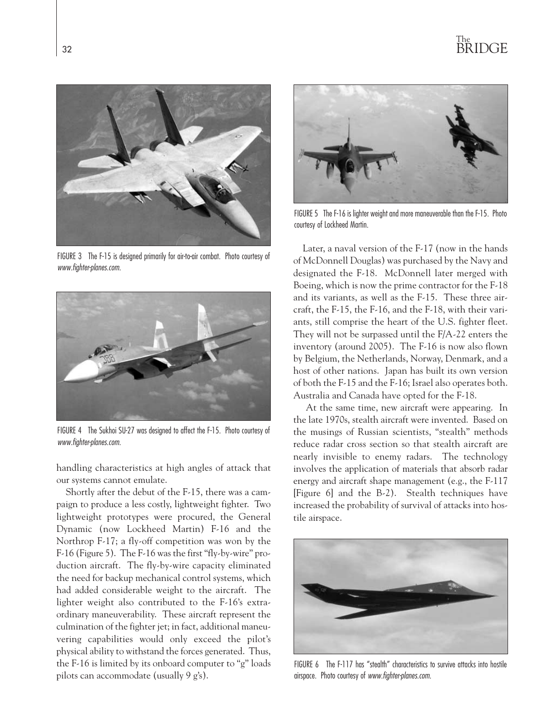

FIGURE 3 The F-15 is designed primarily for air-to-air combat. Photo courtesy of *www.fighter-planes.com*.



FIGURE 4 The Sukhoi SU-27 was designed to affect the F-15. Photo courtesy of *www.fighter-planes.com*.

handling characteristics at high angles of attack that our systems cannot emulate.

Shortly after the debut of the F-15, there was a campaign to produce a less costly, lightweight fighter. Two lightweight prototypes were procured, the General Dynamic (now Lockheed Martin) F-16 and the Northrop F-17; a fly-off competition was won by the F-16 (Figure 5). The F-16 was the first "fly-by-wire" production aircraft. The fly-by-wire capacity eliminated the need for backup mechanical control systems, which had added considerable weight to the aircraft. The lighter weight also contributed to the F-16's extraordinary maneuverability. These aircraft represent the culmination of the fighter jet; in fact, additional maneuvering capabilities would only exceed the pilot's physical ability to withstand the forces generated. Thus, the F-16 is limited by its onboard computer to "g" loads pilots can accommodate (usually 9 g's).



FIGURE 5 The F-16 is lighter weight and more maneuverable than the F-15. Photo courtesy of Lockheed Martin.

Later, a naval version of the F-17 (now in the hands of McDonnell Douglas) was purchased by the Navy and designated the F-18. McDonnell later merged with Boeing, which is now the prime contractor for the F-18 and its variants, as well as the F-15. These three aircraft, the F-15, the F-16, and the F-18, with their variants, still comprise the heart of the U.S. fighter fleet. They will not be surpassed until the F/A-22 enters the inventory (around 2005). The F-16 is now also flown by Belgium, the Netherlands, Norway, Denmark, and a host of other nations. Japan has built its own version of both the F-15 and the F-16; Israel also operates both. Australia and Canada have opted for the F-18.

At the same time, new aircraft were appearing. In the late 1970s, stealth aircraft were invented. Based on the musings of Russian scientists, "stealth" methods reduce radar cross section so that stealth aircraft are nearly invisible to enemy radars. The technology involves the application of materials that absorb radar energy and aircraft shape management (e.g., the F-117 [Figure 6] and the B-2). Stealth techniques have increased the probability of survival of attacks into hostile airspace.



FIGURE 6 The F-117 has "stealth" characteristics to survive attacks into hostile airspace. Photo courtesy of *www.fighter-planes.com*.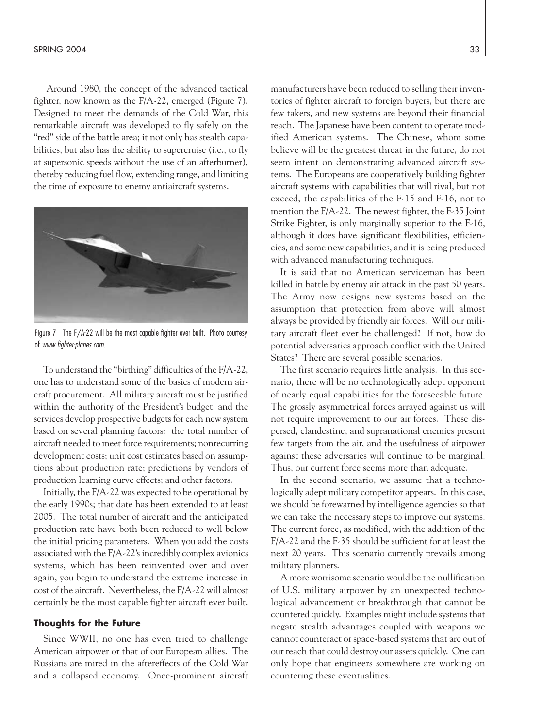Around 1980, the concept of the advanced tactical fighter, now known as the F/A-22, emerged (Figure 7). Designed to meet the demands of the Cold War, this remarkable aircraft was developed to fly safely on the "red" side of the battle area; it not only has stealth capabilities, but also has the ability to supercruise (i.e., to fly at supersonic speeds without the use of an afterburner), thereby reducing fuel flow, extending range, and limiting the time of exposure to enemy antiaircraft systems.



Figure 7 The F/A-22 will be the most capable fighter ever built. Photo courtesy of *www.fighter-planes.com*.

To understand the "birthing" difficulties of the F/A-22, one has to understand some of the basics of modern aircraft procurement. All military aircraft must be justified within the authority of the President's budget, and the services develop prospective budgets for each new system based on several planning factors: the total number of aircraft needed to meet force requirements; nonrecurring development costs; unit cost estimates based on assumptions about production rate; predictions by vendors of production learning curve effects; and other factors.

Initially, the F/A-22 was expected to be operational by the early 1990s; that date has been extended to at least 2005. The total number of aircraft and the anticipated production rate have both been reduced to well below the initial pricing parameters. When you add the costs associated with the F/A-22's incredibly complex avionics systems, which has been reinvented over and over again, you begin to understand the extreme increase in cost of the aircraft. Nevertheless, the F/A-22 will almost certainly be the most capable fighter aircraft ever built.

#### **Thoughts for the Future**

Since WWII, no one has even tried to challenge American airpower or that of our European allies. The Russians are mired in the aftereffects of the Cold War and a collapsed economy. Once-prominent aircraft manufacturers have been reduced to selling their inventories of fighter aircraft to foreign buyers, but there are few takers, and new systems are beyond their financial reach. The Japanese have been content to operate modified American systems. The Chinese, whom some believe will be the greatest threat in the future, do not seem intent on demonstrating advanced aircraft systems. The Europeans are cooperatively building fighter aircraft systems with capabilities that will rival, but not exceed, the capabilities of the F-15 and F-16, not to mention the F/A-22. The newest fighter, the F-35 Joint Strike Fighter, is only marginally superior to the F-16, although it does have significant flexibilities, efficiencies, and some new capabilities, and it is being produced with advanced manufacturing techniques.

It is said that no American serviceman has been killed in battle by enemy air attack in the past 50 years. The Army now designs new systems based on the assumption that protection from above will almost always be provided by friendly air forces. Will our military aircraft fleet ever be challenged? If not, how do potential adversaries approach conflict with the United States? There are several possible scenarios.

The first scenario requires little analysis. In this scenario, there will be no technologically adept opponent of nearly equal capabilities for the foreseeable future. The grossly asymmetrical forces arrayed against us will not require improvement to our air forces. These dispersed, clandestine, and supranational enemies present few targets from the air, and the usefulness of airpower against these adversaries will continue to be marginal. Thus, our current force seems more than adequate.

In the second scenario, we assume that a technologically adept military competitor appears. In this case, we should be forewarned by intelligence agencies so that we can take the necessary steps to improve our systems. The current force, as modified, with the addition of the F/A-22 and the F-35 should be sufficient for at least the next 20 years. This scenario currently prevails among military planners.

A more worrisome scenario would be the nullification of U.S. military airpower by an unexpected technological advancement or breakthrough that cannot be countered quickly. Examples might include systems that negate stealth advantages coupled with weapons we cannot counteract or space-based systems that are out of our reach that could destroy our assets quickly. One can only hope that engineers somewhere are working on countering these eventualities.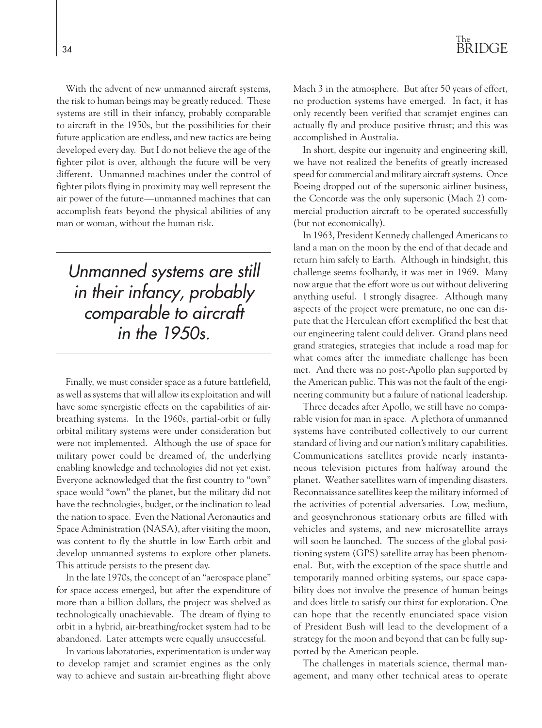With the advent of new unmanned aircraft systems, the risk to human beings may be greatly reduced. These systems are still in their infancy, probably comparable to aircraft in the 1950s, but the possibilities for their future application are endless, and new tactics are being developed every day. But I do not believe the age of the fighter pilot is over, although the future will be very different. Unmanned machines under the control of fighter pilots flying in proximity may well represent the air power of the future—unmanned machines that can accomplish feats beyond the physical abilities of any man or woman, without the human risk.

*Unmanned systems are still in their infancy, probably comparable to aircraft in the 1950s.*

Finally, we must consider space as a future battlefield, as well as systems that will allow its exploitation and will have some synergistic effects on the capabilities of airbreathing systems. In the 1960s, partial-orbit or fully orbital military systems were under consideration but were not implemented. Although the use of space for military power could be dreamed of, the underlying enabling knowledge and technologies did not yet exist. Everyone acknowledged that the first country to "own" space would "own" the planet, but the military did not have the technologies, budget, or the inclination to lead the nation to space. Even the National Aeronautics and Space Administration (NASA), after visiting the moon, was content to fly the shuttle in low Earth orbit and develop unmanned systems to explore other planets. This attitude persists to the present day.

In the late 1970s, the concept of an "aerospace plane" for space access emerged, but after the expenditure of more than a billion dollars, the project was shelved as technologically unachievable. The dream of flying to orbit in a hybrid, air-breathing/rocket system had to be abandoned. Later attempts were equally unsuccessful.

In various laboratories, experimentation is under way to develop ramjet and scramjet engines as the only way to achieve and sustain air-breathing flight above Mach 3 in the atmosphere. But after 50 years of effort, no production systems have emerged. In fact, it has only recently been verified that scramjet engines can actually fly and produce positive thrust; and this was accomplished in Australia.

In short, despite our ingenuity and engineering skill, we have not realized the benefits of greatly increased speed for commercial and military aircraft systems. Once Boeing dropped out of the supersonic airliner business, the Concorde was the only supersonic (Mach 2) commercial production aircraft to be operated successfully (but not economically).

In 1963, President Kennedy challenged Americans to land a man on the moon by the end of that decade and return him safely to Earth. Although in hindsight, this challenge seems foolhardy, it was met in 1969. Many now argue that the effort wore us out without delivering anything useful. I strongly disagree. Although many aspects of the project were premature, no one can dispute that the Herculean effort exemplified the best that our engineering talent could deliver. Grand plans need grand strategies, strategies that include a road map for what comes after the immediate challenge has been met. And there was no post-Apollo plan supported by the American public. This was not the fault of the engineering community but a failure of national leadership.

Three decades after Apollo, we still have no comparable vision for man in space. A plethora of unmanned systems have contributed collectively to our current standard of living and our nation's military capabilities. Communications satellites provide nearly instantaneous television pictures from halfway around the planet. Weather satellites warn of impending disasters. Reconnaissance satellites keep the military informed of the activities of potential adversaries. Low, medium, and geosynchronous stationary orbits are filled with vehicles and systems, and new microsatellite arrays will soon be launched. The success of the global positioning system (GPS) satellite array has been phenomenal. But, with the exception of the space shuttle and temporarily manned orbiting systems, our space capability does not involve the presence of human beings and does little to satisfy our thirst for exploration. One can hope that the recently enunciated space vision of President Bush will lead to the development of a strategy for the moon and beyond that can be fully supported by the American people.

The challenges in materials science, thermal management, and many other technical areas to operate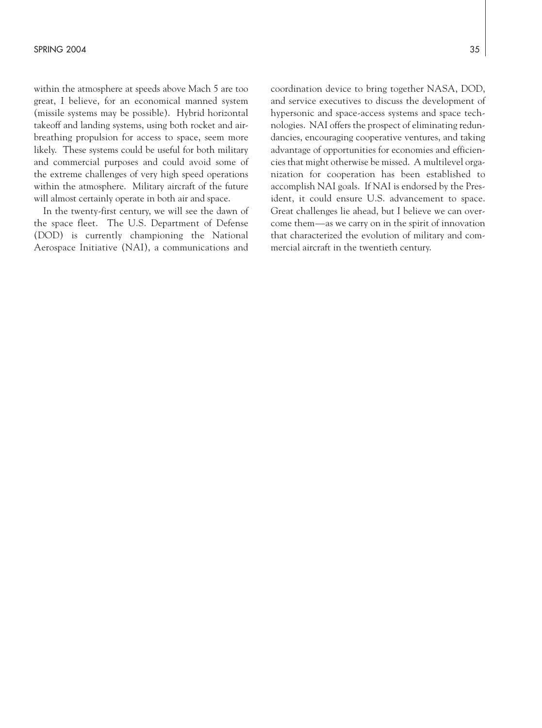within the atmosphere at speeds above Mach 5 are too great, I believe, for an economical manned system (missile systems may be possible). Hybrid horizontal takeoff and landing systems, using both rocket and airbreathing propulsion for access to space, seem more likely. These systems could be useful for both military and commercial purposes and could avoid some of the extreme challenges of very high speed operations within the atmosphere. Military aircraft of the future will almost certainly operate in both air and space.

In the twenty-first century, we will see the dawn of the space fleet. The U.S. Department of Defense (DOD) is currently championing the National Aerospace Initiative (NAI), a communications and coordination device to bring together NASA, DOD, and service executives to discuss the development of hypersonic and space-access systems and space technologies. NAI offers the prospect of eliminating redundancies, encouraging cooperative ventures, and taking advantage of opportunities for economies and efficiencies that might otherwise be missed. A multilevel organization for cooperation has been established to accomplish NAI goals. If NAI is endorsed by the President, it could ensure U.S. advancement to space. Great challenges lie ahead, but I believe we can overcome them—as we carry on in the spirit of innovation that characterized the evolution of military and commercial aircraft in the twentieth century.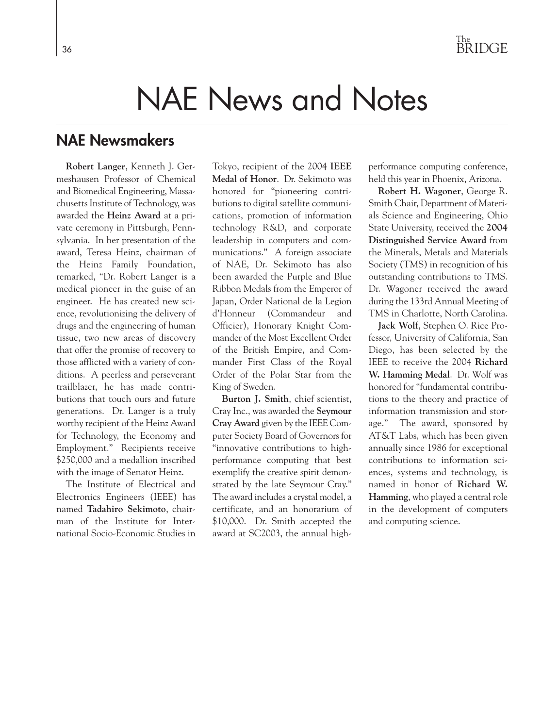## NAE News and Notes

### **NAE Newsmakers**

**Robert Langer**, Kenneth J. Germeshausen Professor of Chemical and Biomedical Engineering, Massachusetts Institute of Technology, was awarded the **Heinz Award** at a private ceremony in Pittsburgh, Pennsylvania. In her presentation of the award, Teresa Heinz, chairman of the Heinz Family Foundation, remarked, "Dr. Robert Langer is a medical pioneer in the guise of an engineer. He has created new science, revolutionizing the delivery of drugs and the engineering of human tissue, two new areas of discovery that offer the promise of recovery to those afflicted with a variety of conditions. A peerless and perseverant trailblazer, he has made contributions that touch ours and future generations. Dr. Langer is a truly worthy recipient of the Heinz Award for Technology, the Economy and Employment." Recipients receive \$250,000 and a medallion inscribed with the image of Senator Heinz.

The Institute of Electrical and Electronics Engineers (IEEE) has named **Tadahiro Sekimoto**, chairman of the Institute for International Socio-Economic Studies in Tokyo, recipient of the 2004 **IEEE Medal of Honor**. Dr. Sekimoto was honored for "pioneering contributions to digital satellite communications, promotion of information technology R&D, and corporate leadership in computers and communications." A foreign associate of NAE, Dr. Sekimoto has also been awarded the Purple and Blue Ribbon Medals from the Emperor of Japan, Order National de la Legion d'Honneur (Commandeur and Officier), Honorary Knight Commander of the Most Excellent Order of the British Empire, and Commander First Class of the Royal Order of the Polar Star from the King of Sweden.

**Burton J. Smith**, chief scientist, Cray Inc., was awarded the **Seymour Cray Award** given by the IEEE Computer Society Board of Governors for "innovative contributions to highperformance computing that best exemplify the creative spirit demonstrated by the late Seymour Cray." The award includes a crystal model, a certificate, and an honorarium of \$10,000. Dr. Smith accepted the award at SC2003, the annual highperformance computing conference, held this year in Phoenix, Arizona.

**Robert H. Wagoner**, George R. Smith Chair, Department of Materials Science and Engineering, Ohio State University, received the **2004 Distinguished Service Award** from the Minerals, Metals and Materials Society (TMS) in recognition of his outstanding contributions to TMS. Dr. Wagoner received the award during the 133rd Annual Meeting of TMS in Charlotte, North Carolina.

**Jack Wolf**, Stephen O. Rice Professor, University of California, San Diego, has been selected by the IEEE to receive the 2004 **Richard W. Hamming Medal**. Dr. Wolf was honored for "fundamental contributions to the theory and practice of information transmission and storage." The award, sponsored by AT&T Labs, which has been given annually since 1986 for exceptional contributions to information sciences, systems and technology, is named in honor of **Richard W. Hamming**, who played a central role in the development of computers and computing science.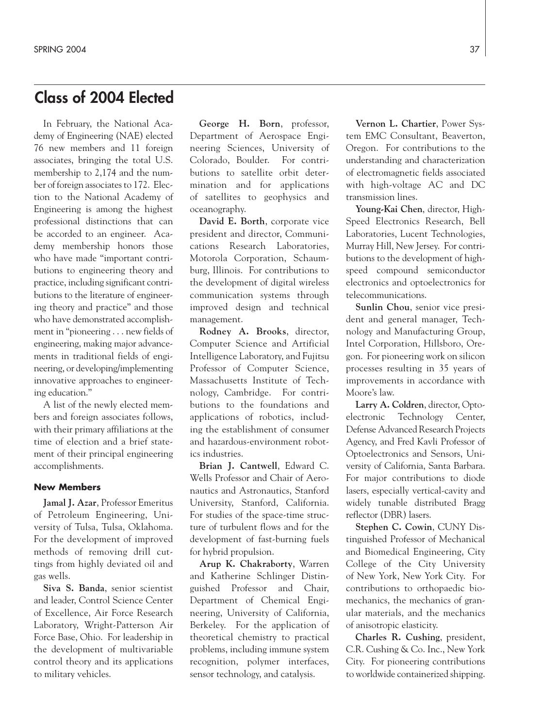### **Class of 2004 Elected**

In February, the National Academy of Engineering (NAE) elected 76 new members and 11 foreign associates, bringing the total U.S. membership to 2,174 and the number of foreign associates to 172. Election to the National Academy of Engineering is among the highest professional distinctions that can be accorded to an engineer. Academy membership honors those who have made "important contributions to engineering theory and practice, including significant contributions to the literature of engineering theory and practice" and those who have demonstrated accomplishment in "pioneering . . . new fields of engineering, making major advancements in traditional fields of engineering, or developing/implementing innovative approaches to engineering education."

A list of the newly elected members and foreign associates follows, with their primary affiliations at the time of election and a brief statement of their principal engineering accomplishments.

### **New Members**

**Jamal J. Azar**, Professor Emeritus of Petroleum Engineering, University of Tulsa, Tulsa, Oklahoma. For the development of improved methods of removing drill cuttings from highly deviated oil and gas wells.

**Siva S. Banda**, senior scientist and leader, Control Science Center of Excellence, Air Force Research Laboratory, Wright-Patterson Air Force Base, Ohio. For leadership in the development of multivariable control theory and its applications to military vehicles.

**George H. Born**, professor, Department of Aerospace Engineering Sciences, University of Colorado, Boulder. For contributions to satellite orbit determination and for applications of satellites to geophysics and oceanography.

**David E. Borth**, corporate vice president and director, Communications Research Laboratories, Motorola Corporation, Schaumburg, Illinois. For contributions to the development of digital wireless communication systems through improved design and technical management.

**Rodney A. Brooks**, director, Computer Science and Artificial Intelligence Laboratory, and Fujitsu Professor of Computer Science, Massachusetts Institute of Technology, Cambridge. For contributions to the foundations and applications of robotics, including the establishment of consumer and hazardous-environment robotics industries.

**Brian J. Cantwell**, Edward C. Wells Professor and Chair of Aeronautics and Astronautics, Stanford University, Stanford, California. For studies of the space-time structure of turbulent flows and for the development of fast-burning fuels for hybrid propulsion.

**Arup K. Chakraborty**, Warren and Katherine Schlinger Distinguished Professor and Chair, Department of Chemical Engineering, University of California, Berkeley. For the application of theoretical chemistry to practical problems, including immune system recognition, polymer interfaces, sensor technology, and catalysis.

**Vernon L. Chartier**, Power System EMC Consultant, Beaverton, Oregon. For contributions to the understanding and characterization of electromagnetic fields associated with high-voltage AC and DC transmission lines.

**Young-Kai Chen**, director, High-Speed Electronics Research, Bell Laboratories, Lucent Technologies, Murray Hill, New Jersey. For contributions to the development of highspeed compound semiconductor electronics and optoelectronics for telecommunications.

**Sunlin Chou**, senior vice president and general manager, Technology and Manufacturing Group, Intel Corporation, Hillsboro, Oregon. For pioneering work on silicon processes resulting in 35 years of improvements in accordance with Moore's law.

**Larry A. Coldren**, director, Optoelectronic Technology Center, Defense Advanced Research Projects Agency, and Fred Kavli Professor of Optoelectronics and Sensors, University of California, Santa Barbara. For major contributions to diode lasers, especially vertical-cavity and widely tunable distributed Bragg reflector (DBR) lasers.

**Stephen C. Cowin**, CUNY Distinguished Professor of Mechanical and Biomedical Engineering, City College of the City University of New York, New York City. For contributions to orthopaedic biomechanics, the mechanics of granular materials, and the mechanics of anisotropic elasticity.

**Charles R. Cushing**, president, C.R. Cushing & Co. Inc., New York City. For pioneering contributions to worldwide containerized shipping.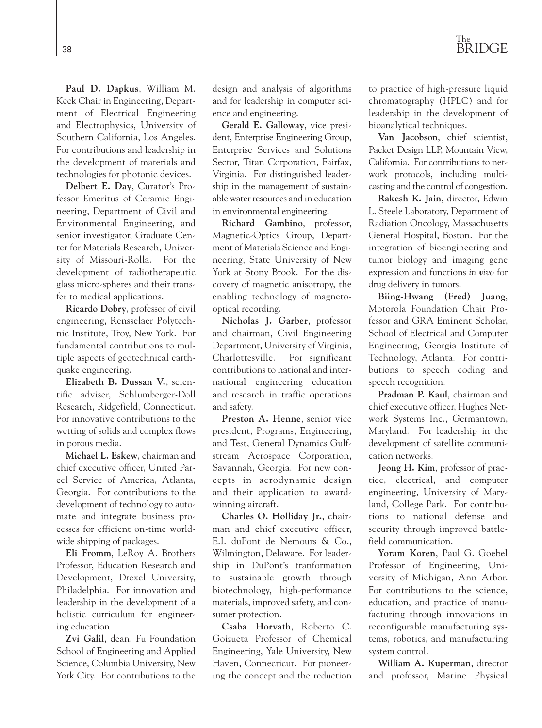

**Paul D. Dapkus**, William M. Keck Chair in Engineering, Department of Electrical Engineering and Electrophysics, University of Southern California, Los Angeles. For contributions and leadership in the development of materials and technologies for photonic devices.

**Delbert E. Day**, Curator's Professor Emeritus of Ceramic Engineering, Department of Civil and Environmental Engineering, and senior investigator, Graduate Center for Materials Research, University of Missouri-Rolla. For the development of radiotherapeutic glass micro-spheres and their transfer to medical applications.

**Ricardo Dobry**, professor of civil engineering, Rensselaer Polytechnic Institute, Troy, New York. For fundamental contributions to multiple aspects of geotechnical earthquake engineering.

**Elizabeth B. Dussan V.**, scientific adviser, Schlumberger-Doll Research, Ridgefield, Connecticut. For innovative contributions to the wetting of solids and complex flows in porous media.

**Michael L. Eskew**, chairman and chief executive officer, United Parcel Service of America, Atlanta, Georgia. For contributions to the development of technology to automate and integrate business processes for efficient on-time worldwide shipping of packages.

**Eli Fromm**, LeRoy A. Brothers Professor, Education Research and Development, Drexel University, Philadelphia. For innovation and leadership in the development of a holistic curriculum for engineering education.

**Zvi Galil**, dean, Fu Foundation School of Engineering and Applied Science, Columbia University, New York City. For contributions to the

design and analysis of algorithms and for leadership in computer science and engineering.

**Gerald E. Galloway**, vice president, Enterprise Engineering Group, Enterprise Services and Solutions Sector, Titan Corporation, Fairfax, Virginia. For distinguished leadership in the management of sustainable water resources and in education in environmental engineering.

**Richard Gambino**, professor, Magnetic-Optics Group, Department of Materials Science and Engineering, State University of New York at Stony Brook. For the discovery of magnetic anisotropy, the enabling technology of magnetooptical recording.

**Nicholas J. Garber**, professor and chairman, Civil Engineering Department, University of Virginia, Charlottesville. For significant contributions to national and international engineering education and research in traffic operations and safety.

**Preston A. Henne**, senior vice president, Programs, Engineering, and Test, General Dynamics Gulfstream Aerospace Corporation, Savannah, Georgia. For new concepts in aerodynamic design and their application to awardwinning aircraft.

**Charles O. Holliday Jr.**, chairman and chief executive officer, E.I. duPont de Nemours & Co., Wilmington, Delaware. For leadership in DuPont's tranformation to sustainable growth through biotechnology, high-performance materials, improved safety, and consumer protection.

**Csaba Horvath**, Roberto C. Goizueta Professor of Chemical Engineering, Yale University, New Haven, Connecticut. For pioneering the concept and the reduction to practice of high-pressure liquid chromatography (HPLC) and for leadership in the development of bioanalytical techniques.

**Van Jacobson**, chief scientist, Packet Design LLP, Mountain View, California. For contributions to network protocols, including multicasting and the control of congestion.

**Rakesh K. Jain**, director, Edwin L. Steele Laboratory, Department of Radiation Oncology, Massachusetts General Hospital, Boston. For the integration of bioengineering and tumor biology and imaging gene expression and functions *in vivo* for drug delivery in tumors.

**Biing-Hwang (Fred) Juang**, Motorola Foundation Chair Professor and GRA Eminent Scholar, School of Electrical and Computer Engineering, Georgia Institute of Technology, Atlanta. For contributions to speech coding and speech recognition.

**Pradman P. Kaul**, chairman and chief executive officer, Hughes Network Systems Inc., Germantown, Maryland. For leadership in the development of satellite communication networks.

**Jeong H. Kim**, professor of practice, electrical, and computer engineering, University of Maryland, College Park. For contributions to national defense and security through improved battlefield communication.

**Yoram Koren**, Paul G. Goebel Professor of Engineering, University of Michigan, Ann Arbor. For contributions to the science, education, and practice of manufacturing through innovations in reconfigurable manufacturing systems, robotics, and manufacturing system control.

**William A. Kuperman**, director and professor, Marine Physical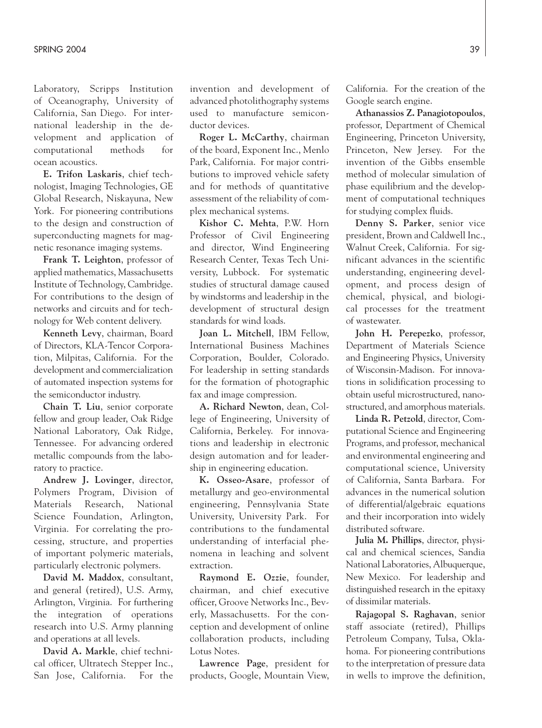Laboratory, Scripps Institution of Oceanography, University of California, San Diego. For international leadership in the development and application of computational methods for ocean acoustics.

**E. Trifon Laskaris**, chief technologist, Imaging Technologies, GE Global Research, Niskayuna, New York. For pioneering contributions to the design and construction of superconducting magnets for magnetic resonance imaging systems.

**Frank T. Leighton**, professor of applied mathematics, Massachusetts Institute of Technology, Cambridge. For contributions to the design of networks and circuits and for technology for Web content delivery.

**Kenneth Levy**, chairman, Board of Directors, KLA-Tencor Corporation, Milpitas, California. For the development and commercialization of automated inspection systems for the semiconductor industry.

**Chain T. Liu**, senior corporate fellow and group leader, Oak Ridge National Laboratory, Oak Ridge, Tennessee. For advancing ordered metallic compounds from the laboratory to practice.

**Andrew J. Lovinger**, director, Polymers Program, Division of Materials Research, National Science Foundation, Arlington, Virginia. For correlating the processing, structure, and properties of important polymeric materials, particularly electronic polymers.

**David M. Maddox**, consultant, and general (retired), U.S. Army, Arlington, Virginia. For furthering the integration of operations research into U.S. Army planning and operations at all levels.

**David A. Markle**, chief technical officer, Ultratech Stepper Inc., San Jose, California. For the

invention and development of advanced photolithography systems used to manufacture semiconductor devices.

**Roger L. McCarthy**, chairman of the board, Exponent Inc., Menlo Park, California. For major contributions to improved vehicle safety and for methods of quantitative assessment of the reliability of complex mechanical systems.

**Kishor C. Mehta**, P.W. Horn Professor of Civil Engineering and director, Wind Engineering Research Center, Texas Tech University, Lubbock. For systematic studies of structural damage caused by windstorms and leadership in the development of structural design standards for wind loads.

**Joan L. Mitchell**, IBM Fellow, International Business Machines Corporation, Boulder, Colorado. For leadership in setting standards for the formation of photographic fax and image compression.

**A. Richard Newton**, dean, College of Engineering, University of California, Berkeley. For innovations and leadership in electronic design automation and for leadership in engineering education.

**K. Osseo-Asare**, professor of metallurgy and geo-environmental engineering, Pennsylvania State University, University Park. For contributions to the fundamental understanding of interfacial phenomena in leaching and solvent extraction.

**Raymond E. Ozzie**, founder, chairman, and chief executive officer, Groove Networks Inc., Beverly, Massachusetts. For the conception and development of online collaboration products, including Lotus Notes.

**Lawrence Page**, president for products, Google, Mountain View,

California. For the creation of the Google search engine.

**Athanassios Z. Panagiotopoulos**, professor, Department of Chemical Engineering, Princeton University, Princeton, New Jersey. For the invention of the Gibbs ensemble method of molecular simulation of phase equilibrium and the development of computational techniques for studying complex fluids.

**Denny S. Parker**, senior vice president, Brown and Caldwell Inc., Walnut Creek, California. For significant advances in the scientific understanding, engineering development, and process design of chemical, physical, and biological processes for the treatment of wastewater.

**John H. Perepezko**, professor, Department of Materials Science and Engineering Physics, University of Wisconsin-Madison. For innovations in solidification processing to obtain useful microstructured, nanostructured, and amorphous materials.

**Linda R. Petzold**, director, Computational Science and Engineering Programs, and professor, mechanical and environmental engineering and computational science, University of California, Santa Barbara. For advances in the numerical solution of differential/algebraic equations and their incorporation into widely distributed software.

**Julia M. Phillips**, director, physical and chemical sciences, Sandia National Laboratories, Albuquerque, New Mexico. For leadership and distinguished research in the epitaxy of dissimilar materials.

**Rajagopal S. Raghavan**, senior staff associate (retired), Phillips Petroleum Company, Tulsa, Oklahoma. For pioneering contributions to the interpretation of pressure data in wells to improve the definition,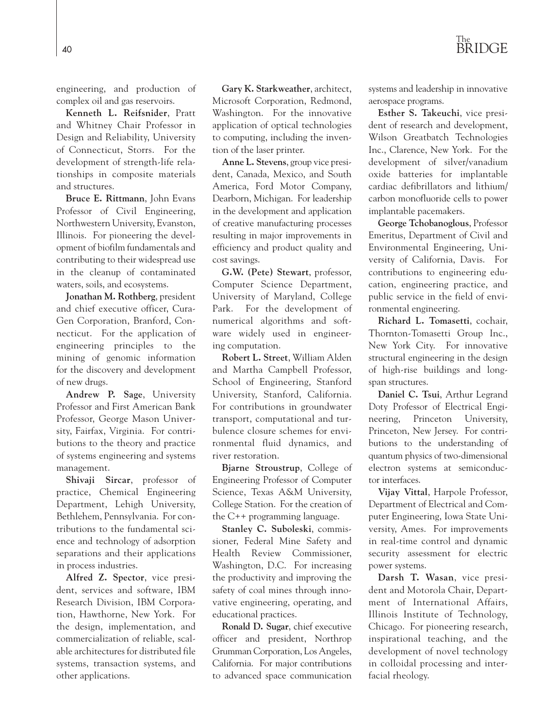engineering, and production of complex oil and gas reservoirs.

**Kenneth L. Reifsnider**, Pratt and Whitney Chair Professor in Design and Reliability, University of Connecticut, Storrs. For the development of strength-life relationships in composite materials and structures.

**Bruce E. Rittmann**, John Evans Professor of Civil Engineering, Northwestern University, Evanston, Illinois. For pioneering the development of biofilm fundamentals and contributing to their widespread use in the cleanup of contaminated waters, soils, and ecosystems.

**Jonathan M. Rothberg**, president and chief executive officer, Cura-Gen Corporation, Branford, Connecticut. For the application of engineering principles to the mining of genomic information for the discovery and development of new drugs.

**Andrew P. Sage**, University Professor and First American Bank Professor, George Mason University, Fairfax, Virginia. For contributions to the theory and practice of systems engineering and systems management.

**Shivaji Sircar**, professor of practice, Chemical Engineering Department, Lehigh University, Bethlehem, Pennsylvania. For contributions to the fundamental science and technology of adsorption separations and their applications in process industries.

**Alfred Z. Spector**, vice president, services and software, IBM Research Division, IBM Corporation, Hawthorne, New York. For the design, implementation, and commercialization of reliable, scalable architectures for distributed file systems, transaction systems, and other applications.

**Gary K. Starkweather**, architect, Microsoft Corporation, Redmond, Washington. For the innovative application of optical technologies to computing, including the invention of the laser printer.

**Anne L. Stevens**, group vice president, Canada, Mexico, and South America, Ford Motor Company, Dearborn, Michigan. For leadership in the development and application of creative manufacturing processes resulting in major improvements in efficiency and product quality and cost savings.

**G.W. (Pete) Stewart**, professor, Computer Science Department, University of Maryland, College Park. For the development of numerical algorithms and software widely used in engineering computation.

**Robert L. Street**, William Alden and Martha Campbell Professor, School of Engineering, Stanford University, Stanford, California. For contributions in groundwater transport, computational and turbulence closure schemes for environmental fluid dynamics, and river restoration.

**Bjarne Stroustrup**, College of Engineering Professor of Computer Science, Texas A&M University, College Station. For the creation of the C++ programming language.

**Stanley C. Suboleski**, commissioner, Federal Mine Safety and Health Review Commissioner, Washington, D.C. For increasing the productivity and improving the safety of coal mines through innovative engineering, operating, and educational practices.

**Ronald D. Sugar**, chief executive officer and president, Northrop Grumman Corporation, Los Angeles, California. For major contributions to advanced space communication

systems and leadership in innovative aerospace programs.

**Esther S. Takeuchi**, vice president of research and development, Wilson Greatbatch Technologies Inc., Clarence, New York. For the development of silver/vanadium oxide batteries for implantable cardiac defibrillators and lithium/ carbon monofluoride cells to power implantable pacemakers.

**George Tchobanoglous**, Professor Emeritus, Department of Civil and Environmental Engineering, University of California, Davis. For contributions to engineering education, engineering practice, and public service in the field of environmental engineering.

**Richard L. Tomasetti**, cochair, Thornton-Tomasetti Group Inc., New York City. For innovative structural engineering in the design of high-rise buildings and longspan structures.

**Daniel C. Tsui**, Arthur Legrand Doty Professor of Electrical Engineering, Princeton University, Princeton, New Jersey. For contributions to the understanding of quantum physics of two-dimensional electron systems at semiconductor interfaces.

**Vijay Vittal**, Harpole Professor, Department of Electrical and Computer Engineering, Iowa State University, Ames. For improvements in real-time control and dynamic security assessment for electric power systems.

**Darsh T. Wasan**, vice president and Motorola Chair, Department of International Affairs, Illinois Institute of Technology, Chicago. For pioneering research, inspirational teaching, and the development of novel technology in colloidal processing and interfacial rheology.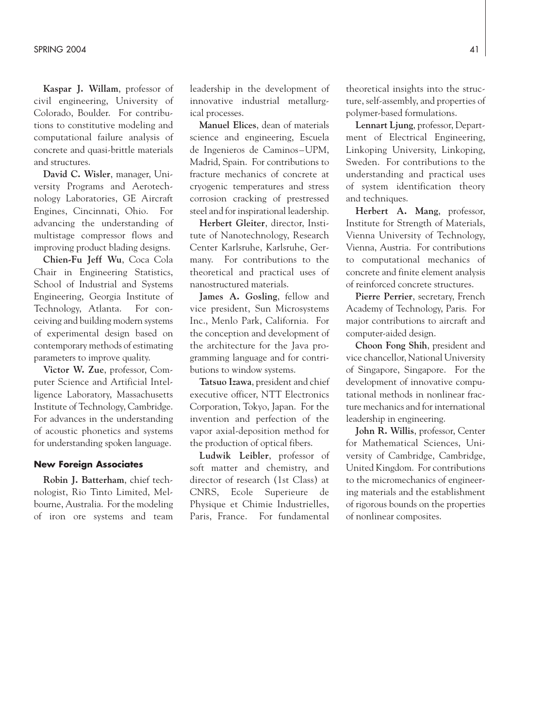**Kaspar J. Willam**, professor of civil engineering, University of Colorado, Boulder. For contributions to constitutive modeling and computational failure analysis of concrete and quasi-brittle materials and structures.

**David C. Wisler**, manager, University Programs and Aerotechnology Laboratories, GE Aircraft Engines, Cincinnati, Ohio. For advancing the understanding of multistage compressor flows and improving product blading designs.

**Chien-Fu Jeff Wu**, Coca Cola Chair in Engineering Statistics, School of Industrial and Systems Engineering, Georgia Institute of Technology, Atlanta. For conceiving and building modern systems of experimental design based on contemporary methods of estimating parameters to improve quality.

**Victor W. Zue**, professor, Computer Science and Artificial Intelligence Laboratory, Massachusetts Institute of Technology, Cambridge. For advances in the understanding of acoustic phonetics and systems for understanding spoken language.

### **New Foreign Associates**

**Robin J. Batterham**, chief technologist, Rio Tinto Limited, Melbourne, Australia. For the modeling of iron ore systems and team

leadership in the development of innovative industrial metallurgical processes.

**Manuel Elices**, dean of materials science and engineering, Escuela de Ingenieros de Caminos–UPM, Madrid, Spain. For contributions to fracture mechanics of concrete at cryogenic temperatures and stress corrosion cracking of prestressed steel and for inspirational leadership.

**Herbert Gleiter**, director, Institute of Nanotechnology, Research Center Karlsruhe, Karlsruhe, Germany. For contributions to the theoretical and practical uses of nanostructured materials.

**James A. Gosling**, fellow and vice president, Sun Microsystems Inc., Menlo Park, California. For the conception and development of the architecture for the Java programming language and for contributions to window systems.

**Tatsuo Izawa**, president and chief executive officer, NTT Electronics Corporation, Tokyo, Japan. For the invention and perfection of the vapor axial-deposition method for the production of optical fibers.

**Ludwik Leibler**, professor of soft matter and chemistry, and director of research (1st Class) at CNRS, Ecole Superieure de Physique et Chimie Industrielles, Paris, France. For fundamental

theoretical insights into the structure, self-assembly, and properties of polymer-based formulations.

**Lennart Ljung**, professor, Department of Electrical Engineering, Linkoping University, Linkoping, Sweden. For contributions to the understanding and practical uses of system identification theory and techniques.

**Herbert A. Mang**, professor, Institute for Strength of Materials, Vienna University of Technology, Vienna, Austria. For contributions to computational mechanics of concrete and finite element analysis of reinforced concrete structures.

**Pierre Perrier**, secretary, French Academy of Technology, Paris. For major contributions to aircraft and computer-aided design.

**Choon Fong Shih**, president and vice chancellor, National University of Singapore, Singapore. For the development of innovative computational methods in nonlinear fracture mechanics and for international leadership in engineering.

**John R. Willis**, professor, Center for Mathematical Sciences, University of Cambridge, Cambridge, United Kingdom. For contributions to the micromechanics of engineering materials and the establishment of rigorous bounds on the properties of nonlinear composites.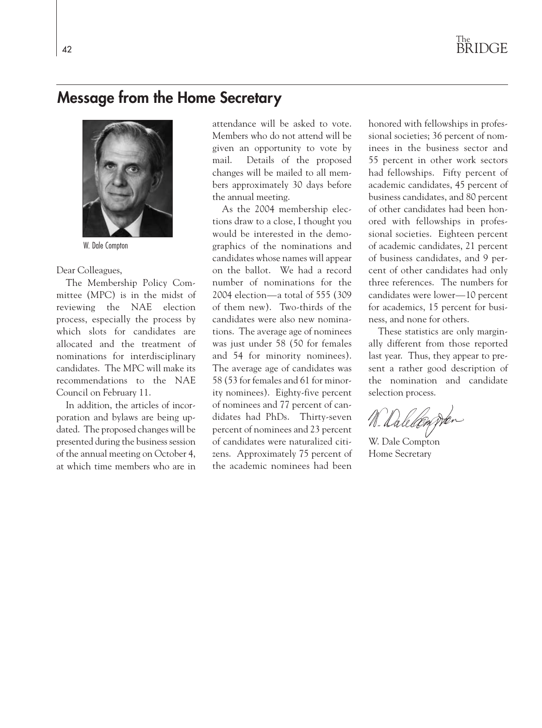### **Message from the Home Secretary**



W. Dale Compton

#### Dear Colleagues,

The Membership Policy Committee (MPC) is in the midst of reviewing the NAE election process, especially the process by which slots for candidates are allocated and the treatment of nominations for interdisciplinary candidates. The MPC will make its recommendations to the NAE Council on February 11.

In addition, the articles of incorporation and bylaws are being updated. The proposed changes will be presented during the business session of the annual meeting on October 4, at which time members who are in attendance will be asked to vote. Members who do not attend will be given an opportunity to vote by mail. Details of the proposed changes will be mailed to all members approximately 30 days before the annual meeting.

As the 2004 membership elections draw to a close, I thought you would be interested in the demographics of the nominations and candidates whose names will appear on the ballot. We had a record number of nominations for the 2004 election—a total of 555 (309 of them new). Two-thirds of the candidates were also new nominations. The average age of nominees was just under 58 (50 for females and 54 for minority nominees). The average age of candidates was 58 (53 for females and 61 for minority nominees). Eighty-five percent of nominees and 77 percent of candidates had PhDs. Thirty-seven percent of nominees and 23 percent of candidates were naturalized citizens. Approximately 75 percent of the academic nominees had been

honored with fellowships in professional societies; 36 percent of nominees in the business sector and 55 percent in other work sectors had fellowships. Fifty percent of academic candidates, 45 percent of business candidates, and 80 percent of other candidates had been honored with fellowships in professional societies. Eighteen percent of academic candidates, 21 percent of business candidates, and 9 percent of other candidates had only three references. The numbers for candidates were lower—10 percent for academics, 15 percent for business, and none for others.

These statistics are only marginally different from those reported last year. Thus, they appear to present a rather good description of the nomination and candidate selection process.

W. Daledon Der

W. Dale Compton Home Secretary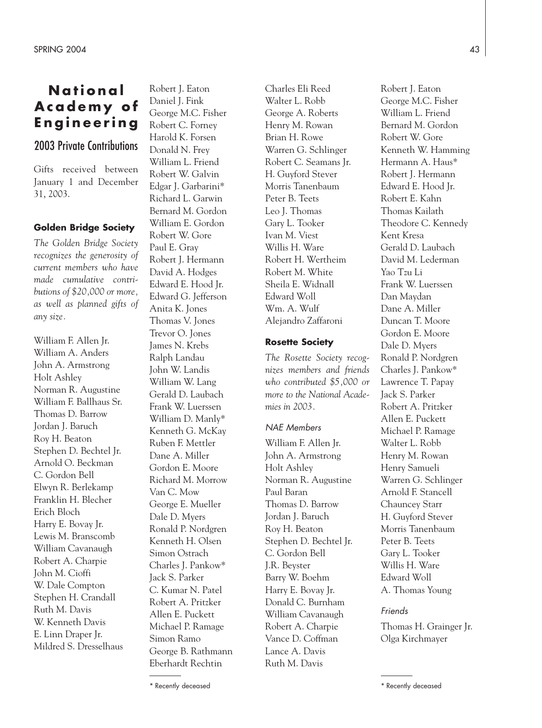### **National Academy of Engineering**

### 2003 Private Contributions

Gifts received between January 1 and December 31, 2003.

### **Golden Bridge Society**

*The Golden Bridge Society recognizes the generosity of current members who have made cumulative contributions of \$20,000 or more, as well as planned gifts of any size.*

William F. Allen Jr. William A. Anders John A. Armstrong Holt Ashley Norman R. Augustine William F. Ballhaus Sr. Thomas D. Barrow Jordan J. Baruch Roy H. Beaton Stephen D. Bechtel Jr. Arnold O. Beckman C. Gordon Bell Elwyn R. Berlekamp Franklin H. Blecher Erich Bloch Harry E. Bovay Jr. Lewis M. Branscomb William Cavanaugh Robert A. Charpie John M. Cioffi W. Dale Compton Stephen H. Crandall Ruth M. Davis W. Kenneth Davis E. Linn Draper Jr. Mildred S. Dresselhaus Robert J. Eaton Daniel J. Fink George M.C. Fisher Robert C. Forney Harold K. Forsen Donald N. Frey William L. Friend Robert W. Galvin Edgar J. Garbarini\* Richard L. Garwin Bernard M. Gordon William E. Gordon Robert W. Gore Paul E. Gray Robert J. Hermann David A. Hodges Edward E. Hood Jr. Edward G. Jefferson Anita K. Jones Thomas V. Jones Trevor O. Jones James N. Krebs Ralph Landau John W. Landis William W. Lang Gerald D. Laubach Frank W. Luerssen William D. Manly\* Kenneth G. McKay Ruben F. Mettler Dane A. Miller Gordon E. Moore Richard M. Morrow Van C. Mow George E. Mueller Dale D. Myers Ronald P. Nordgren Kenneth H. Olsen Simon Ostrach Charles J. Pankow\* Jack S. Parker C. Kumar N. Patel Robert A. Pritzker Allen E. Puckett Michael P. Ramage Simon Ramo George B. Rathmann Eberhardt Rechtin

Charles Eli Reed Walter L. Robb George A. Roberts Henry M. Rowan Brian H. Rowe Warren G. Schlinger Robert C. Seamans Jr. H. Guyford Stever Morris Tanenbaum Peter B. Teets Leo J. Thomas Gary L. Tooker Ivan M. Viest Willis H. Ware Robert H. Wertheim Robert M. White Sheila E. Widnall Edward Woll Wm. A. Wulf Alejandro Zaffaroni

### **Rosette Society**

*The Rosette Society recognizes members and friends who contributed \$5,000 or more to the National Academies in 2003.*

### *NAE Members*

William F. Allen Jr. John A. Armstrong Holt Ashley Norman R. Augustine Paul Baran Thomas D. Barrow Jordan J. Baruch Roy H. Beaton Stephen D. Bechtel Jr. C. Gordon Bell J.R. Beyster Barry W. Boehm Harry E. Bovay Jr. Donald C. Burnham William Cavanaugh Robert A. Charpie Vance D. Coffman Lance A. Davis Ruth M. Davis

Robert J. Eaton George M.C. Fisher William L. Friend Bernard M. Gordon Robert W. Gore Kenneth W. Hamming Hermann A. Haus\* Robert J. Hermann Edward E. Hood Jr. Robert E. Kahn Thomas Kailath Theodore C. Kennedy Kent Kresa Gerald D. Laubach David M. Lederman Yao Tzu Li Frank W. Luerssen Dan Maydan Dane A. Miller Duncan T. Moore Gordon E. Moore Dale D. Myers Ronald P. Nordgren Charles J. Pankow\* Lawrence T. Papay Jack S. Parker Robert A. Pritzker Allen E. Puckett Michael P. Ramage Walter L. Robb Henry M. Rowan Henry Samueli Warren G. Schlinger Arnold F. Stancell Chauncey Starr H. Guyford Stever Morris Tanenbaum Peter B. Teets Gary L. Tooker Willis H. Ware Edward Woll A. Thomas Young

### *Friends*

Thomas H. Grainger Jr. Olga Kirchmayer

<sup>\*</sup> Recently deceased \* Recently deceased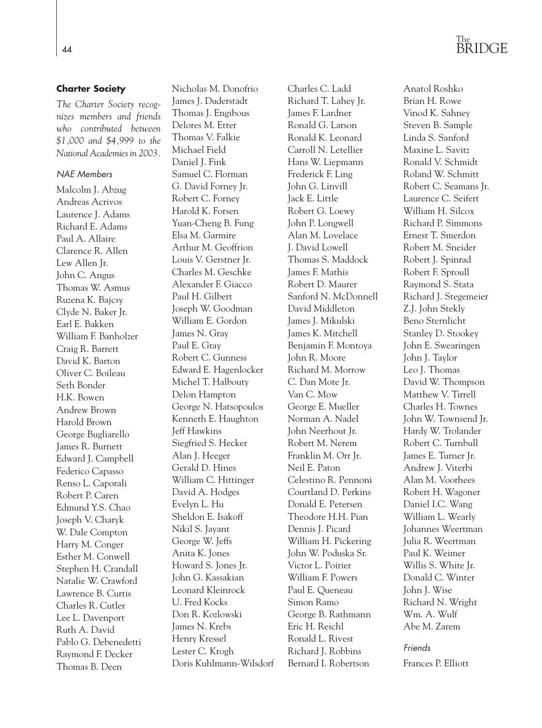## The <sup>44</sup> BRIDGE

### **Charter Society**

*The Charter Society recognizes members and friends who contributed between \$1,000 and \$4,999 to the National Academies in 2003.*

### *NAE Members*

Malcolm J. Abzug Andreas Acrivos Laurence J. Adams Richard E. Adams Paul A. Allaire Clarence R. Allen Lew Allen Jr. John C. Angus Thomas W. Asmus Ruzena K. Bajcsy Clyde N. Baker Jr. Earl E. Bakken William F. Banholzer Craig R. Barrett David K. Barton Oliver C. Boileau Seth Bonder H.K. Bowen Andrew Brown Harold Brown George Bugliarello James R. Burnett Edward J. Campbell Federico Capasso Renso L. Caporali Robert P. Caren Edmund Y.S. Chao Joseph V. Charyk W. Dale Compton Harry M. Conger Esther M. Conwell Stephen H. Crandall Natalie W. Crawford Lawrence B. Curtis Charles R. Cutler Lee L. Davenport Ruth A. David Pablo G. Debenedetti Raymond F. Decker Thomas B. Deen

Nicholas M. Donofrio James J. Duderstadt Thomas J. Engibous Delores M. Etter Thomas V. Falkie Michael Field Daniel J. Fink Samuel C. Florman G. David Forney Jr. Robert C. Forney Harold K. Forsen Yuan-Cheng B. Fung Elsa M. Garmire Arthur M. Geoffrion Louis V. Gerstner Jr. Charles M. Geschke Alexander F. Giacco Paul H. Gilbert Joseph W. Goodman William E. Gordon James N. Gray Paul E. Gray Robert C. Gunness Edward E. Hagenlocker Michel T. Halbouty Delon Hampton George N. Hatsopoulos Kenneth E. Haughton Jeff Hawkins Siegfried S. Hecker Alan J. Heeger Gerald D. Hines William C. Hittinger David A. Hodges Evelyn L. Hu Sheldon E. Isakoff Nikil S. Jayant George W. Jeffs Anita K. Jones Howard S. Jones Jr. John G. Kassakian Leonard Kleinrock U. Fred Kocks Don R. Kozlowski James N. Krebs Henry Kressel Lester C. Krogh Doris Kuhlmann-Wilsdorf Charles C. Ladd Richard T. Lahey Jr. James F. Lardner Ronald G. Larson Ronald K. Leonard Carroll N. Letellier Hans W. Liepmann Frederick F. Ling John G. Linvill Jack E. Little Robert G. Loewy John P. Longwell Alan M. Lovelace J. David Lowell Thomas S. Maddock James F. Mathis Robert D. Maurer Sanford N. McDonnell David Middleton James J. Mikulski James K. Mitchell Benjamin F. Montoya John R. Moore Richard M. Morrow C. Dan Mote Jr. Van C. Mow George E. Mueller Norman A. Nadel John Neerhout Jr. Robert M. Nerem Franklin M. Orr Jr. Neil E. Paton Celestino R. Pennoni Courtland D. Perkins Donald E. Petersen Theodore H.H. Pian Dennis J. Picard William H. Pickering John W. Poduska Sr. Victor L. Poirier William F. Powers Paul E. Queneau Simon Ramo George B. Rathmann Eric H. Reichl Ronald L. Rivest Richard J. Robbins Bernard I. Robertson

Anatol Roshko Brian H. Rowe Vinod K. Sahney Steven B. Sample Linda S. Sanford Maxine L. Savitz Ronald V. Schmidt Roland W. Schmitt Robert C. Seamans Jr. Laurence C. Seifert William H. Silcox Richard P. Simmons Ernest T. Smerdon Robert M. Sneider Robert J. Spinrad Robert F. Sproull Raymond S. Stata Richard J. Stegemeier Z.J. John Stekly Beno Sternlicht Stanley D. Stookey John E. Swearingen John J. Taylor Leo J. Thomas David W. Thompson Matthew V. Tirrell Charles H. Townes John W. Townsend Jr. Hardy W. Trolander Robert C. Turnbull James E. Turner Jr. Andrew J. Viterbi Alan M. Voorhees Robert H. Wagoner Daniel I.C. Wang William L. Wearly Johannes Weertman Julia R. Weertman Paul K. Weimer Willis S. White Jr. Donald C. Winter John J. Wise Richard N. Wright Wm. A. Wulf Abe M. Zarem

### *Friends*

Frances P. Elliott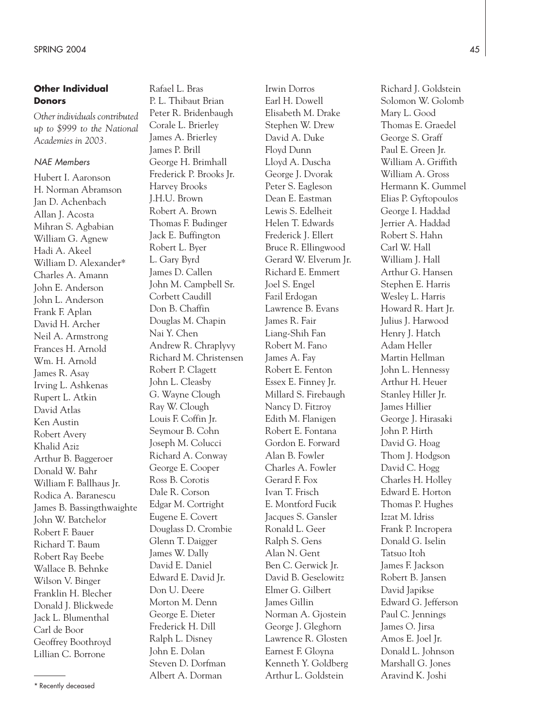### **Other Individual Donors**

*Other individuals contributed up to \$999 to the National Academies in 2003.*

#### *NAE Members*

Hubert I. Aaronson H. Norman Abramson Jan D. Achenbach Allan J. Acosta Mihran S. Agbabian William G. Agnew Hadi A. Akeel William D. Alexander\* Charles A. Amann John E. Anderson John L. Anderson Frank F. Aplan David H. Archer Neil A. Armstrong Frances H. Arnold Wm. H. Arnold James R. Asay Irving L. Ashkenas Rupert L. Atkin David Atlas Ken Austin Robert Avery Khalid Aziz Arthur B. Baggeroer Donald W. Bahr William F. Ballhaus Jr. Rodica A. Baranescu James B. Bassingthwaighte John W. Batchelor Robert F. Bauer Richard T. Baum Robert Ray Beebe Wallace B. Behnke Wilson V. Binger Franklin H. Blecher Donald J. Blickwede Jack L. Blumenthal Carl de Boor Geoffrey Boothroyd Lillian C. Borrone

Rafael L. Bras P. L. Thibaut Brian Peter R. Bridenbaugh Corale L. Brierley James A. Brierley James P. Brill George H. Brimhall Frederick P. Brooks Jr. Harvey Brooks J.H.U. Brown Robert A. Brown Thomas F. Budinger Jack E. Buffington Robert L. Byer L. Gary Byrd James D. Callen John M. Campbell Sr. Corbett Caudill Don B. Chaffin Douglas M. Chapin Nai Y. Chen Andrew R. Chraplyvy Richard M. Christensen Robert P. Clagett John L. Cleasby G. Wayne Clough Ray W. Clough Louis F. Coffin Jr. Seymour B. Cohn Joseph M. Colucci Richard A. Conway George E. Cooper Ross B. Corotis Dale R. Corson Edgar M. Cortright Eugene E. Covert Douglass D. Crombie Glenn T. Daigger James W. Dally David E. Daniel Edward E. David Jr. Don U. Deere Morton M. Denn George E. Dieter Frederick H. Dill Ralph L. Disney John E. Dolan Steven D. Dorfman Albert A. Dorman

Irwin Dorros Earl H. Dowell Elisabeth M. Drake Stephen W. Drew David A. Duke Floyd Dunn Lloyd A. Duscha George J. Dvorak Peter S. Eagleson Dean E. Eastman Lewis S. Edelheit Helen T. Edwards Frederick J. Ellert Bruce R. Ellingwood Gerard W. Elverum Jr. Richard E. Emmert Joel S. Engel Fazil Erdogan Lawrence B. Evans James R. Fair Liang-Shih Fan Robert M. Fano James A. Fay Robert E. Fenton Essex E. Finney Jr. Millard S. Firebaugh Nancy D. Fitzroy Edith M. Flanigen Robert E. Fontana Gordon E. Forward Alan B. Fowler Charles A. Fowler Gerard F. Fox Ivan T. Frisch E. Montford Fucik Jacques S. Gansler Ronald L. Geer Ralph S. Gens Alan N. Gent Ben C. Gerwick Jr. David B. Geselowitz Elmer G. Gilbert James Gillin Norman A. Gjostein George J. Gleghorn Lawrence R. Glosten Earnest F. Gloyna Kenneth Y. Goldberg Arthur L. Goldstein

Richard J. Goldstein Solomon W. Golomb Mary L. Good Thomas E. Graedel George S. Graff Paul E. Green Jr. William A. Griffith William A. Gross Hermann K. Gummel Elias P. Gyftopoulos George I. Haddad Jerrier A. Haddad Robert S. Hahn Carl W. Hall William J. Hall Arthur G. Hansen Stephen E. Harris Wesley L. Harris Howard R. Hart Jr. Julius J. Harwood Henry J. Hatch Adam Heller Martin Hellman John L. Hennessy Arthur H. Heuer Stanley Hiller Jr. James Hillier George J. Hirasaki John P. Hirth David G. Hoag Thom J. Hodgson David C. Hogg Charles H. Holley Edward E. Horton Thomas P. Hughes Izzat M. Idriss Frank P. Incropera Donald G. Iselin Tatsuo Itoh James F. Jackson Robert B. Jansen David Japikse Edward G. Jefferson Paul C. Jennings James O. Jirsa Amos E. Joel Jr. Donald L. Johnson Marshall G. Jones Aravind K. Joshi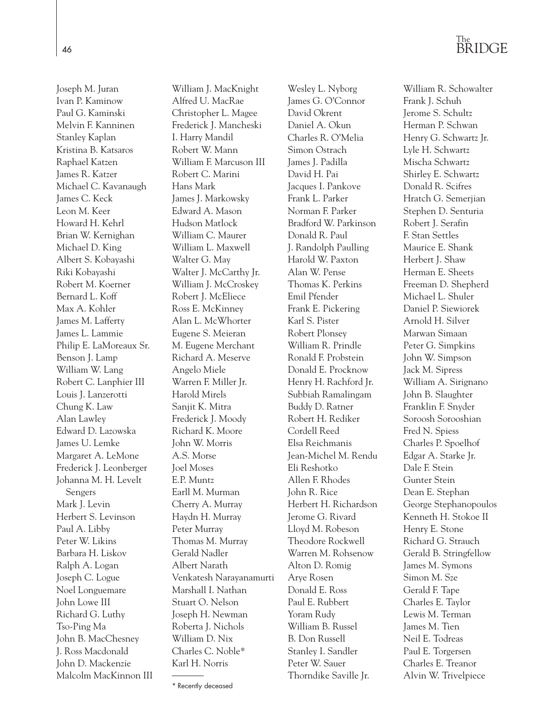Joseph M. Juran Ivan P. Kaminow Paul G. Kaminski Melvin F. Kanninen Stanley Kaplan Kristina B. Katsaros Raphael Katzen James R. Katzer Michael C. Kavanaugh James C. Keck Leon M. Keer Howard H. Kehrl Brian W. Kernighan Michael D. King Albert S. Kobayashi Riki Kobayashi Robert M. Koerner Bernard L. Koff Max A. Kohler James M. Lafferty James L. Lammie Philip E. LaMoreaux Sr. Benson J. Lamp William W. Lang Robert C. Lanphier III Louis J. Lanzerotti Chung K. Law Alan Lawley Edward D. Lazowska James U. Lemke Margaret A. LeMone Frederick J. Leonberger Johanna M. H. Levelt Sengers Mark J. Levin Herbert S. Levinson Paul A. Libby Peter W. Likins Barbara H. Liskov Ralph A. Logan Joseph C. Logue Noel Longuemare John Lowe III Richard G. Luthy Tso-Ping Ma John B. MacChesney J. Ross Macdonald John D. Mackenzie Malcolm MacKinnon III

William J. MacKnight Alfred U. MacRae Christopher L. Magee Frederick J. Mancheski I. Harry Mandil Robert W. Mann William F. Marcuson III Robert C. Marini Hans Mark James J. Markowsky Edward A. Mason Hudson Matlock William C. Maurer William L. Maxwell Walter G. May Walter J. McCarthy Jr. William J. McCroskey Robert J. McEliece Ross E. McKinney Alan L. McWhorter Eugene S. Meieran M. Eugene Merchant Richard A. Meserve Angelo Miele Warren F. Miller Jr. Harold Mirels Sanjit K. Mitra Frederick J. Moody Richard K. Moore John W. Morris A.S. Morse Joel Moses E.P. Muntz Earll M. Murman Cherry A. Murray Haydn H. Murray Peter Murray Thomas M. Murray Gerald Nadler Albert Narath Venkatesh Narayanamurti Marshall I. Nathan Stuart O. Nelson Joseph H. Newman Roberta J. Nichols William D. Nix Charles C. Noble\* Karl H. Norris

Wesley L. Nyborg James G. O'Connor David Okrent Daniel A. Okun Charles R. O'Melia Simon Ostrach James J. Padilla David H. Pai Jacques I. Pankove Frank L. Parker Norman F. Parker Bradford W. Parkinson Donald R. Paul J. Randolph Paulling Harold W. Paxton Alan W. Pense Thomas K. Perkins Emil Pfender Frank E. Pickering Karl S. Pister Robert Plonsey William R. Prindle Ronald F. Probstein Donald E. Procknow Henry H. Rachford Jr. Subbiah Ramalingam Buddy D. Ratner Robert H. Rediker Cordell Reed Elsa Reichmanis Jean-Michel M. Rendu Eli Reshotko Allen F. Rhodes John R. Rice Herbert H. Richardson Jerome G. Rivard Lloyd M. Robeson Theodore Rockwell Warren M. Rohsenow Alton D. Romig Arye Rosen Donald E. Ross Paul E. Rubbert Yoram Rudy William B. Russel B. Don Russell Stanley I. Sandler Peter W. Sauer Thorndike Saville Jr.

William R. Schowalter Frank J. Schuh Jerome S. Schultz Herman P. Schwan Henry G. Schwartz Jr. Lyle H. Schwartz Mischa Schwartz Shirley E. Schwartz Donald R. Scifres Hratch G. Semerjian Stephen D. Senturia Robert J. Serafin F. Stan Settles Maurice E. Shank Herbert J. Shaw Herman E. Sheets Freeman D. Shepherd Michael L. Shuler Daniel P. Siewiorek Arnold H. Silver Marwan Simaan Peter G. Simpkins John W. Simpson Jack M. Sipress William A. Sirignano John B. Slaughter Franklin F. Snyder Soroosh Sorooshian Fred N. Spiess Charles P. Spoelhof Edgar A. Starke Jr. Dale F. Stein Gunter Stein Dean E. Stephan George Stephanopoulos Kenneth H. Stokoe II Henry E. Stone Richard G. Strauch Gerald B. Stringfellow James M. Symons Simon M. Sze Gerald F. Tape Charles E. Taylor Lewis M. Terman James M. Tien Neil E. Todreas Paul E. Torgersen Charles E. Treanor Alvin W. Trivelpiece

<sup>\*</sup> Recently deceased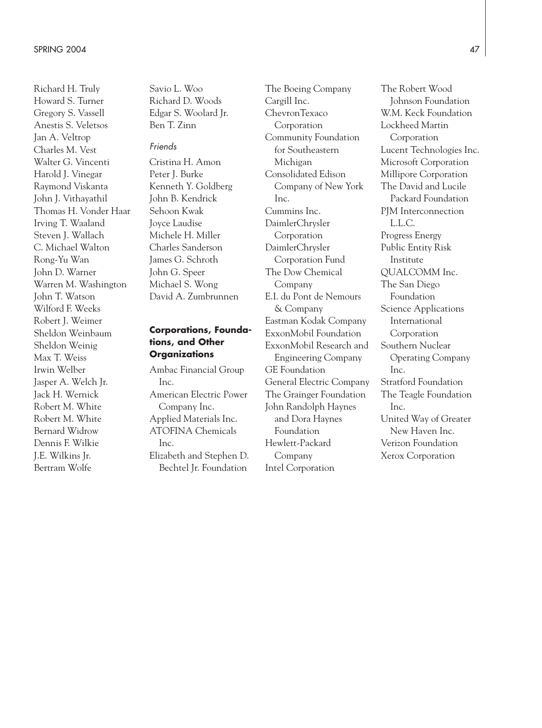Richard H. Truly Howard S. Turner Gregory S. Vassell Anestis S. Veletsos Jan A. Veltrop Charles M. Vest Walter G. Vincenti Harold J. Vinegar Raymond Viskanta John J. Vithayathil Thomas H. Vonder Haar Irving T. Waaland Steven J. Wallach C. Michael Walton Rong-Yu Wan John D. Warner Warren M. Washington John T. Watson Wilford F. Weeks Robert J. Weimer Sheldon Weinbaum Sheldon Weinig Max T. Weiss Irwin Welber Jasper A. Welch Jr. Jack H. Wernick Robert M. White Robert M. White Bernard Widrow Dennis F. Wilkie J.E. Wilkins Jr. Bertram Wolfe

Savio L. Woo Richard D. Woods Edgar S. Woolard Jr. Ben T. Zinn

#### *Friends*

Cristina H. Amon Peter J. Burke Kenneth Y. Goldberg John B. Kendrick Sehoon Kwak Joyce Laudise Michele H. Miller Charles Sanderson James G. Schroth John G. Speer Michael S. Wong David A. Zumbrunnen

### **Corporations, Foundations, and Other Organizations**

Ambac Financial Group  $Inc$ American Electric Power Company Inc. Applied Materials Inc. ATOFINA Chemicals Inc. Elizabeth and Stephen D. Bechtel Jr. Foundation

The Boeing Company Cargill Inc. ChevronTexaco Corporation Community Foundation for Southeastern Michigan Consolidated Edison Company of New York Inc. Cummins Inc. DaimlerChrysler Corporation DaimlerChrysler Corporation Fund The Dow Chemical Company E.I. du Pont de Nemours & Company Eastman Kodak Company ExxonMobil Foundation ExxonMobil Research and Engineering Company GE Foundation General Electric Company The Grainger Foundation John Randolph Haynes and Dora Haynes Foundation Hewlett-Packard Company Intel Corporation

The Robert Wood Johnson Foundation W.M. Keck Foundation Lockheed Martin Corporation Lucent Technologies Inc. Microsoft Corporation Millipore Corporation The David and Lucile Packard Foundation PJM Interconnection L.L.C. Progress Energy Public Entity Risk Institute QUALCOMM Inc. The San Diego Foundation Science Applications International Corporation Southern Nuclear Operating Company Inc. Stratford Foundation The Teagle Foundation Inc. United Way of Greater New Haven Inc. Verizon Foundation Xerox Corporation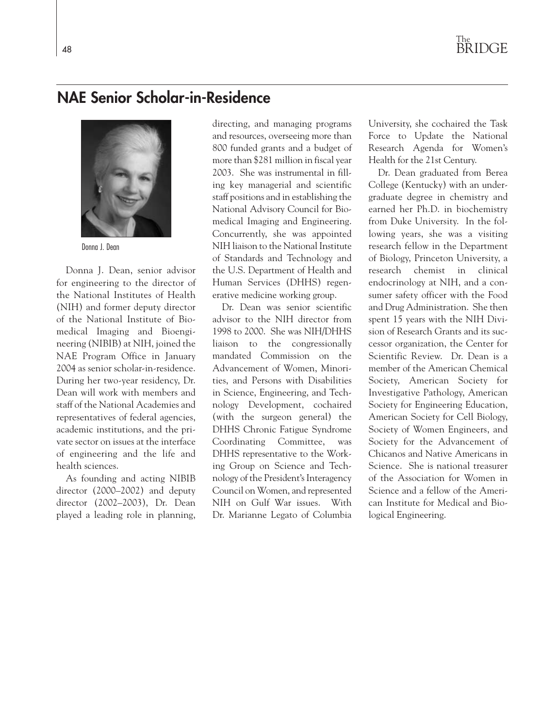### **NAE Senior Scholar-in-Residence**



Donna J. Dean

Donna J. Dean, senior advisor for engineering to the director of the National Institutes of Health (NIH) and former deputy director of the National Institute of Biomedical Imaging and Bioengineering (NIBIB) at NIH, joined the NAE Program Office in January 2004 as senior scholar-in-residence. During her two-year residency, Dr. Dean will work with members and staff of the National Academies and representatives of federal agencies, academic institutions, and the private sector on issues at the interface of engineering and the life and health sciences.

As founding and acting NIBIB director (2000–2002) and deputy director (2002–2003), Dr. Dean played a leading role in planning, directing, and managing programs and resources, overseeing more than 800 funded grants and a budget of more than \$281 million in fiscal year 2003. She was instrumental in filling key managerial and scientific staff positions and in establishing the National Advisory Council for Biomedical Imaging and Engineering. Concurrently, she was appointed NIH liaison to the National Institute of Standards and Technology and the U.S. Department of Health and Human Services (DHHS) regenerative medicine working group.

Dr. Dean was senior scientific advisor to the NIH director from 1998 to 2000. She was NIH/DHHS liaison to the congressionally mandated Commission on the Advancement of Women, Minorities, and Persons with Disabilities in Science, Engineering, and Technology Development, cochaired (with the surgeon general) the DHHS Chronic Fatigue Syndrome Coordinating Committee, was DHHS representative to the Working Group on Science and Technology of the President's Interagency Council on Women, and represented NIH on Gulf War issues. With Dr. Marianne Legato of Columbia

University, she cochaired the Task Force to Update the National Research Agenda for Women's Health for the 21st Century.

Dr. Dean graduated from Berea College (Kentucky) with an undergraduate degree in chemistry and earned her Ph.D. in biochemistry from Duke University. In the following years, she was a visiting research fellow in the Department of Biology, Princeton University, a research chemist in clinical endocrinology at NIH, and a consumer safety officer with the Food and Drug Administration. She then spent 15 years with the NIH Division of Research Grants and its successor organization, the Center for Scientific Review. Dr. Dean is a member of the American Chemical Society, American Society for Investigative Pathology, American Society for Engineering Education, American Society for Cell Biology, Society of Women Engineers, and Society for the Advancement of Chicanos and Native Americans in Science. She is national treasurer of the Association for Women in Science and a fellow of the American Institute for Medical and Biological Engineering.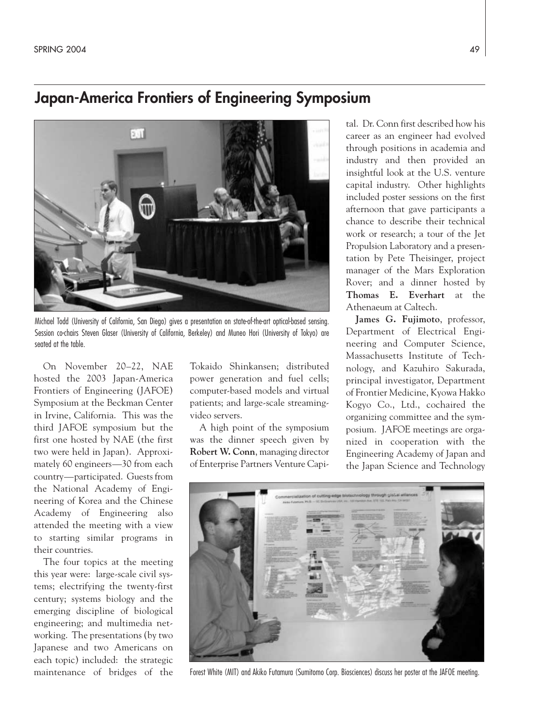### **Japan-America Frontiers of Engineering Symposium**



Michael Todd (University of California, San Diego) gives a presentation on state-of-the-art optical-based sensing. Session co-chairs Steven Glaser (University of California, Berkeley) and Muneo Hori (University of Tokyo) are seated at the table.

On November 20–22, NAE hosted the 2003 Japan-America Frontiers of Engineering (JAFOE) Symposium at the Beckman Center in Irvine, California. This was the third JAFOE symposium but the first one hosted by NAE (the first two were held in Japan). Approximately 60 engineers—30 from each country—participated. Guests from the National Academy of Engineering of Korea and the Chinese Academy of Engineering also attended the meeting with a view to starting similar programs in their countries.

The four topics at the meeting this year were: large-scale civil systems; electrifying the twenty-first century; systems biology and the emerging discipline of biological engineering; and multimedia networking. The presentations (by two Japanese and two Americans on each topic) included: the strategic maintenance of bridges of the

Tokaido Shinkansen; distributed power generation and fuel cells; computer-based models and virtual patients; and large-scale streamingvideo servers.

A high point of the symposium was the dinner speech given by **Robert W. Conn**, managing director of Enterprise Partners Venture Capi-

tal. Dr. Conn first described how his career as an engineer had evolved through positions in academia and industry and then provided an insightful look at the U.S. venture capital industry. Other highlights included poster sessions on the first afternoon that gave participants a chance to describe their technical work or research; a tour of the Jet Propulsion Laboratory and a presentation by Pete Theisinger, project manager of the Mars Exploration Rover; and a dinner hosted by **Thomas E. Everhart** at the Athenaeum at Caltech.

**James G. Fujimoto**, professor, Department of Electrical Engineering and Computer Science, Massachusetts Institute of Technology, and Kazuhiro Sakurada, principal investigator, Department of Frontier Medicine, Kyowa Hakko Kogyo Co., Ltd., cochaired the organizing committee and the symposium. JAFOE meetings are organized in cooperation with the Engineering Academy of Japan and the Japan Science and Technology



Forest White (MIT) and Akiko Futamura (Sumitomo Corp. Biosciences) discuss her poster at the JAFOE meeting.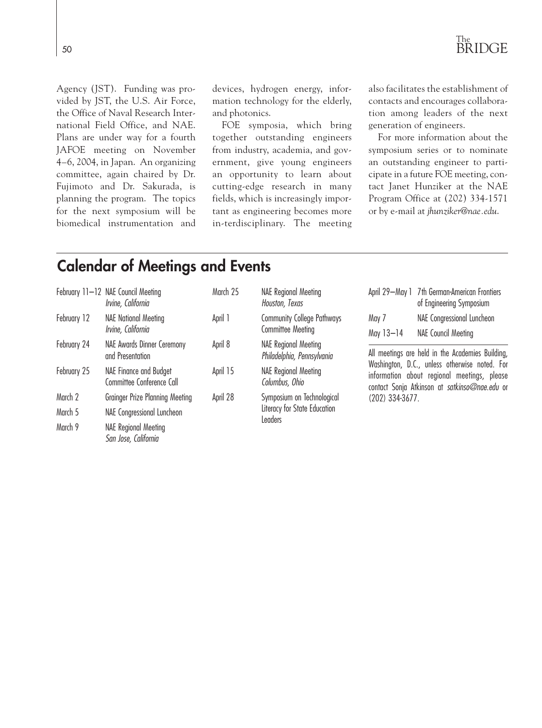

Agency (JST). Funding was provided by JST, the U.S. Air Force, the Office of Naval Research International Field Office, and NAE. Plans are under way for a fourth JAFOE meeting on November 4–6, 2004, in Japan. An organizing committee, again chaired by Dr. Fujimoto and Dr. Sakurada, is planning the program. The topics for the next symposium will be biomedical instrumentation and devices, hydrogen energy, information technology for the elderly, and photonics.

FOE symposia, which bring together outstanding engineers from industry, academia, and government, give young engineers an opportunity to learn about cutting-edge research in many fields, which is increasingly important as engineering becomes more in-terdisciplinary. The meeting

also facilitates the establishment of contacts and encourages collaboration among leaders of the next generation of engineers.

For more information about the symposium series or to nominate an outstanding engineer to participate in a future FOE meeting, contact Janet Hunziker at the NAE Program Office at (202) 334-1571 or by e-mail at *jhunziker@nae.edu*.

### **Calendar of Meetings and Events**

|             | February 11-12 NAE Council Meeting<br>Irvine, California   | March 25 | <b>NAE Regional Meeting</b><br>Houston, Texas                                | April 29-May 1                                                                                                                                                                                    | 7th German-American Frontiers<br>of Engineering Symposium |  |
|-------------|------------------------------------------------------------|----------|------------------------------------------------------------------------------|---------------------------------------------------------------------------------------------------------------------------------------------------------------------------------------------------|-----------------------------------------------------------|--|
| February 12 | <b>NAE National Meeting</b><br>Irvine, California          | April 1  | <b>Community College Pathways</b><br><b>Committee Meeting</b>                | May 7                                                                                                                                                                                             | NAE Congressional Luncheon                                |  |
|             |                                                            |          |                                                                              | May 13-14                                                                                                                                                                                         | <b>NAE Council Meeting</b>                                |  |
| February 24 | NAE Awards Dinner Ceremony<br>and Presentation             | April 8  | <b>NAE Regional Meeting</b><br>Philadelphia, Pennsylvania                    | All meetings are held in the Academies Building,<br>Washington, D.C., unless otherwise noted. For<br>information about regional meetings, please<br>contact Sonja Atkinson at satkinso@nae.edu or |                                                           |  |
| February 25 | <b>NAE Finance and Budget</b><br>Committee Conference Call | April 15 | <b>NAE Regional Meeting</b><br>Columbus, Ohio                                |                                                                                                                                                                                                   |                                                           |  |
| March 2     | <b>Grainger Prize Planning Meeting</b>                     | April 28 | Symposium on Technological<br>Literacy for State Education<br><b>Leaders</b> | (202) 334-3677.                                                                                                                                                                                   |                                                           |  |
| March 5     | NAE Congressional Luncheon                                 |          |                                                                              |                                                                                                                                                                                                   |                                                           |  |
| March 9     | <b>NAE Regional Meeting</b><br>San Jose, California        |          |                                                                              |                                                                                                                                                                                                   |                                                           |  |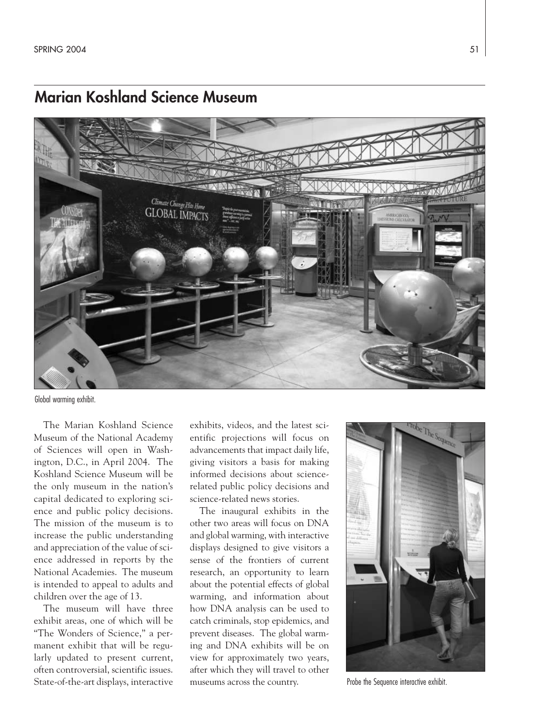### **Marian Koshland Science Museum**



Global warming exhibit.

The Marian Koshland Science Museum of the National Academy of Sciences will open in Washington, D.C., in April 2004. The Koshland Science Museum will be the only museum in the nation's capital dedicated to exploring science and public policy decisions. The mission of the museum is to increase the public understanding and appreciation of the value of science addressed in reports by the National Academies. The museum is intended to appeal to adults and children over the age of 13.

The museum will have three exhibit areas, one of which will be "The Wonders of Science," a permanent exhibit that will be regularly updated to present current, often controversial, scientific issues. State-of-the-art displays, interactive

exhibits, videos, and the latest scientific projections will focus on advancements that impact daily life, giving visitors a basis for making informed decisions about sciencerelated public policy decisions and science-related news stories.

The inaugural exhibits in the other two areas will focus on DNA and global warming, with interactive displays designed to give visitors a sense of the frontiers of current research, an opportunity to learn about the potential effects of global warming, and information about how DNA analysis can be used to catch criminals, stop epidemics, and prevent diseases. The global warming and DNA exhibits will be on view for approximately two years, after which they will travel to other museums across the country.



Probe the Sequence interactive exhibit.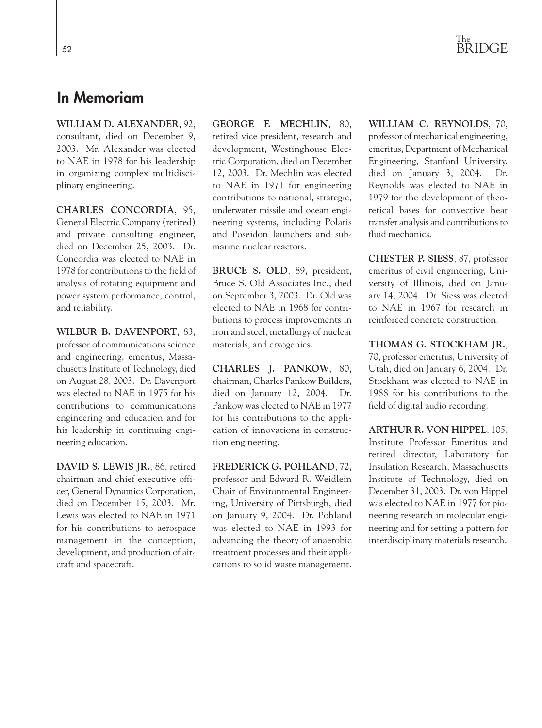### **In Memoriam**

**WILLIAM D. ALEXANDER**, 92, consultant, died on December 9, 2003. Mr. Alexander was elected to NAE in 1978 for his leadership in organizing complex multidisciplinary engineering.

**CHARLES CONCORDIA**, 95, General Electric Company (retired) and private consulting engineer, died on December 25, 2003. Dr. Concordia was elected to NAE in 1978 for contributions to the field of analysis of rotating equipment and power system performance, control, and reliability.

**WILBUR B. DAVENPORT**, 83, professor of communications science and engineering, emeritus, Massachusetts Institute of Technology, died on August 28, 2003. Dr. Davenport was elected to NAE in 1975 for his contributions to communications engineering and education and for his leadership in continuing engineering education.

**DAVID S. LEWIS JR.**, 86, retired chairman and chief executive officer, General Dynamics Corporation, died on December 15, 2003. Mr. Lewis was elected to NAE in 1971 for his contributions to aerospace management in the conception, development, and production of aircraft and spacecraft.

**GEORGE F. MECHLIN**, 80, retired vice president, research and development, Westinghouse Electric Corporation, died on December 12, 2003. Dr. Mechlin was elected to NAE in 1971 for engineering contributions to national, strategic, underwater missile and ocean engineering systems, including Polaris and Poseidon launchers and submarine nuclear reactors.

**BRUCE S. OLD**, 89, president, Bruce S. Old Associates Inc., died on September 3, 2003. Dr. Old was elected to NAE in 1968 for contributions to process improvements in iron and steel, metallurgy of nuclear materials, and cryogenics.

**CHARLES J. PANKOW**, 80, chairman, Charles Pankow Builders, died on January 12, 2004. Dr. Pankow was elected to NAE in 1977 for his contributions to the application of innovations in construction engineering.

**FREDERICK G. POHLAND**, 72, professor and Edward R. Weidlein Chair of Environmental Engineering, University of Pittsburgh, died on January 9, 2004. Dr. Pohland was elected to NAE in 1993 for advancing the theory of anaerobic treatment processes and their applications to solid waste management.

**WILLIAM C. REYNOLDS**, 70, professor of mechanical engineering, emeritus, Department of Mechanical Engineering, Stanford University, died on January 3, 2004. Dr. Reynolds was elected to NAE in 1979 for the development of theoretical bases for convective heat transfer analysis and contributions to fluid mechanics.

**CHESTER P. SIESS**, 87, professor emeritus of civil engineering, University of Illinois, died on January 14, 2004. Dr. Siess was elected to NAE in 1967 for research in reinforced concrete construction.

**THOMAS G. STOCKHAM JR.**, 70, professor emeritus, University of Utah, died on January 6, 2004. Dr. Stockham was elected to NAE in 1988 for his contributions to the field of digital audio recording.

**ARTHUR R. VON HIPPEL**, 105, Institute Professor Emeritus and retired director, Laboratory for Insulation Research, Massachusetts Institute of Technology, died on December 31, 2003. Dr. von Hippel was elected to NAE in 1977 for pioneering research in molecular engineering and for setting a pattern for interdisciplinary materials research.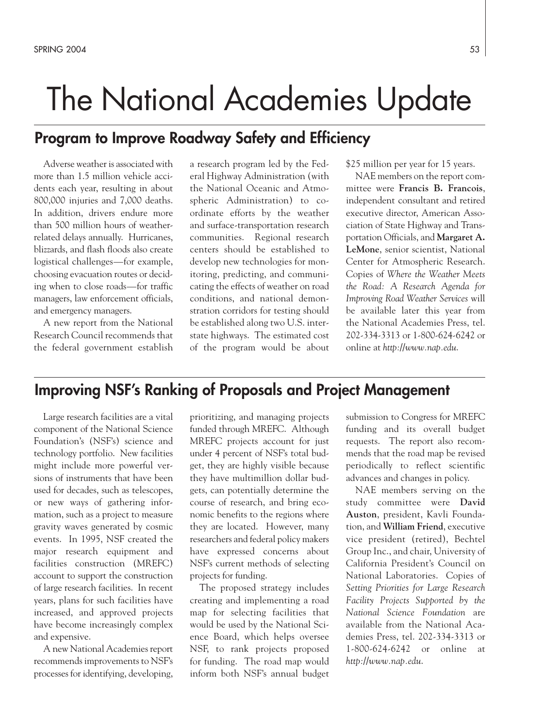## The National Academies Update

### **Program to Improve Roadway Safety and Efficiency**

Adverse weather is associated with more than 1.5 million vehicle accidents each year, resulting in about 800,000 injuries and 7,000 deaths. In addition, drivers endure more than 500 million hours of weatherrelated delays annually. Hurricanes, blizzards, and flash floods also create logistical challenges—for example, choosing evacuation routes or deciding when to close roads—for traffic managers, law enforcement officials, and emergency managers.

A new report from the National Research Council recommends that the federal government establish

a research program led by the Federal Highway Administration (with the National Oceanic and Atmospheric Administration) to coordinate efforts by the weather and surface-transportation research communities. Regional research centers should be established to develop new technologies for monitoring, predicting, and communicating the effects of weather on road conditions, and national demonstration corridors for testing should be established along two U.S. interstate highways. The estimated cost of the program would be about

\$25 million per year for 15 years.

NAE members on the report committee were **Francis B. Francois**, independent consultant and retired executive director, American Association of State Highway and Transportation Officials, and **Margaret A. LeMone**, senior scientist, National Center for Atmospheric Research. Copies of *Where the Weather Meets the Road: A Research Agenda for Improving Road Weather Services* will be available later this year from the National Academies Press, tel. 202-334-3313 or 1-800-624-6242 or online at *http://www.nap.edu*.

### **Improving NSF's Ranking of Proposals and Project Management**

Large research facilities are a vital component of the National Science Foundation's (NSF's) science and technology portfolio. New facilities might include more powerful versions of instruments that have been used for decades, such as telescopes, or new ways of gathering information, such as a project to measure gravity waves generated by cosmic events. In 1995, NSF created the major research equipment and facilities construction (MREFC) account to support the construction of large research facilities. In recent years, plans for such facilities have increased, and approved projects have become increasingly complex and expensive.

A new National Academies report recommends improvements to NSF's processes for identifying, developing,

prioritizing, and managing projects funded through MREFC. Although MREFC projects account for just under 4 percent of NSF's total budget, they are highly visible because they have multimillion dollar budgets, can potentially determine the course of research, and bring economic benefits to the regions where they are located. However, many researchers and federal policy makers have expressed concerns about NSF's current methods of selecting projects for funding.

The proposed strategy includes creating and implementing a road map for selecting facilities that would be used by the National Science Board, which helps oversee NSF, to rank projects proposed for funding. The road map would inform both NSF's annual budget submission to Congress for MREFC funding and its overall budget requests. The report also recommends that the road map be revised periodically to reflect scientific advances and changes in policy.

NAE members serving on the study committee were **David Auston**, president, Kavli Foundation, and **William Friend**, executive vice president (retired), Bechtel Group Inc., and chair, University of California President's Council on National Laboratories. Copies of *Setting Priorities for Large Research Facility Projects Supported by the National Science Foundation* are available from the National Academies Press, tel. 202-334-3313 or 1-800-624-6242 or online at *http://www.nap.edu*.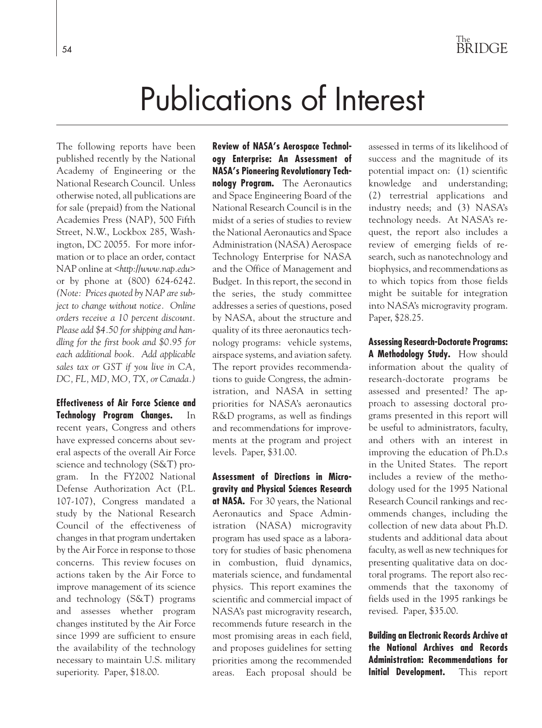## Publications of Interest

The following reports have been published recently by the National Academy of Engineering or the National Research Council. Unless otherwise noted, all publications are for sale (prepaid) from the National Academies Press (NAP), 500 Fifth Street, N.W., Lockbox 285, Washington, DC 20055. For more information or to place an order, contact NAP online at <*http://www.nap.edu*> or by phone at (800) 624-6242. *(Note: Prices quoted by NAP are subject to change without notice. Online orders receive a 10 percent discount. Please add \$4.50 for shipping and handling for the first book and \$0.95 for each additional book. Add applicable sales tax or GST if you live in CA, DC, FL, MD, MO, TX, or Canada.)*

**Effectiveness of Air Force Science and Technology Program Changes.** In recent years, Congress and others have expressed concerns about several aspects of the overall Air Force science and technology (S&T) program. In the FY2002 National Defense Authorization Act (P.L. 107-107), Congress mandated a study by the National Research Council of the effectiveness of changes in that program undertaken by the Air Force in response to those concerns. This review focuses on actions taken by the Air Force to improve management of its science and technology (S&T) programs and assesses whether program changes instituted by the Air Force since 1999 are sufficient to ensure the availability of the technology necessary to maintain U.S. military superiority. Paper, \$18.00.

**Review of NASA's Aerospace Technology Enterprise: An Assessment of NASA's Pioneering Revolutionary Technology Program.** The Aeronautics and Space Engineering Board of the National Research Council is in the midst of a series of studies to review the National Aeronautics and Space Administration (NASA) Aerospace Technology Enterprise for NASA and the Office of Management and Budget. In this report, the second in the series, the study committee addresses a series of questions, posed by NASA, about the structure and quality of its three aeronautics technology programs: vehicle systems, airspace systems, and aviation safety. The report provides recommendations to guide Congress, the administration, and NASA in setting priorities for NASA's aeronautics R&D programs, as well as findings and recommendations for improvements at the program and project levels. Paper, \$31.00.

**Assessment of Directions in Microgravity and Physical Sciences Research at NASA.** For 30 years, the National Aeronautics and Space Administration (NASA) microgravity program has used space as a laboratory for studies of basic phenomena in combustion, fluid dynamics, materials science, and fundamental physics. This report examines the scientific and commercial impact of NASA's past microgravity research, recommends future research in the most promising areas in each field, and proposes guidelines for setting priorities among the recommended areas. Each proposal should be

assessed in terms of its likelihood of success and the magnitude of its potential impact on: (1) scientific knowledge and understanding; (2) terrestrial applications and industry needs; and (3) NASA's technology needs. At NASA's request, the report also includes a review of emerging fields of research, such as nanotechnology and biophysics, and recommendations as to which topics from those fields might be suitable for integration into NASA's microgravity program. Paper, \$28.25.

**Assessing Research-Doctorate Programs: A Methodology Study.** How should information about the quality of research-doctorate programs be assessed and presented? The approach to assessing doctoral programs presented in this report will be useful to administrators, faculty, and others with an interest in improving the education of Ph.D.s in the United States. The report includes a review of the methodology used for the 1995 National Research Council rankings and recommends changes, including the collection of new data about Ph.D. students and additional data about faculty, as well as new techniques for presenting qualitative data on doctoral programs. The report also recommends that the taxonomy of fields used in the 1995 rankings be revised. Paper, \$35.00.

**Building an Electronic Records Archive at the National Archives and Records Administration: Recommendations for Initial Development.** This report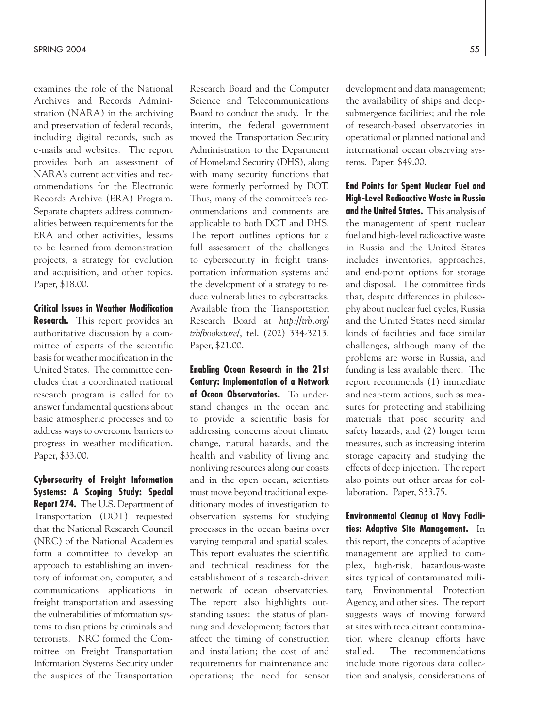examines the role of the National Archives and Records Administration (NARA) in the archiving and preservation of federal records, including digital records, such as e-mails and websites. The report provides both an assessment of NARA's current activities and recommendations for the Electronic Records Archive (ERA) Program. Separate chapters address commonalities between requirements for the ERA and other activities, lessons to be learned from demonstration projects, a strategy for evolution and acquisition, and other topics. Paper, \$18.00.

#### **Critical Issues in Weather Modification**

**Research.** This report provides an authoritative discussion by a committee of experts of the scientific basis for weather modification in the United States. The committee concludes that a coordinated national research program is called for to answer fundamental questions about basic atmospheric processes and to address ways to overcome barriers to progress in weather modification. Paper, \$33.00.

**Cybersecurity of Freight Information Systems: A Scoping Study: Special Report 274.** The U.S. Department of Transportation (DOT) requested that the National Research Council (NRC) of the National Academies form a committee to develop an approach to establishing an inventory of information, computer, and communications applications in freight transportation and assessing the vulnerabilities of information systems to disruptions by criminals and terrorists. NRC formed the Committee on Freight Transportation Information Systems Security under the auspices of the Transportation

Research Board and the Computer Science and Telecommunications Board to conduct the study. In the interim, the federal government moved the Transportation Security Administration to the Department of Homeland Security (DHS), along with many security functions that were formerly performed by DOT. Thus, many of the committee's recommendations and comments are applicable to both DOT and DHS. The report outlines options for a full assessment of the challenges to cybersecurity in freight transportation information systems and the development of a strategy to reduce vulnerabilities to cyberattacks. Available from the Transportation Research Board at *http://trb.org/ trb/bookstore/*, tel. (202) 334-3213. Paper, \$21.00.

**Enabling Ocean Research in the 21st Century: Implementation of a Network of Ocean Observatories.** To understand changes in the ocean and to provide a scientific basis for addressing concerns about climate change, natural hazards, and the health and viability of living and nonliving resources along our coasts and in the open ocean, scientists must move beyond traditional expeditionary modes of investigation to observation systems for studying processes in the ocean basins over varying temporal and spatial scales. This report evaluates the scientific and technical readiness for the establishment of a research-driven network of ocean observatories. The report also highlights outstanding issues: the status of planning and development; factors that affect the timing of construction and installation; the cost of and requirements for maintenance and operations; the need for sensor development and data management; the availability of ships and deepsubmergence facilities; and the role of research-based observatories in operational or planned national and international ocean observing systems. Paper, \$49.00.

**End Points for Spent Nuclear Fuel and High-Level Radioactive Waste in Russia and the United States.** This analysis of the management of spent nuclear fuel and high-level radioactive waste in Russia and the United States includes inventories, approaches, and end-point options for storage and disposal. The committee finds that, despite differences in philosophy about nuclear fuel cycles, Russia and the United States need similar kinds of facilities and face similar challenges, although many of the problems are worse in Russia, and funding is less available there. The report recommends (1) immediate and near-term actions, such as measures for protecting and stabilizing materials that pose security and safety hazards, and (2) longer term measures, such as increasing interim storage capacity and studying the effects of deep injection. The report also points out other areas for collaboration. Paper, \$33.75.

**Environmental Cleanup at Navy Facilities: Adaptive Site Management.** In this report, the concepts of adaptive management are applied to complex, high-risk, hazardous-waste sites typical of contaminated military, Environmental Protection Agency, and other sites. The report suggests ways of moving forward at sites with recalcitrant contamination where cleanup efforts have stalled. The recommendations include more rigorous data collection and analysis, considerations of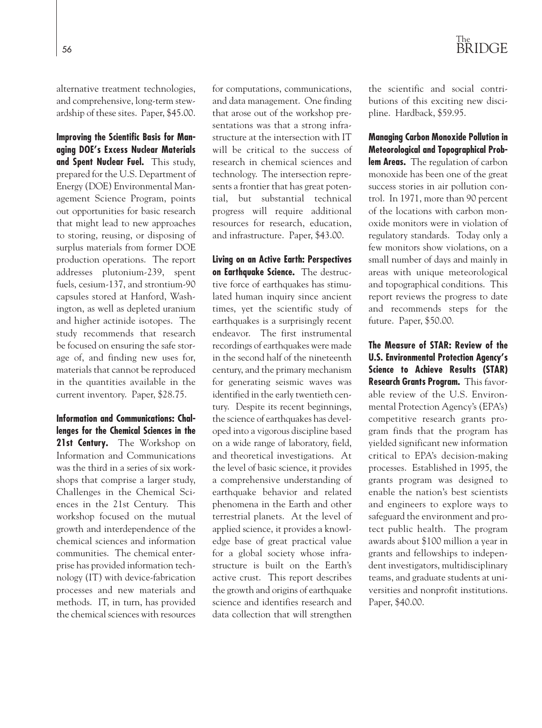alternative treatment technologies, and comprehensive, long-term stewardship of these sites. Paper, \$45.00.

**Improving the Scientific Basis for Managing DOE's Excess Nuclear Materials and Spent Nuclear Fuel.** This study, prepared for the U.S. Department of Energy (DOE) Environmental Management Science Program, points out opportunities for basic research that might lead to new approaches to storing, reusing, or disposing of surplus materials from former DOE production operations. The report addresses plutonium-239, spent fuels, cesium-137, and strontium-90 capsules stored at Hanford, Washington, as well as depleted uranium and higher actinide isotopes. The study recommends that research be focused on ensuring the safe storage of, and finding new uses for, materials that cannot be reproduced in the quantities available in the current inventory. Paper, \$28.75.

**Information and Communications: Challenges for the Chemical Sciences in the** 21st Century. The Workshop on Information and Communications was the third in a series of six workshops that comprise a larger study, Challenges in the Chemical Sciences in the 21st Century. This workshop focused on the mutual growth and interdependence of the chemical sciences and information communities. The chemical enterprise has provided information technology (IT) with device-fabrication processes and new materials and methods. IT, in turn, has provided the chemical sciences with resources for computations, communications, and data management. One finding that arose out of the workshop presentations was that a strong infrastructure at the intersection with IT will be critical to the success of research in chemical sciences and technology. The intersection represents a frontier that has great potential, but substantial technical progress will require additional resources for research, education, and infrastructure. Paper, \$43.00.

**Living on an Active Earth: Perspectives on Earthquake Science.** The destructive force of earthquakes has stimulated human inquiry since ancient times, yet the scientific study of earthquakes is a surprisingly recent endeavor. The first instrumental recordings of earthquakes were made in the second half of the nineteenth century, and the primary mechanism for generating seismic waves was identified in the early twentieth century. Despite its recent beginnings, the science of earthquakes has developed into a vigorous discipline based on a wide range of laboratory, field, and theoretical investigations. At the level of basic science, it provides a comprehensive understanding of earthquake behavior and related phenomena in the Earth and other terrestrial planets. At the level of applied science, it provides a knowledge base of great practical value for a global society whose infrastructure is built on the Earth's active crust. This report describes the growth and origins of earthquake science and identifies research and data collection that will strengthen

The <sup>56</sup> BRIDGE

the scientific and social contributions of this exciting new discipline. Hardback, \$59.95.

**Managing Carbon Monoxide Pollution in Meteorological and Topographical Problem Areas.** The regulation of carbon monoxide has been one of the great success stories in air pollution control. In 1971, more than 90 percent of the locations with carbon monoxide monitors were in violation of regulatory standards. Today only a few monitors show violations, on a small number of days and mainly in areas with unique meteorological and topographical conditions. This report reviews the progress to date and recommends steps for the future. Paper, \$50.00.

**The Measure of STAR: Review of the U.S. Environmental Protection Agency's Science to Achieve Results (STAR) Research Grants Program.** This favorable review of the U.S. Environmental Protection Agency's (EPA's) competitive research grants program finds that the program has yielded significant new information critical to EPA's decision-making processes. Established in 1995, the grants program was designed to enable the nation's best scientists and engineers to explore ways to safeguard the environment and protect public health. The program awards about \$100 million a year in grants and fellowships to independent investigators, multidisciplinary teams, and graduate students at universities and nonprofit institutions. Paper, \$40.00.